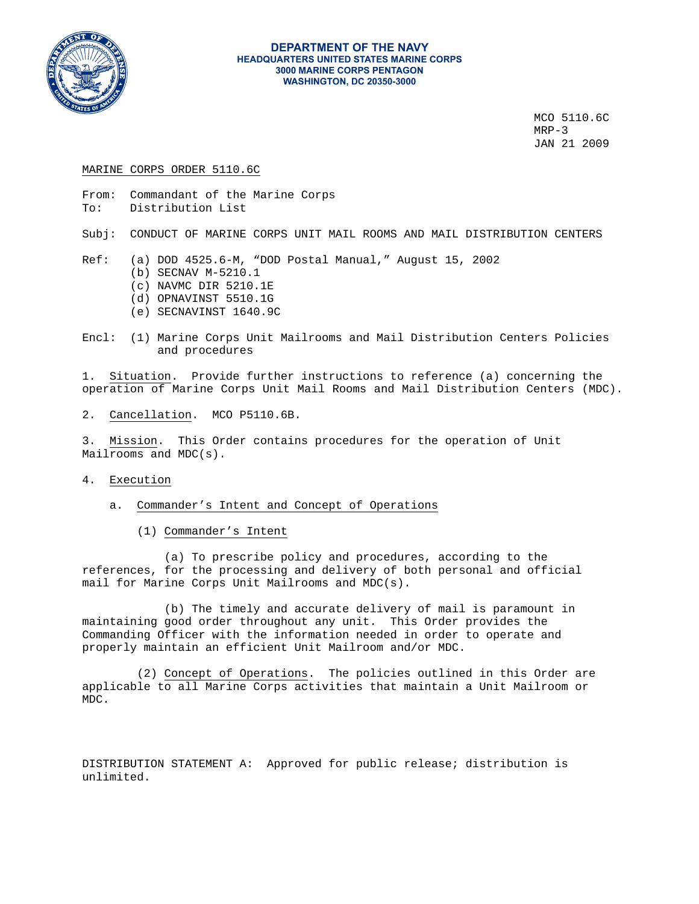

#### **DEPARTMENT OF THE NAVY HEADQUARTERS UNITED STATES MARINE CORPS 3000 MARINE CORPS PENTAGON WASHINGTON, DC 20350-3000**

 MCO 5110.6C MRP-3 JAN 21 2009

#### MARINE CORPS ORDER 5110.6C

From: Commandant of the Marine Corps To: Distribution List

Subj: CONDUCT OF MARINE CORPS UNIT MAIL ROOMS AND MAIL DISTRIBUTION CENTERS

- Ref: (a) DOD 4525.6-M, "DOD Postal Manual," August 15, 2002
	- (b) SECNAV M-5210.1
	- (c) NAVMC DIR 5210.1E
	- (d) OPNAVINST 5510.1G
	- (e) SECNAVINST 1640.9C
- Encl: (1) Marine Corps Unit Mailrooms and Mail Distribution Centers Policies and procedures

1. Situation. Provide further instructions to reference (a) concerning the operation of Marine Corps Unit Mail Rooms and Mail Distribution Centers (MDC).

2. Cancellation. MCO P5110.6B.

3. Mission. This Order contains procedures for the operation of Unit Mailrooms and MDC(s).

- 4. Execution
	- a. Commander's Intent and Concept of Operations
		- (1) Commander's Intent

 (a) To prescribe policy and procedures, according to the references, for the processing and delivery of both personal and official mail for Marine Corps Unit Mailrooms and MDC(s).

 (b) The timely and accurate delivery of mail is paramount in maintaining good order throughout any unit. This Order provides the Commanding Officer with the information needed in order to operate and properly maintain an efficient Unit Mailroom and/or MDC.

 (2) Concept of Operations. The policies outlined in this Order are applicable to all Marine Corps activities that maintain a Unit Mailroom or MDC.

DISTRIBUTION STATEMENT A: Approved for public release; distribution is unlimited.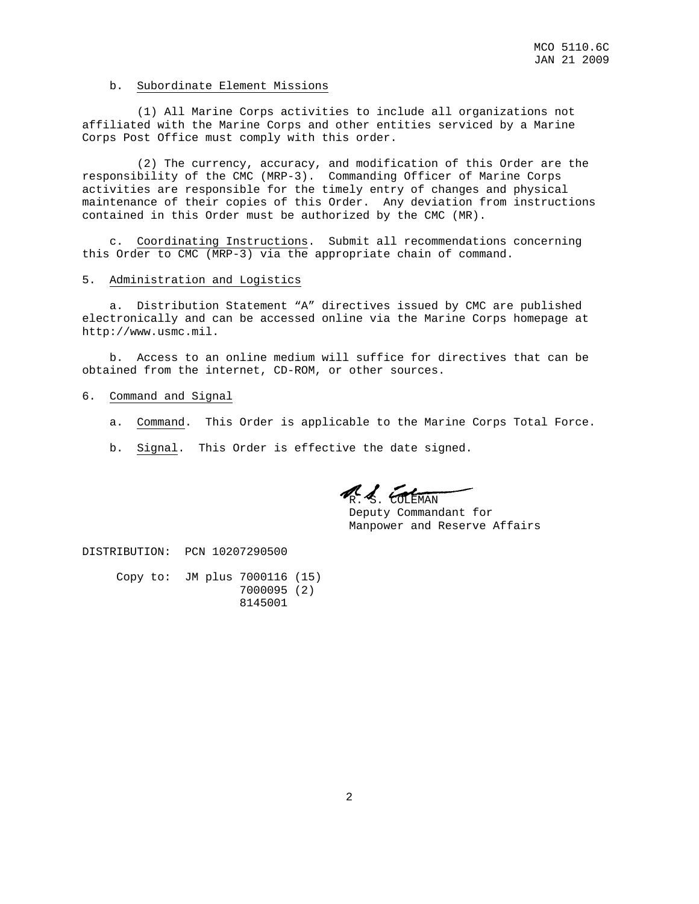#### b. Subordinate Element Missions

 (1) All Marine Corps activities to include all organizations not affiliated with the Marine Corps and other entities serviced by a Marine Corps Post Office must comply with this order.

 (2) The currency, accuracy, and modification of this Order are the responsibility of the CMC (MRP-3). Commanding Officer of Marine Corps activities are responsible for the timely entry of changes and physical maintenance of their copies of this Order. Any deviation from instructions contained in this Order must be authorized by the CMC (MR).

 c. Coordinating Instructions. Submit all recommendations concerning this Order to CMC (MRP-3) via the appropriate chain of command.

#### 5. Administration and Logistics

 a. Distribution Statement "A" directives issued by CMC are published electronically and can be accessed online via the Marine Corps homepage at http://www.usmc.mil.

 b. Access to an online medium will suffice for directives that can be obtained from the internet, CD-ROM, or other sources.

#### 6. Command and Signal

- a. Command. This Order is applicable to the Marine Corps Total Force.
- b. Signal. This Order is effective the date signed.

R. S. COLEMAN

 Deputy Commandant for Manpower and Reserve Affairs

DISTRIBUTION: PCN 10207290500

 Copy to: JM plus 7000116 (15) 7000095 (2) 8145001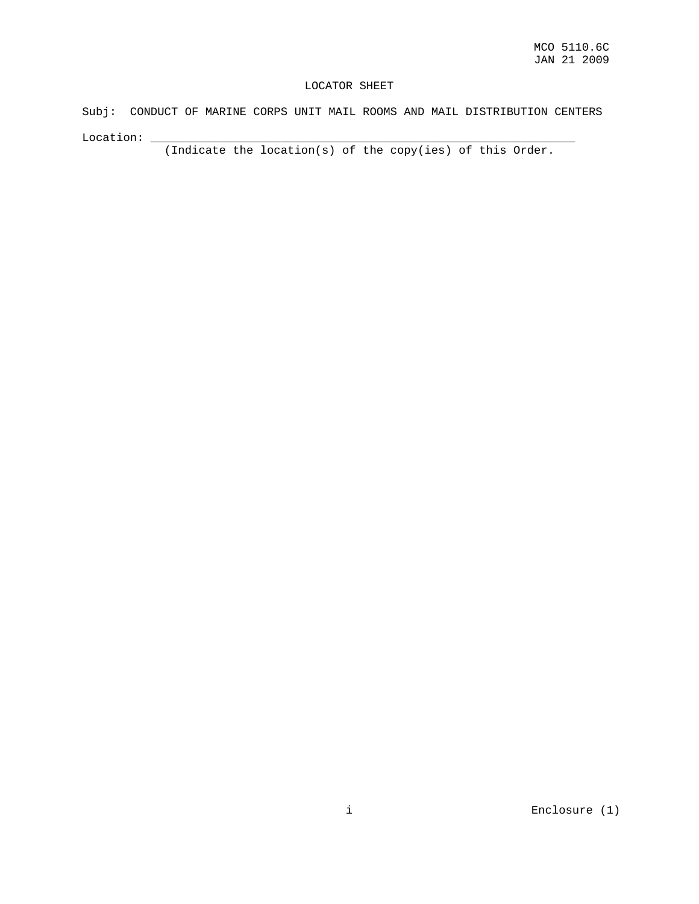#### LOCATOR SHEET

Subj: CONDUCT OF MARINE CORPS UNIT MAIL ROOMS AND MAIL DISTRIBUTION CENTERS Location:  $\overline{\phantom{a}}$ 

(Indicate the location(s) of the copy(ies) of this Order.

i Enclosure (1)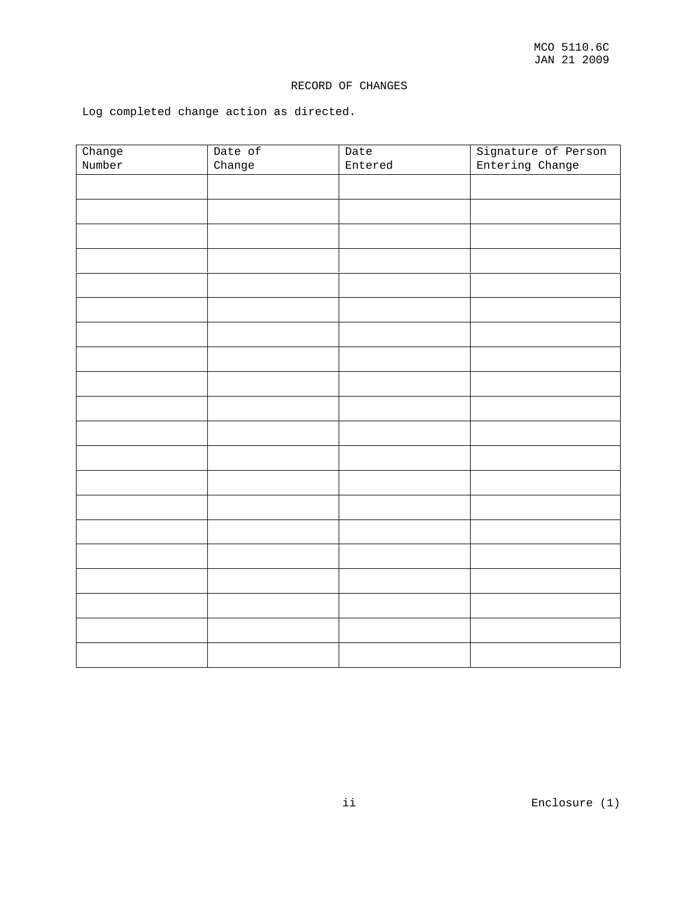# RECORD OF CHANGES

Log completed change action as directed.

| Change | Date of | Date    | Signature of Person |
|--------|---------|---------|---------------------|
| Number | Change  | Entered | Entering Change     |
|        |         |         |                     |
|        |         |         |                     |
|        |         |         |                     |
|        |         |         |                     |
|        |         |         |                     |
|        |         |         |                     |
|        |         |         |                     |
|        |         |         |                     |
|        |         |         |                     |
|        |         |         |                     |
|        |         |         |                     |
|        |         |         |                     |
|        |         |         |                     |
|        |         |         |                     |
|        |         |         |                     |
|        |         |         |                     |
|        |         |         |                     |
|        |         |         |                     |
|        |         |         |                     |
|        |         |         |                     |
|        |         |         |                     |

ii Enclosure (1)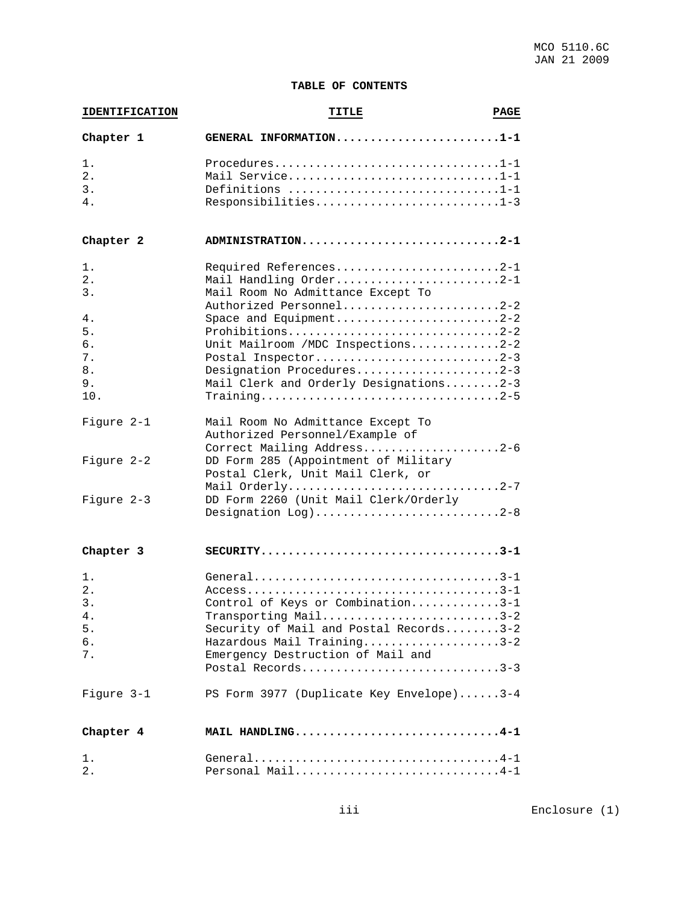# **TABLE OF CONTENTS**

| <b>IDENTIFICATION</b> | TITLE                                    | <b>PAGE</b> |
|-----------------------|------------------------------------------|-------------|
| Chapter 1             | GENERAL INFORMATION1-1                   |             |
| 1.                    | Procedures1-1                            |             |
| 2.                    | Mail Service1-1                          |             |
| 3.                    | Definitions 1-1                          |             |
| 4.                    | Responsibilities1-3                      |             |
|                       |                                          |             |
| Chapter 2             | ADMINISTRATION2-1                        |             |
| 1.                    | Required References2-1                   |             |
| 2.                    | Mail Handling Order2-1                   |             |
| 3.                    | Mail Room No Admittance Except To        |             |
|                       | Authorized Personnel2-2                  |             |
| 4.                    | Space and Equipment2-2                   |             |
| 5.                    | Prohibitions2-2                          |             |
| 6.                    | Unit Mailroom / MDC Inspections2-2       |             |
| 7.                    | Postal Inspector2-3                      |             |
| 8.                    | Designation Procedures2-3                |             |
| 9.                    | Mail Clerk and Orderly Designations2-3   |             |
| 10.                   |                                          |             |
|                       |                                          |             |
| Figure 2-1            | Mail Room No Admittance Except To        |             |
|                       | Authorized Personnel/Example of          |             |
|                       | Correct Mailing Address2-6               |             |
| Figure 2-2            | DD Form 285 (Appointment of Military     |             |
|                       | Postal Clerk, Unit Mail Clerk, or        |             |
|                       | Mail Orderly2-7                          |             |
|                       |                                          |             |
| Figure 2-3            | DD Form 2260 (Unit Mail Clerk/Orderly    |             |
|                       | Designation $Log$ )2-8                   |             |
| Chapter 3             |                                          |             |
| 1.                    |                                          |             |
| 2.                    |                                          |             |
| 3.                    | Control of Keys or Combination3-1        |             |
|                       |                                          |             |
| 4.                    | Transporting Mail3-2                     |             |
| 5.                    | Security of Mail and Postal Records3-2   |             |
| б.                    | Hazardous Mail Training3-2               |             |
| 7.                    | Emergency Destruction of Mail and        |             |
|                       | Postal Records3-3                        |             |
| Figure 3-1            | PS Form 3977 (Duplicate Key Envelope)3-4 |             |
| Chapter 4             | MAIL HANDLING4-1                         |             |
| 1.                    |                                          |             |
| 2.                    | Personal Mail4-1                         |             |
|                       |                                          |             |

iii Enclosure (1)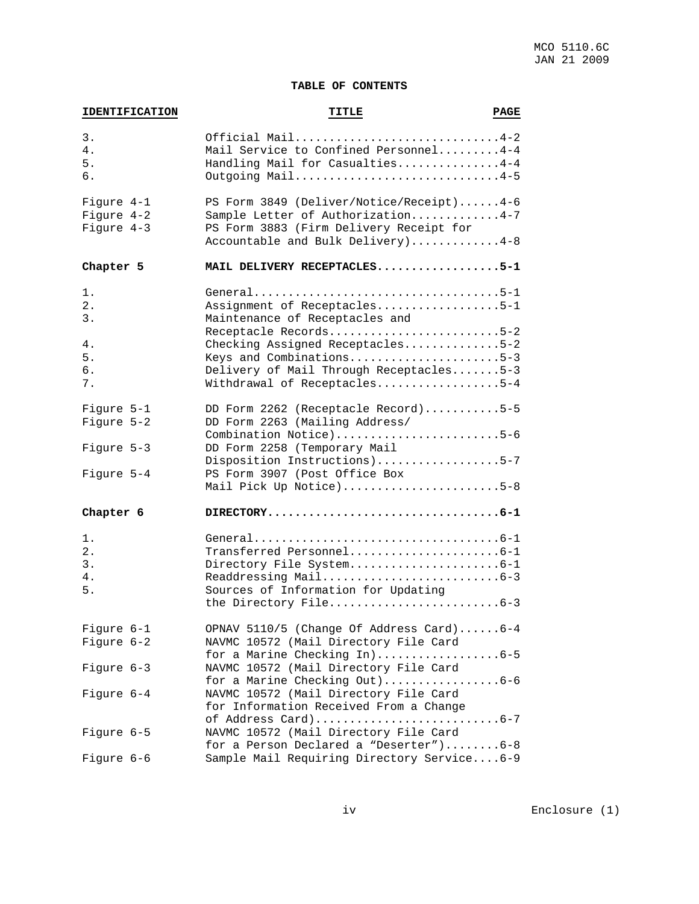# **TABLE OF CONTENTS**

| <b>IDENTIFICATION</b>                     | TITLE                                                                                                                                                                                                                              | <b>PAGE</b> |
|-------------------------------------------|------------------------------------------------------------------------------------------------------------------------------------------------------------------------------------------------------------------------------------|-------------|
| 3.<br>4.<br>5.<br>б.                      | Official Mail4-2<br>Mail Service to Confined Personnel4-4<br>Handling Mail for Casualties4-4<br>Outgoing Mail4-5                                                                                                                   |             |
| Figure 4-1<br>Figure 4-2<br>Figure 4-3    | PS Form 3849 (Deliver/Notice/Receipt)4-6<br>Sample Letter of Authorization4-7<br>PS Form 3883 (Firm Delivery Receipt for<br>Accountable and Bulk Delivery)4-8                                                                      |             |
| Chapter 5                                 | MAIL DELIVERY RECEPTACLES5-1                                                                                                                                                                                                       |             |
| 1.<br>$2$ .<br>3.<br>4.<br>5.<br>б.<br>7. | Assignment of Receptacles5-1<br>Maintenance of Receptacles and<br>Receptacle Records5-2<br>Checking Assigned Receptacles5-2<br>Keys and Combinations5-3<br>Delivery of Mail Through Receptacles5-3<br>Withdrawal of Receptacles5-4 |             |
| Figure 5-1<br>Figure 5-2                  | DD Form 2262 (Receptacle Record)5-5<br>DD Form 2263 (Mailing Address/                                                                                                                                                              |             |
| Figure 5-3<br>Figure 5-4                  | Combination Notice)5-6<br>DD Form 2258 (Temporary Mail<br>Disposition Instructions)5-7<br>PS Form 3907 (Post Office Box<br>Mail Pick Up Notice)5-8                                                                                 |             |
| Chapter 6                                 | $\texttt{DIFFCTORY} \dots \dots \dots \dots \dots \dots \dots \dots \dots \dots \dots \dots \dots \dots \dots \dots$                                                                                                               |             |
| 1.<br>$2$ .<br>3.<br>4.<br>5.             | Transferred Personnel6-1<br>Directory File System6-1<br>Sources of Information for Updating<br>the Directory File6-3                                                                                                               |             |
| Figure 6-1<br>Figure 6-2                  | OPNAV 5110/5 (Change Of Address Card)6-4<br>NAVMC 10572 (Mail Directory File Card                                                                                                                                                  |             |
| Figure 6-3                                | for a Marine Checking In)6-5<br>NAVMC 10572 (Mail Directory File Card<br>for a Marine Checking Out)6-6                                                                                                                             |             |
| Figure 6-4                                | NAVMC 10572 (Mail Directory File Card<br>for Information Received From a Change                                                                                                                                                    |             |
| Figure 6-5                                | NAVMC 10572 (Mail Directory File Card<br>for a Person Declared a "Deserter")6-8                                                                                                                                                    |             |
| Figure 6-6                                | Sample Mail Requiring Directory Service6-9                                                                                                                                                                                         |             |

iv Enclosure (1)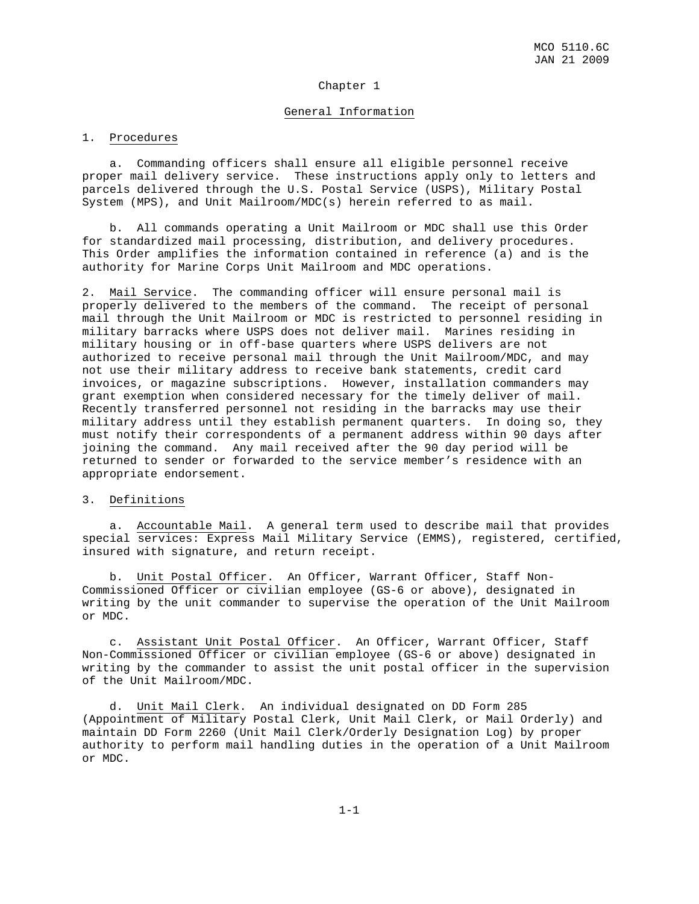#### Chapter 1

#### General Information

#### 1. Procedures

 a. Commanding officers shall ensure all eligible personnel receive proper mail delivery service. These instructions apply only to letters and parcels delivered through the U.S. Postal Service (USPS), Military Postal System (MPS), and Unit Mailroom/MDC(s) herein referred to as mail.

 b. All commands operating a Unit Mailroom or MDC shall use this Order for standardized mail processing, distribution, and delivery procedures. This Order amplifies the information contained in reference (a) and is the authority for Marine Corps Unit Mailroom and MDC operations.

2. Mail Service. The commanding officer will ensure personal mail is properly delivered to the members of the command. The receipt of personal mail through the Unit Mailroom or MDC is restricted to personnel residing in military barracks where USPS does not deliver mail. Marines residing in military housing or in off-base quarters where USPS delivers are not authorized to receive personal mail through the Unit Mailroom/MDC, and may not use their military address to receive bank statements, credit card invoices, or magazine subscriptions. However, installation commanders may grant exemption when considered necessary for the timely deliver of mail. Recently transferred personnel not residing in the barracks may use their military address until they establish permanent quarters. In doing so, they must notify their correspondents of a permanent address within 90 days after joining the command. Any mail received after the 90 day period will be returned to sender or forwarded to the service member's residence with an appropriate endorsement.

#### 3. Definitions

 a. Accountable Mail. A general term used to describe mail that provides special services: Express Mail Military Service (EMMS), registered, certified, insured with signature, and return receipt.

 b. Unit Postal Officer. An Officer, Warrant Officer, Staff Non-Commissioned Officer or civilian employee (GS-6 or above), designated in writing by the unit commander to supervise the operation of the Unit Mailroom or MDC.

 c. Assistant Unit Postal Officer. An Officer, Warrant Officer, Staff Non-Commissioned Officer or civilian employee (GS-6 or above) designated in writing by the commander to assist the unit postal officer in the supervision of the Unit Mailroom/MDC.

 d. Unit Mail Clerk. An individual designated on DD Form 285 (Appointment of Military Postal Clerk, Unit Mail Clerk, or Mail Orderly) and maintain DD Form 2260 (Unit Mail Clerk/Orderly Designation Log) by proper authority to perform mail handling duties in the operation of a Unit Mailroom or MDC.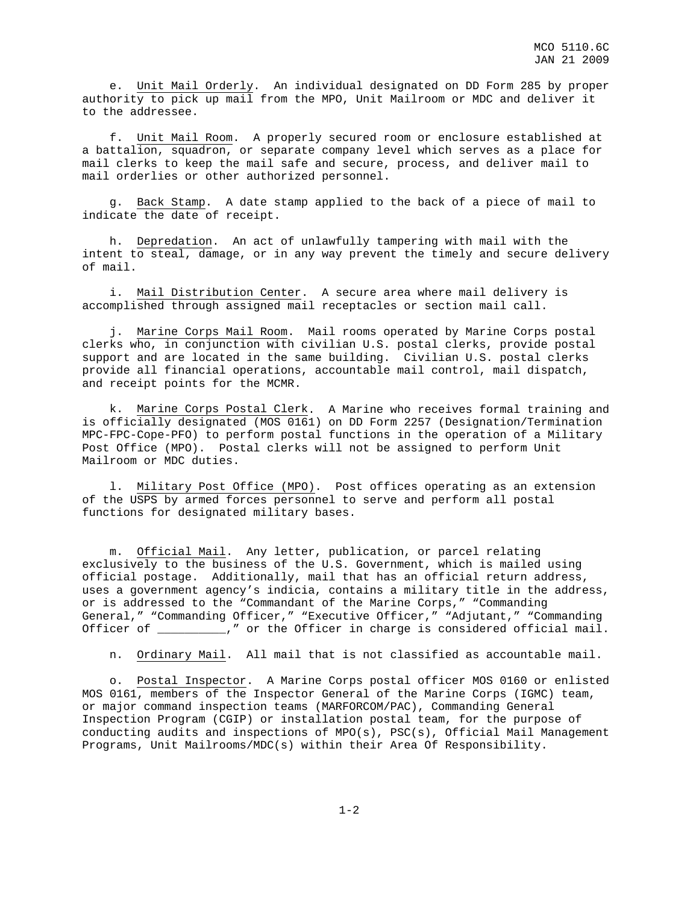e. Unit Mail Orderly. An individual designated on DD Form 285 by proper authority to pick up mail from the MPO, Unit Mailroom or MDC and deliver it to the addressee.

 f. Unit Mail Room. A properly secured room or enclosure established at a battalion, squadron, or separate company level which serves as a place for mail clerks to keep the mail safe and secure, process, and deliver mail to mail orderlies or other authorized personnel.

 g. Back Stamp. A date stamp applied to the back of a piece of mail to indicate the date of receipt.

 h. Depredation. An act of unlawfully tampering with mail with the intent to steal, damage, or in any way prevent the timely and secure delivery of mail.

 i. Mail Distribution Center. A secure area where mail delivery is accomplished through assigned mail receptacles or section mail call.

 j. Marine Corps Mail Room. Mail rooms operated by Marine Corps postal clerks who, in conjunction with civilian U.S. postal clerks, provide postal support and are located in the same building. Civilian U.S. postal clerks provide all financial operations, accountable mail control, mail dispatch, and receipt points for the MCMR.

 k. Marine Corps Postal Clerk. A Marine who receives formal training and is officially designated (MOS 0161) on DD Form 2257 (Designation/Termination MPC-FPC-Cope-PFO) to perform postal functions in the operation of a Military Post Office (MPO). Postal clerks will not be assigned to perform Unit Mailroom or MDC duties.

1. Military Post Office (MPO). Post offices operating as an extension of the USPS by armed forces personnel to serve and perform all postal functions for designated military bases.

 m. Official Mail. Any letter, publication, or parcel relating exclusively to the business of the U.S. Government, which is mailed using official postage. Additionally, mail that has an official return address, uses a government agency's indicia, contains a military title in the address, or is addressed to the "Commandant of the Marine Corps," "Commanding General," "Commanding Officer," "Executive Officer," "Adjutant," "Commanding Officer of \_\_\_\_\_\_\_\_\_\_," or the Officer in charge is considered official mail.

n. Ordinary Mail. All mail that is not classified as accountable mail.

 o. Postal Inspector. A Marine Corps postal officer MOS 0160 or enlisted MOS 0161, members of the Inspector General of the Marine Corps (IGMC) team, or major command inspection teams (MARFORCOM/PAC), Commanding General Inspection Program (CGIP) or installation postal team, for the purpose of conducting audits and inspections of MPO(s), PSC(s), Official Mail Management Programs, Unit Mailrooms/MDC(s) within their Area Of Responsibility.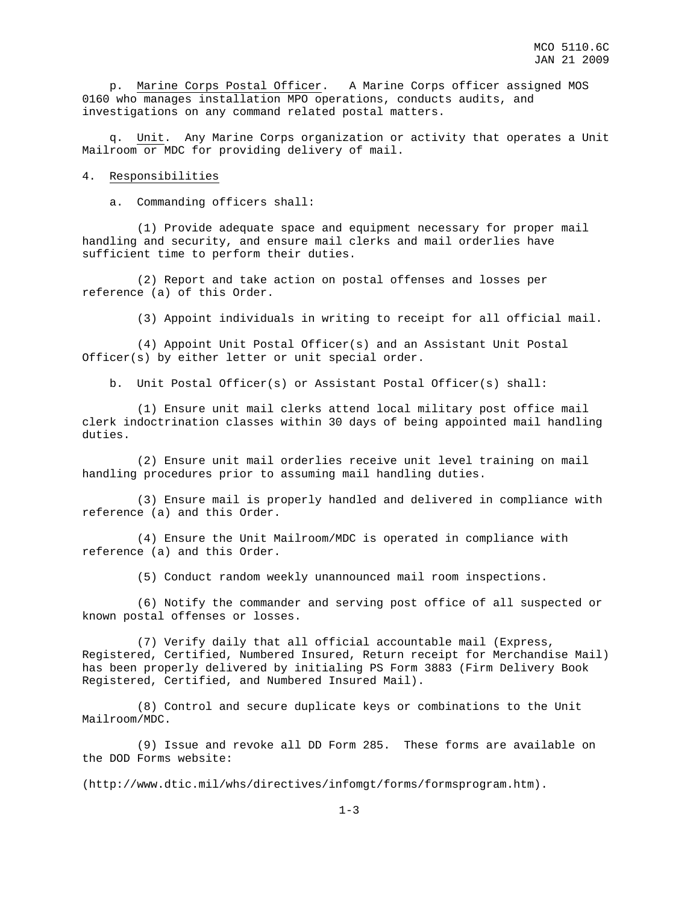p. Marine Corps Postal Officer. A Marine Corps officer assigned MOS 0160 who manages installation MPO operations, conducts audits, and investigations on any command related postal matters.

Unit. Any Marine Corps organization or activity that operates a Unit Mailroom or MDC for providing delivery of mail.

#### 4. Responsibilities

a. Commanding officers shall:

 (1) Provide adequate space and equipment necessary for proper mail handling and security, and ensure mail clerks and mail orderlies have sufficient time to perform their duties.

 (2) Report and take action on postal offenses and losses per reference (a) of this Order.

(3) Appoint individuals in writing to receipt for all official mail.

 (4) Appoint Unit Postal Officer(s) and an Assistant Unit Postal Officer(s) by either letter or unit special order.

b. Unit Postal Officer(s) or Assistant Postal Officer(s) shall:

 (1) Ensure unit mail clerks attend local military post office mail clerk indoctrination classes within 30 days of being appointed mail handling duties.

 (2) Ensure unit mail orderlies receive unit level training on mail handling procedures prior to assuming mail handling duties.

 (3) Ensure mail is properly handled and delivered in compliance with reference (a) and this Order.

 (4) Ensure the Unit Mailroom/MDC is operated in compliance with reference (a) and this Order.

(5) Conduct random weekly unannounced mail room inspections.

 (6) Notify the commander and serving post office of all suspected or known postal offenses or losses.

 (7) Verify daily that all official accountable mail (Express, Registered, Certified, Numbered Insured, Return receipt for Merchandise Mail) has been properly delivered by initialing PS Form 3883 (Firm Delivery Book Registered, Certified, and Numbered Insured Mail).

 (8) Control and secure duplicate keys or combinations to the Unit Mailroom/MDC.

 (9) Issue and revoke all DD Form 285. These forms are available on the DOD Forms website:

(http://www.dtic.mil/whs/directives/infomgt/forms/formsprogram.htm).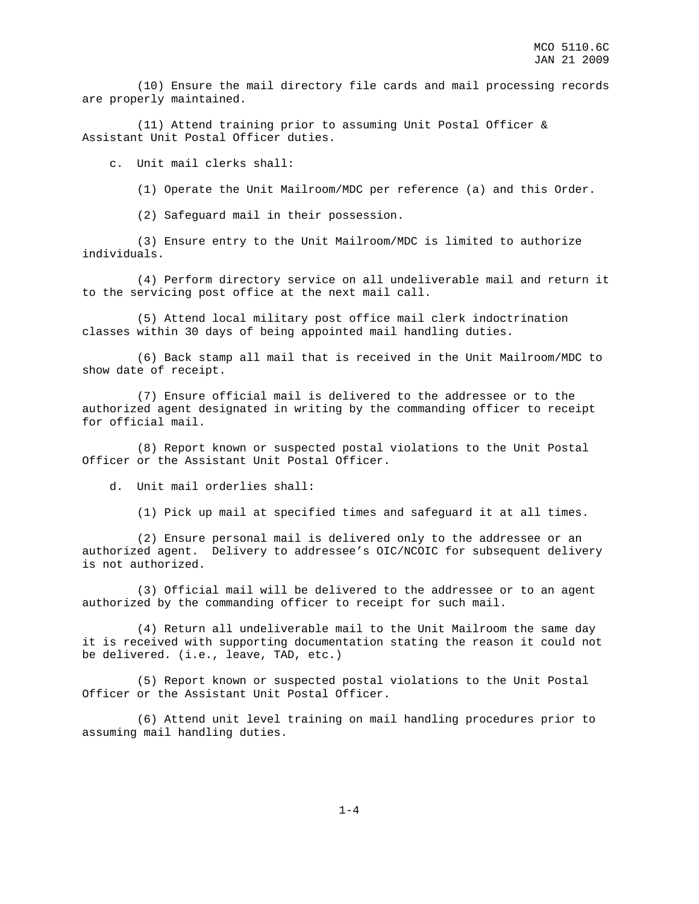(10) Ensure the mail directory file cards and mail processing records are properly maintained.

 (11) Attend training prior to assuming Unit Postal Officer & Assistant Unit Postal Officer duties.

c. Unit mail clerks shall:

(1) Operate the Unit Mailroom/MDC per reference (a) and this Order.

(2) Safeguard mail in their possession.

 (3) Ensure entry to the Unit Mailroom/MDC is limited to authorize individuals.

 (4) Perform directory service on all undeliverable mail and return it to the servicing post office at the next mail call.

 (5) Attend local military post office mail clerk indoctrination classes within 30 days of being appointed mail handling duties.

 (6) Back stamp all mail that is received in the Unit Mailroom/MDC to show date of receipt.

 (7) Ensure official mail is delivered to the addressee or to the authorized agent designated in writing by the commanding officer to receipt for official mail.

 (8) Report known or suspected postal violations to the Unit Postal Officer or the Assistant Unit Postal Officer.

d. Unit mail orderlies shall:

(1) Pick up mail at specified times and safeguard it at all times.

 (2) Ensure personal mail is delivered only to the addressee or an authorized agent. Delivery to addressee's OIC/NCOIC for subsequent delivery is not authorized.

 (3) Official mail will be delivered to the addressee or to an agent authorized by the commanding officer to receipt for such mail.

 (4) Return all undeliverable mail to the Unit Mailroom the same day it is received with supporting documentation stating the reason it could not be delivered. (i.e., leave, TAD, etc.)

 (5) Report known or suspected postal violations to the Unit Postal Officer or the Assistant Unit Postal Officer.

 (6) Attend unit level training on mail handling procedures prior to assuming mail handling duties.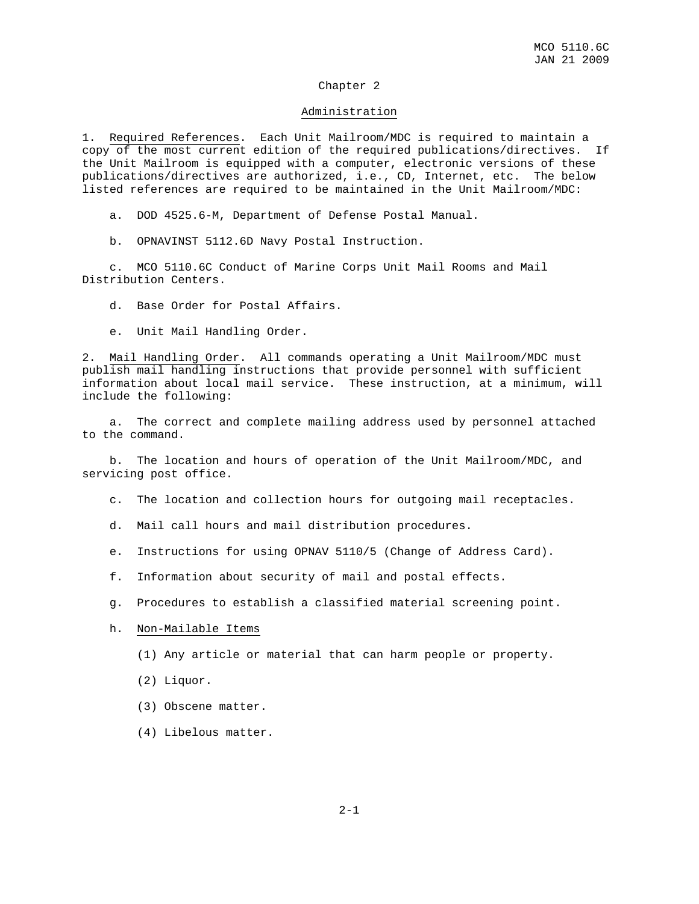#### Chapter 2

#### Administration

1. Required References. Each Unit Mailroom/MDC is required to maintain a copy of the most current edition of the required publications/directives. If the Unit Mailroom is equipped with a computer, electronic versions of these publications/directives are authorized, i.e., CD, Internet, etc. The below listed references are required to be maintained in the Unit Mailroom/MDC:

- a. DOD 4525.6-M, Department of Defense Postal Manual.
- b. OPNAVINST 5112.6D Navy Postal Instruction.

 c. MCO 5110.6C Conduct of Marine Corps Unit Mail Rooms and Mail Distribution Centers.

d. Base Order for Postal Affairs.

e. Unit Mail Handling Order.

2. Mail Handling Order. All commands operating a Unit Mailroom/MDC must publish mail handling instructions that provide personnel with sufficient information about local mail service. These instruction, at a minimum, will include the following:

 a. The correct and complete mailing address used by personnel attached to the command.

 b. The location and hours of operation of the Unit Mailroom/MDC, and servicing post office.

- c. The location and collection hours for outgoing mail receptacles.
- d. Mail call hours and mail distribution procedures.
- e. Instructions for using OPNAV 5110/5 (Change of Address Card).
- f. Information about security of mail and postal effects.
- g. Procedures to establish a classified material screening point.
- h. Non-Mailable Items
	- (1) Any article or material that can harm people or property.
	- (2) Liquor.
	- (3) Obscene matter.
	- (4) Libelous matter.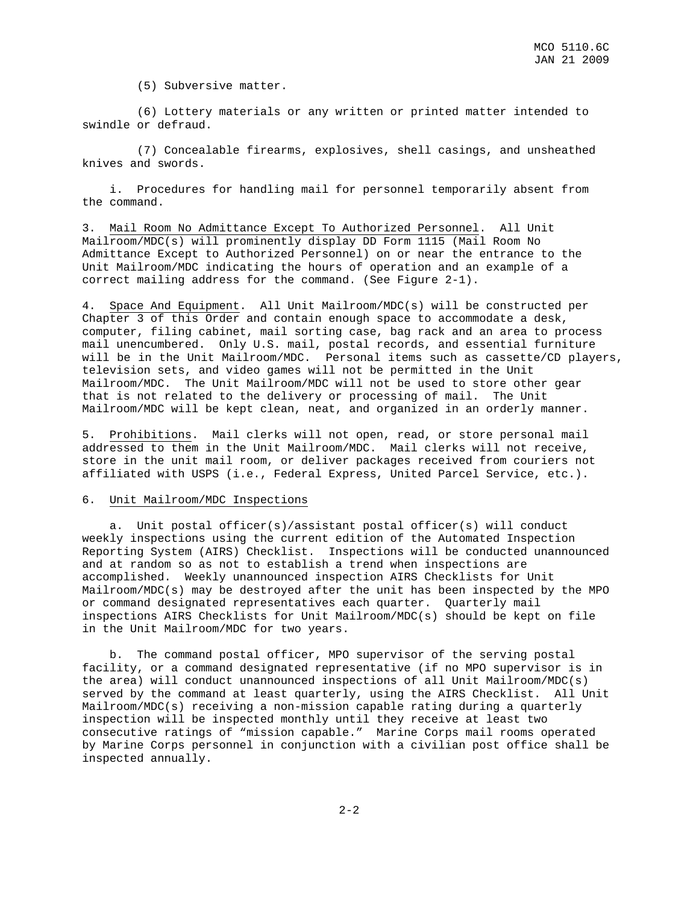(5) Subversive matter.

 (6) Lottery materials or any written or printed matter intended to swindle or defraud.

 (7) Concealable firearms, explosives, shell casings, and unsheathed knives and swords.

 i. Procedures for handling mail for personnel temporarily absent from the command.

3. Mail Room No Admittance Except To Authorized Personnel. All Unit Mailroom/MDC(s) will prominently display DD Form 1115 (Mail Room No Admittance Except to Authorized Personnel) on or near the entrance to the Unit Mailroom/MDC indicating the hours of operation and an example of a correct mailing address for the command. (See Figure 2-1).

4. Space And Equipment. All Unit Mailroom/MDC(s) will be constructed per Chapter 3 of this Order and contain enough space to accommodate a desk, computer, filing cabinet, mail sorting case, bag rack and an area to process mail unencumbered. Only U.S. mail, postal records, and essential furniture will be in the Unit Mailroom/MDC. Personal items such as cassette/CD players, television sets, and video games will not be permitted in the Unit Mailroom/MDC. The Unit Mailroom/MDC will not be used to store other gear that is not related to the delivery or processing of mail. The Unit Mailroom/MDC will be kept clean, neat, and organized in an orderly manner.

5. Prohibitions. Mail clerks will not open, read, or store personal mail addressed to them in the Unit Mailroom/MDC. Mail clerks will not receive, store in the unit mail room, or deliver packages received from couriers not affiliated with USPS (i.e., Federal Express, United Parcel Service, etc.).

#### 6. Unit Mailroom/MDC Inspections

 a. Unit postal officer(s)/assistant postal officer(s) will conduct weekly inspections using the current edition of the Automated Inspection Reporting System (AIRS) Checklist. Inspections will be conducted unannounced and at random so as not to establish a trend when inspections are accomplished. Weekly unannounced inspection AIRS Checklists for Unit Mailroom/MDC(s) may be destroyed after the unit has been inspected by the MPO or command designated representatives each quarter. Quarterly mail inspections AIRS Checklists for Unit Mailroom/MDC(s) should be kept on file in the Unit Mailroom/MDC for two years.

 b. The command postal officer, MPO supervisor of the serving postal facility, or a command designated representative (if no MPO supervisor is in the area) will conduct unannounced inspections of all Unit Mailroom/MDC(s) served by the command at least quarterly, using the AIRS Checklist. All Unit Mailroom/MDC(s) receiving a non-mission capable rating during a quarterly inspection will be inspected monthly until they receive at least two consecutive ratings of "mission capable." Marine Corps mail rooms operated by Marine Corps personnel in conjunction with a civilian post office shall be inspected annually.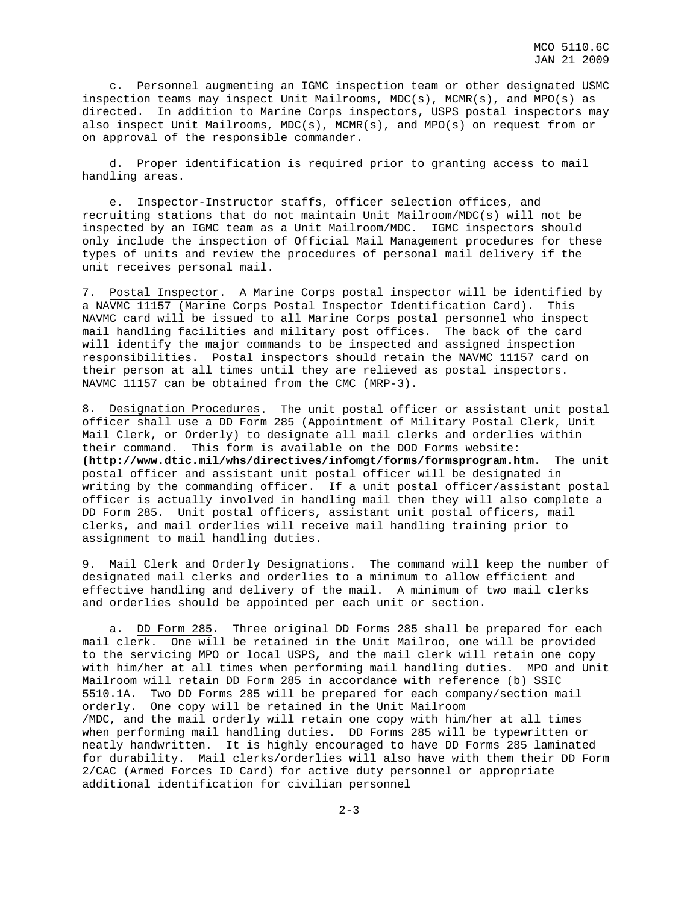c. Personnel augmenting an IGMC inspection team or other designated USMC inspection teams may inspect Unit Mailrooms, MDC(s), MCMR(s), and MPO(s) as directed. In addition to Marine Corps inspectors, USPS postal inspectors may also inspect Unit Mailrooms, MDC(s), MCMR(s), and MPO(s) on request from or on approval of the responsible commander.

 d. Proper identification is required prior to granting access to mail handling areas.

 e. Inspector-Instructor staffs, officer selection offices, and recruiting stations that do not maintain Unit Mailroom/MDC(s) will not be inspected by an IGMC team as a Unit Mailroom/MDC. IGMC inspectors should only include the inspection of Official Mail Management procedures for these types of units and review the procedures of personal mail delivery if the unit receives personal mail.

7. Postal Inspector. A Marine Corps postal inspector will be identified by a NAVMC 11157 (Marine Corps Postal Inspector Identification Card). This NAVMC card will be issued to all Marine Corps postal personnel who inspect mail handling facilities and military post offices. The back of the card will identify the major commands to be inspected and assigned inspection responsibilities. Postal inspectors should retain the NAVMC 11157 card on their person at all times until they are relieved as postal inspectors. NAVMC 11157 can be obtained from the CMC (MRP-3).

8. Designation Procedures. The unit postal officer or assistant unit postal officer shall use a DD Form 285 (Appointment of Military Postal Clerk, Unit Mail Clerk, or Orderly) to designate all mail clerks and orderlies within their command. This form is available on the DOD Forms website: **(http://www.dtic.mil/whs/directives/infomgt/forms/formsprogram.htm.** The unit postal officer and assistant unit postal officer will be designated in writing by the commanding officer. If a unit postal officer/assistant postal officer is actually involved in handling mail then they will also complete a DD Form 285. Unit postal officers, assistant unit postal officers, mail clerks, and mail orderlies will receive mail handling training prior to assignment to mail handling duties.

9. Mail Clerk and Orderly Designations. The command will keep the number of designated mail clerks and orderlies to a minimum to allow efficient and effective handling and delivery of the mail. A minimum of two mail clerks and orderlies should be appointed per each unit or section.

 a. DD Form 285. Three original DD Forms 285 shall be prepared for each mail clerk. One will be retained in the Unit Mailroo, one will be provided to the servicing MPO or local USPS, and the mail clerk will retain one copy with him/her at all times when performing mail handling duties. MPO and Unit Mailroom will retain DD Form 285 in accordance with reference (b) SSIC 5510.1A. Two DD Forms 285 will be prepared for each company/section mail orderly. One copy will be retained in the Unit Mailroom /MDC, and the mail orderly will retain one copy with him/her at all times when performing mail handling duties. DD Forms 285 will be typewritten or neatly handwritten. It is highly encouraged to have DD Forms 285 laminated for durability. Mail clerks/orderlies will also have with them their DD Form 2/CAC (Armed Forces ID Card) for active duty personnel or appropriate additional identification for civilian personnel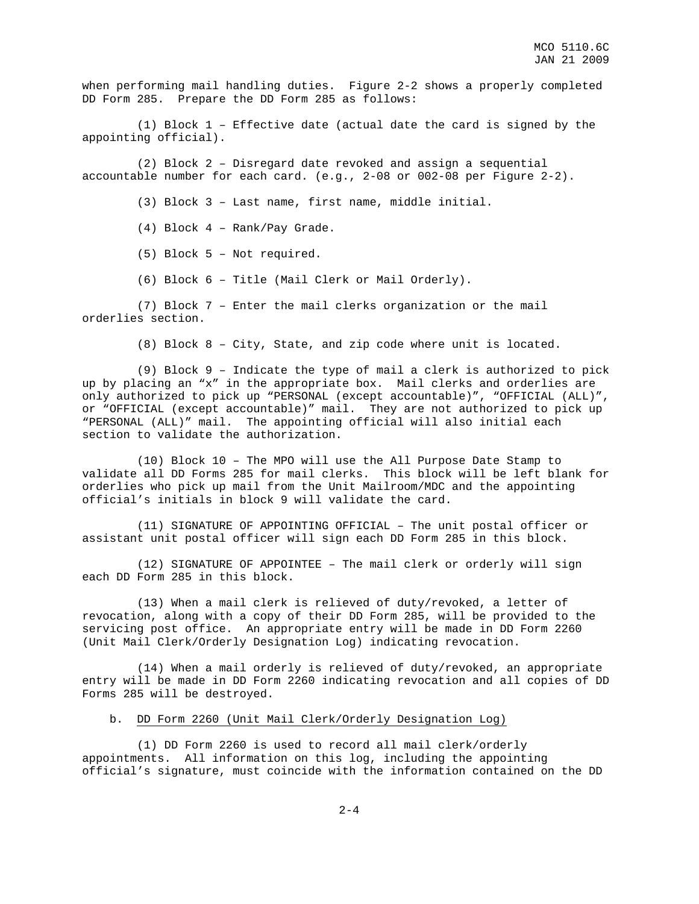when performing mail handling duties. Figure 2-2 shows a properly completed DD Form 285. Prepare the DD Form 285 as follows:

 (1) Block 1 – Effective date (actual date the card is signed by the appointing official).

 (2) Block 2 – Disregard date revoked and assign a sequential accountable number for each card. (e.g., 2-08 or 002-08 per Figure 2-2).

(3) Block 3 – Last name, first name, middle initial.

(4) Block 4 – Rank/Pay Grade.

(5) Block 5 – Not required.

(6) Block 6 – Title (Mail Clerk or Mail Orderly).

 (7) Block 7 – Enter the mail clerks organization or the mail orderlies section.

(8) Block 8 – City, State, and zip code where unit is located.

 (9) Block 9 – Indicate the type of mail a clerk is authorized to pick up by placing an "x" in the appropriate box. Mail clerks and orderlies are only authorized to pick up "PERSONAL (except accountable)", "OFFICIAL (ALL)", or "OFFICIAL (except accountable)" mail. They are not authorized to pick up "PERSONAL (ALL)" mail. The appointing official will also initial each section to validate the authorization.

 (10) Block 10 – The MPO will use the All Purpose Date Stamp to validate all DD Forms 285 for mail clerks. This block will be left blank for orderlies who pick up mail from the Unit Mailroom/MDC and the appointing official's initials in block 9 will validate the card.

 (11) SIGNATURE OF APPOINTING OFFICIAL – The unit postal officer or assistant unit postal officer will sign each DD Form 285 in this block.

 (12) SIGNATURE OF APPOINTEE – The mail clerk or orderly will sign each DD Form 285 in this block.

 (13) When a mail clerk is relieved of duty/revoked, a letter of revocation, along with a copy of their DD Form 285, will be provided to the servicing post office. An appropriate entry will be made in DD Form 2260 (Unit Mail Clerk/Orderly Designation Log) indicating revocation.

 (14) When a mail orderly is relieved of duty/revoked, an appropriate entry will be made in DD Form 2260 indicating revocation and all copies of DD Forms 285 will be destroyed.

b. DD Form 2260 (Unit Mail Clerk/Orderly Designation Log)

 (1) DD Form 2260 is used to record all mail clerk/orderly appointments. All information on this log, including the appointing official's signature, must coincide with the information contained on the DD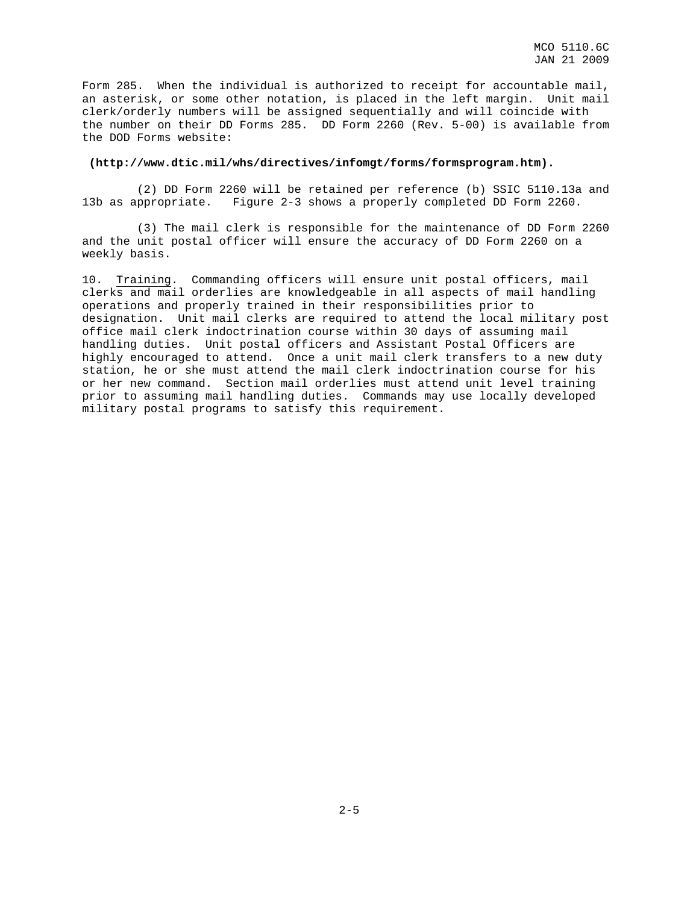Form 285. When the individual is authorized to receipt for accountable mail, an asterisk, or some other notation, is placed in the left margin. Unit mail clerk/orderly numbers will be assigned sequentially and will coincide with the number on their DD Forms 285. DD Form 2260 (Rev. 5-00) is available from the DOD Forms website:

#### **(http://www.dtic.mil/whs/directives/infomgt/forms/formsprogram.htm).**

 (2) DD Form 2260 will be retained per reference (b) SSIC 5110.13a and 13b as appropriate. Figure 2-3 shows a properly completed DD Form 2260.

 (3) The mail clerk is responsible for the maintenance of DD Form 2260 and the unit postal officer will ensure the accuracy of DD Form 2260 on a weekly basis.

10. Training. Commanding officers will ensure unit postal officers, mail clerks and mail orderlies are knowledgeable in all aspects of mail handling operations and properly trained in their responsibilities prior to designation. Unit mail clerks are required to attend the local military post office mail clerk indoctrination course within 30 days of assuming mail handling duties. Unit postal officers and Assistant Postal Officers are highly encouraged to attend. Once a unit mail clerk transfers to a new duty station, he or she must attend the mail clerk indoctrination course for his or her new command. Section mail orderlies must attend unit level training prior to assuming mail handling duties. Commands may use locally developed military postal programs to satisfy this requirement.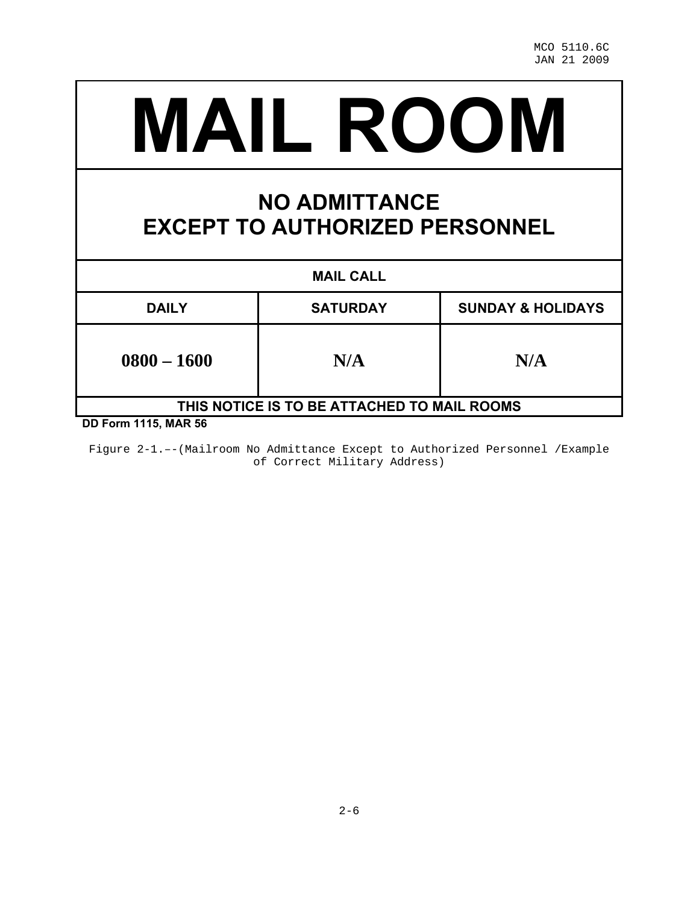# **MAIL ROOM**

# **NO ADMITTANCE EXCEPT TO AUTHORIZED PERSONNEL**

| <b>MAIL CALL</b>                            |                 |                              |  |  |  |  |  |
|---------------------------------------------|-----------------|------------------------------|--|--|--|--|--|
| <b>DAILY</b>                                | <b>SATURDAY</b> | <b>SUNDAY &amp; HOLIDAYS</b> |  |  |  |  |  |
| $0800 - 1600$                               | N/A             | N/A                          |  |  |  |  |  |
| THIS NOTICE IS TO BE ATTACHED TO MAIL ROOMS |                 |                              |  |  |  |  |  |

**DD Form 1115, MAR 56** 

Figure 2-1.–-(Mailroom No Admittance Except to Authorized Personnel /Example of Correct Military Address)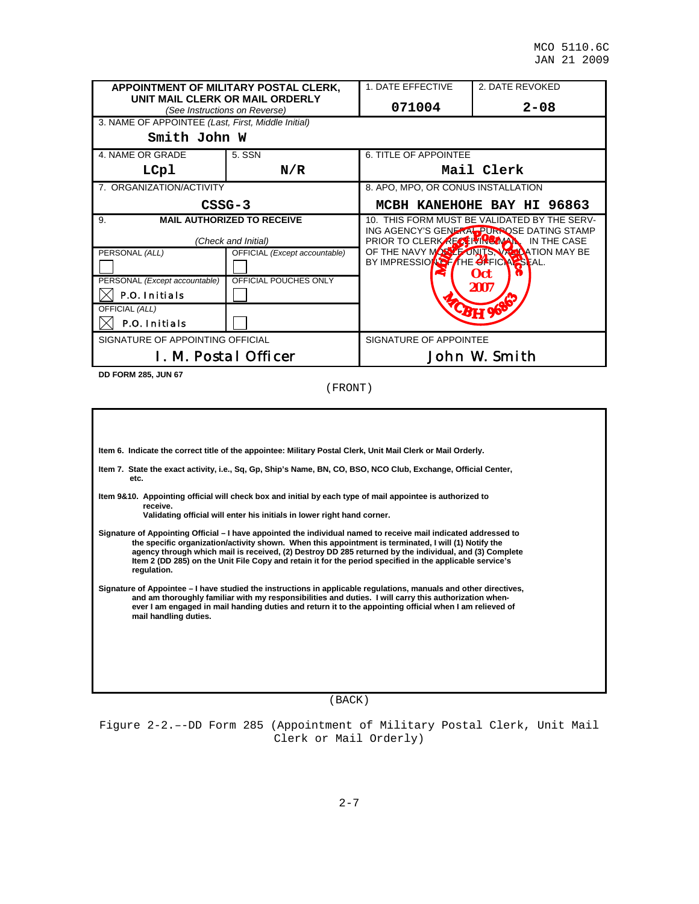|                                                    | APPOINTMENT OF MILITARY POSTAL CLERK,<br>UNIT MAIL CLERK OR MAIL ORDERLY | 1. DATE EFFECTIVE                                                                                                                      | 2. DATE REVOKED                           |  |  |
|----------------------------------------------------|--------------------------------------------------------------------------|----------------------------------------------------------------------------------------------------------------------------------------|-------------------------------------------|--|--|
|                                                    | (See Instructions on Reverse)                                            | 071004                                                                                                                                 | $2 - 08$                                  |  |  |
| 3. NAME OF APPOINTEE (Last, First, Middle Initial) |                                                                          |                                                                                                                                        |                                           |  |  |
| Smith John W                                       |                                                                          |                                                                                                                                        |                                           |  |  |
| 4. NAME OR GRADE                                   | 5. SSN                                                                   | 6. TITLE OF APPOINTEE                                                                                                                  |                                           |  |  |
| LCpl                                               | N/R                                                                      |                                                                                                                                        | Mail Clerk                                |  |  |
| 7. ORGANIZATION/ACTIVITY                           |                                                                          | 8. APO, MPO, OR CONUS INSTALLATION                                                                                                     |                                           |  |  |
|                                                    | $CSSG-3$                                                                 | MCBH KANEHOHE BAY HI 96863                                                                                                             |                                           |  |  |
| 9.                                                 | <b>MAIL AUTHORIZED TO RECEIVE</b>                                        | 10. THIS FORM MUST BE VALIDATED BY THE SERV-<br>ING AGENCY'S GENERAL PURPOSE DATING STAMP<br>PRIOR TO CLERK RECEIVING MAN. IN THE CASE |                                           |  |  |
|                                                    | (Check and Initial)                                                      |                                                                                                                                        |                                           |  |  |
| PERSONAL (ALL)                                     | OFFICIAL (Except accountable)                                            |                                                                                                                                        | OF THE NAVY MORE FONITS, VALUATION MAY BE |  |  |
|                                                    |                                                                          | BY IMPRESSION FITHE OFFICIAL SEAL.                                                                                                     | <b>Oct</b>                                |  |  |
| PERSONAL (Except accountable)                      | OFFICIAL POUCHES ONLY                                                    | 2007                                                                                                                                   |                                           |  |  |
| <b>P.O. Initials</b>                               |                                                                          |                                                                                                                                        |                                           |  |  |
| OFFICIAL (ALL)                                     |                                                                          |                                                                                                                                        | <b>-BH 96</b>                             |  |  |
| <b>P.O. Initials</b>                               |                                                                          |                                                                                                                                        |                                           |  |  |
| SIGNATURE OF APPOINTING OFFICIAL                   |                                                                          | SIGNATURE OF APPOINTEE                                                                                                                 |                                           |  |  |
|                                                    | <b>I. M. Postal Officer</b>                                              |                                                                                                                                        | <b>John W. Smith</b>                      |  |  |

**DD FORM 285, JUN 67**

(FRONT)

**Item 6. Indicate the correct title of the appointee: Military Postal Clerk, Unit Mail Clerk or Mail Orderly.** 

- **Item 7. State the exact activity, i.e., Sq, Gp, Ship's Name, BN, CO, BSO, NCO Club, Exchange, Official Center, etc.**
- **Item 9&10. Appointing official will check box and initial by each type of mail appointee is authorized to receive.**

 **Validating official will enter his initials in lower right hand corner.** 

**Signature of Appointing Official – I have appointed the individual named to receive mail indicated addressed to the specific organization/activity shown. When this appointment is terminated, I will (1) Notify the agency through which mail is received, (2) Destroy DD 285 returned by the individual, and (3) Complete Item 2 (DD 285) on the Unit File Copy and retain it for the period specified in the applicable service's regulation.** 

**Signature of Appointee – I have studied the instructions in applicable regulations, manuals and other directives, and am thoroughly familiar with my responsibilities and duties. I will carry this authorization when ever I am engaged in mail handing duties and return it to the appointing official when I am relieved of mail handling duties.** 

(BACK)

Figure 2-2.–-DD Form 285 (Appointment of Military Postal Clerk, Unit Mail Clerk or Mail Orderly)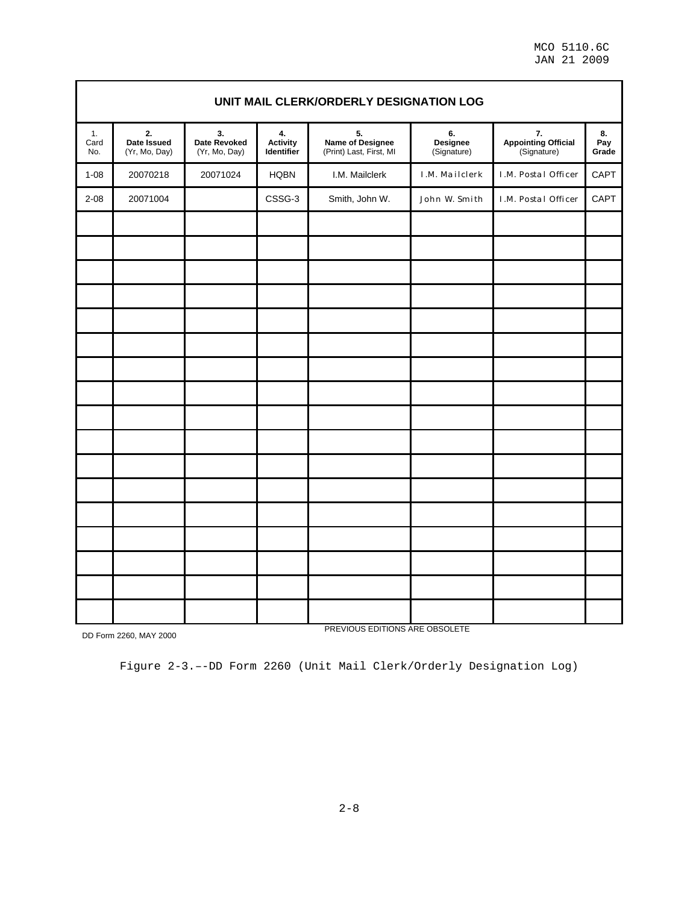MCO 5110.6C JAN 21 2009

|                   | UNIT MAIL CLERK/ORDERLY DESIGNATION LOG |                                     |                                     |                                                   |                               |                                          |                    |  |  |
|-------------------|-----------------------------------------|-------------------------------------|-------------------------------------|---------------------------------------------------|-------------------------------|------------------------------------------|--------------------|--|--|
| 1.<br>Card<br>No. | 2.<br>Date Issued<br>(Yr, Mo, Day)      | 3.<br>Date Revoked<br>(Yr, Mo, Day) | 4.<br><b>Activity</b><br>Identifier | 5.<br>Name of Designee<br>(Print) Last, First, MI | 6.<br>Designee<br>(Signature) | 7.<br>Appointing Official<br>(Signature) | 8.<br>Pay<br>Grade |  |  |
| $1 - 08$          | 20070218                                | 20071024                            | <b>HQBN</b>                         | I.M. Mailclerk                                    | <b>I.M. Mailclerk</b>         | <b>I.M. Postal Officer</b>               | CAPT               |  |  |
| $2 - 08$          | 20071004                                |                                     | CSSG-3                              | Smith, John W.                                    | John W. Smith                 | <b>I.M. Postal Officer</b>               | CAPT               |  |  |
|                   |                                         |                                     |                                     |                                                   |                               |                                          |                    |  |  |
|                   |                                         |                                     |                                     |                                                   |                               |                                          |                    |  |  |
|                   |                                         |                                     |                                     |                                                   |                               |                                          |                    |  |  |
|                   |                                         |                                     |                                     |                                                   |                               |                                          |                    |  |  |
|                   |                                         |                                     |                                     |                                                   |                               |                                          |                    |  |  |
|                   |                                         |                                     |                                     |                                                   |                               |                                          |                    |  |  |
|                   |                                         |                                     |                                     |                                                   |                               |                                          |                    |  |  |
|                   |                                         |                                     |                                     |                                                   |                               |                                          |                    |  |  |
|                   |                                         |                                     |                                     |                                                   |                               |                                          |                    |  |  |
|                   |                                         |                                     |                                     |                                                   |                               |                                          |                    |  |  |
|                   |                                         |                                     |                                     |                                                   |                               |                                          |                    |  |  |
|                   |                                         |                                     |                                     |                                                   |                               |                                          |                    |  |  |
|                   |                                         |                                     |                                     |                                                   |                               |                                          |                    |  |  |
|                   |                                         |                                     |                                     |                                                   |                               |                                          |                    |  |  |
|                   |                                         |                                     |                                     |                                                   |                               |                                          |                    |  |  |
|                   |                                         |                                     |                                     |                                                   |                               |                                          |                    |  |  |
|                   |                                         |                                     |                                     |                                                   |                               |                                          |                    |  |  |

DD Form 2260, MAY 2000

PREVIOUS EDITIONS ARE OBSOLETE

Figure 2-3.–-DD Form 2260 (Unit Mail Clerk/Orderly Designation Log)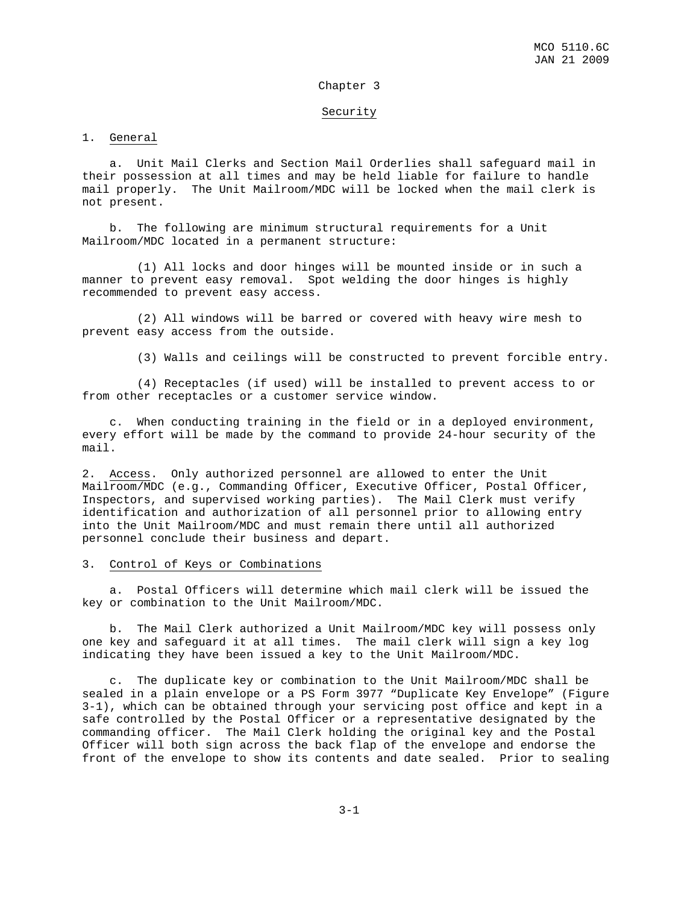#### Chapter 3

#### Security

#### 1. General

 a. Unit Mail Clerks and Section Mail Orderlies shall safeguard mail in their possession at all times and may be held liable for failure to handle mail properly. The Unit Mailroom/MDC will be locked when the mail clerk is not present.

 b. The following are minimum structural requirements for a Unit Mailroom/MDC located in a permanent structure:

 (1) All locks and door hinges will be mounted inside or in such a manner to prevent easy removal. Spot welding the door hinges is highly recommended to prevent easy access.

 (2) All windows will be barred or covered with heavy wire mesh to prevent easy access from the outside.

(3) Walls and ceilings will be constructed to prevent forcible entry.

 (4) Receptacles (if used) will be installed to prevent access to or from other receptacles or a customer service window.

 c. When conducting training in the field or in a deployed environment, every effort will be made by the command to provide 24-hour security of the mail.

2. Access. Only authorized personnel are allowed to enter the Unit Mailroom/MDC (e.g., Commanding Officer, Executive Officer, Postal Officer, Inspectors, and supervised working parties). The Mail Clerk must verify identification and authorization of all personnel prior to allowing entry into the Unit Mailroom/MDC and must remain there until all authorized personnel conclude their business and depart.

#### 3. Control of Keys or Combinations

 a. Postal Officers will determine which mail clerk will be issued the key or combination to the Unit Mailroom/MDC.

 b. The Mail Clerk authorized a Unit Mailroom/MDC key will possess only one key and safeguard it at all times. The mail clerk will sign a key log indicating they have been issued a key to the Unit Mailroom/MDC.

 c. The duplicate key or combination to the Unit Mailroom/MDC shall be sealed in a plain envelope or a PS Form 3977 "Duplicate Key Envelope" (Figure 3-1), which can be obtained through your servicing post office and kept in a safe controlled by the Postal Officer or a representative designated by the commanding officer. The Mail Clerk holding the original key and the Postal Officer will both sign across the back flap of the envelope and endorse the front of the envelope to show its contents and date sealed. Prior to sealing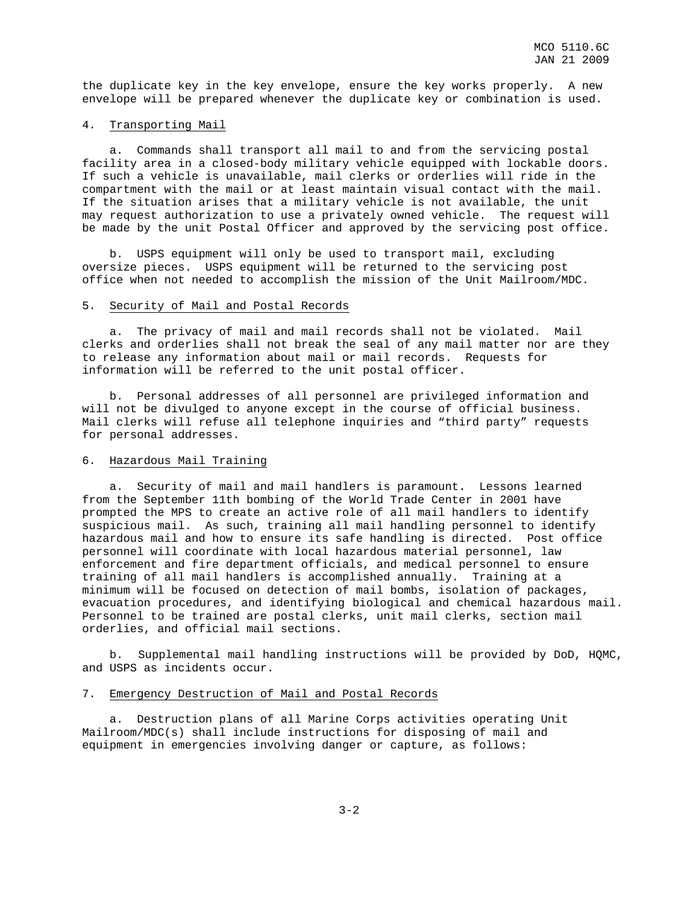the duplicate key in the key envelope, ensure the key works properly. A new envelope will be prepared whenever the duplicate key or combination is used.

#### 4. Transporting Mail

 a. Commands shall transport all mail to and from the servicing postal facility area in a closed-body military vehicle equipped with lockable doors. If such a vehicle is unavailable, mail clerks or orderlies will ride in the compartment with the mail or at least maintain visual contact with the mail. If the situation arises that a military vehicle is not available, the unit may request authorization to use a privately owned vehicle. The request will be made by the unit Postal Officer and approved by the servicing post office.

 b. USPS equipment will only be used to transport mail, excluding oversize pieces. USPS equipment will be returned to the servicing post office when not needed to accomplish the mission of the Unit Mailroom/MDC.

#### 5. Security of Mail and Postal Records

 a. The privacy of mail and mail records shall not be violated. Mail clerks and orderlies shall not break the seal of any mail matter nor are they to release any information about mail or mail records. Requests for information will be referred to the unit postal officer.

 b. Personal addresses of all personnel are privileged information and will not be divulged to anyone except in the course of official business. Mail clerks will refuse all telephone inquiries and "third party" requests for personal addresses.

#### 6. Hazardous Mail Training

 a. Security of mail and mail handlers is paramount. Lessons learned from the September 11th bombing of the World Trade Center in 2001 have prompted the MPS to create an active role of all mail handlers to identify suspicious mail. As such, training all mail handling personnel to identify hazardous mail and how to ensure its safe handling is directed. Post office personnel will coordinate with local hazardous material personnel, law enforcement and fire department officials, and medical personnel to ensure training of all mail handlers is accomplished annually. Training at a minimum will be focused on detection of mail bombs, isolation of packages, evacuation procedures, and identifying biological and chemical hazardous mail. Personnel to be trained are postal clerks, unit mail clerks, section mail orderlies, and official mail sections.

 b. Supplemental mail handling instructions will be provided by DoD, HQMC, and USPS as incidents occur.

#### 7. Emergency Destruction of Mail and Postal Records

 a. Destruction plans of all Marine Corps activities operating Unit Mailroom/MDC(s) shall include instructions for disposing of mail and equipment in emergencies involving danger or capture, as follows: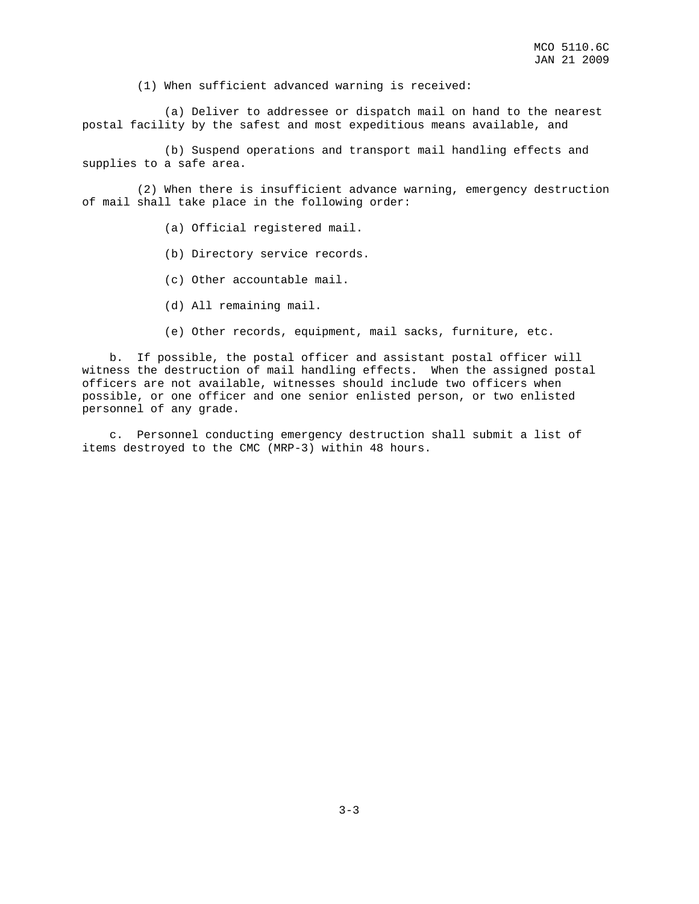(1) When sufficient advanced warning is received:

 (a) Deliver to addressee or dispatch mail on hand to the nearest postal facility by the safest and most expeditious means available, and

 (b) Suspend operations and transport mail handling effects and supplies to a safe area.

 (2) When there is insufficient advance warning, emergency destruction of mail shall take place in the following order:

- (a) Official registered mail.
- (b) Directory service records.
- (c) Other accountable mail.
- (d) All remaining mail.
- (e) Other records, equipment, mail sacks, furniture, etc.

 b. If possible, the postal officer and assistant postal officer will witness the destruction of mail handling effects. When the assigned postal officers are not available, witnesses should include two officers when possible, or one officer and one senior enlisted person, or two enlisted personnel of any grade.

 c. Personnel conducting emergency destruction shall submit a list of items destroyed to the CMC (MRP-3) within 48 hours.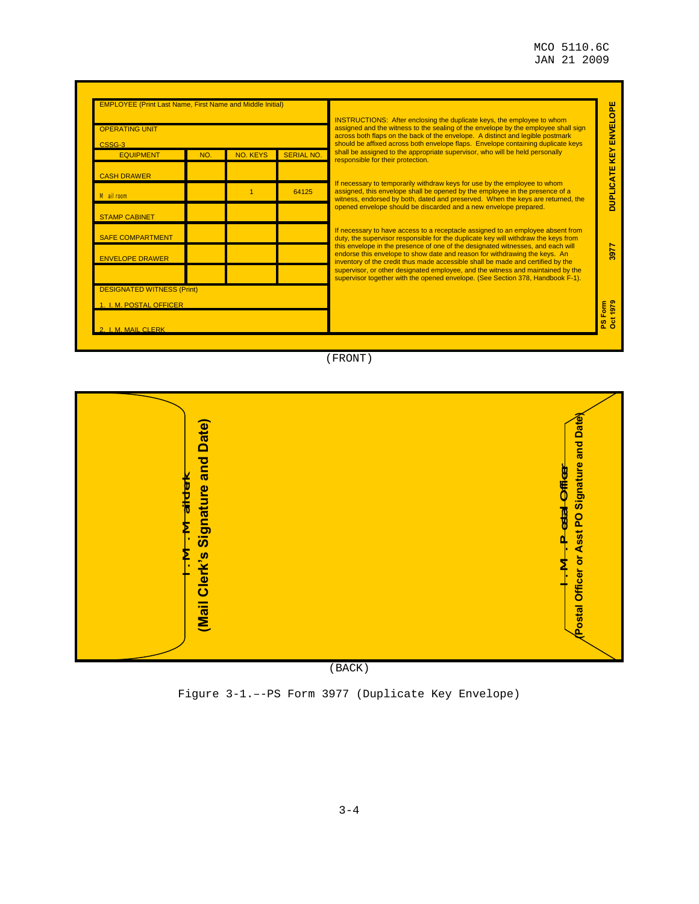| <b>OPERATING UNIT</b>             |     |                 |                   | <b>INSTRUCTIONS:</b> After enclosing the duplicate keys, the employee to whom<br>assigned and the witness to the sealing of the envelope by the employee shall sign<br>across both flaps on the back of the envelope. A distinct and legible postmark | <b>KEY ENVELOPE</b> |  |
|-----------------------------------|-----|-----------------|-------------------|-------------------------------------------------------------------------------------------------------------------------------------------------------------------------------------------------------------------------------------------------------|---------------------|--|
| CSSG-3<br><b>EQUIPMENT</b>        | NO. | <b>NO. KEYS</b> | <b>SERIAL NO.</b> | should be affixed across both envelope flaps. Envelope containing duplicate keys<br>shall be assigned to the appropriate supervisor, who will be held personally<br>responsible for their protection.                                                 |                     |  |
| <b>CASH DRAWER</b>                |     |                 |                   |                                                                                                                                                                                                                                                       |                     |  |
| Mail room                         |     |                 | 64125             | If necessary to temporarily withdraw keys for use by the employee to whom<br>assigned, this envelope shall be opened by the employee in the presence of a<br>witness, endorsed by both, dated and preserved. When the keys are returned, the          |                     |  |
| <b>STAMP CABINET</b>              |     |                 |                   | opened envelope should be discarded and a new envelope prepared.                                                                                                                                                                                      |                     |  |
| <b>SAFE COMPARTMENT</b>           |     |                 |                   | If necessary to have access to a receptacle assigned to an employee absent from<br>duty, the supervisor responsible for the duplicate key will withdraw the keys from                                                                                 |                     |  |
| <b>ENVELOPE DRAWER</b>            |     |                 |                   | this envelope in the presence of one of the designated witnesses, and each will<br>endorse this envelope to show date and reason for withdrawing the keys. An<br>inventory of the credit thus made accessible shall be made and certified by the      |                     |  |
|                                   |     |                 |                   | supervisor, or other designated employee, and the witness and maintained by the<br>supervisor together with the opened envelope. (See Section 378, Handbook F-1).                                                                                     |                     |  |
| <b>DESIGNATED WITNESS (Print)</b> |     |                 |                   |                                                                                                                                                                                                                                                       |                     |  |
| 1. I. M. POSTAL OFFICER           |     |                 |                   |                                                                                                                                                                                                                                                       | PS Form<br>Oct 1979 |  |
| <b>I. M. MAIL CLERK</b>           |     |                 |                   |                                                                                                                                                                                                                                                       |                     |  |

(FRONT)



(BACK)

Figure 3-1.–-PS Form 3977 (Duplicate Key Envelope)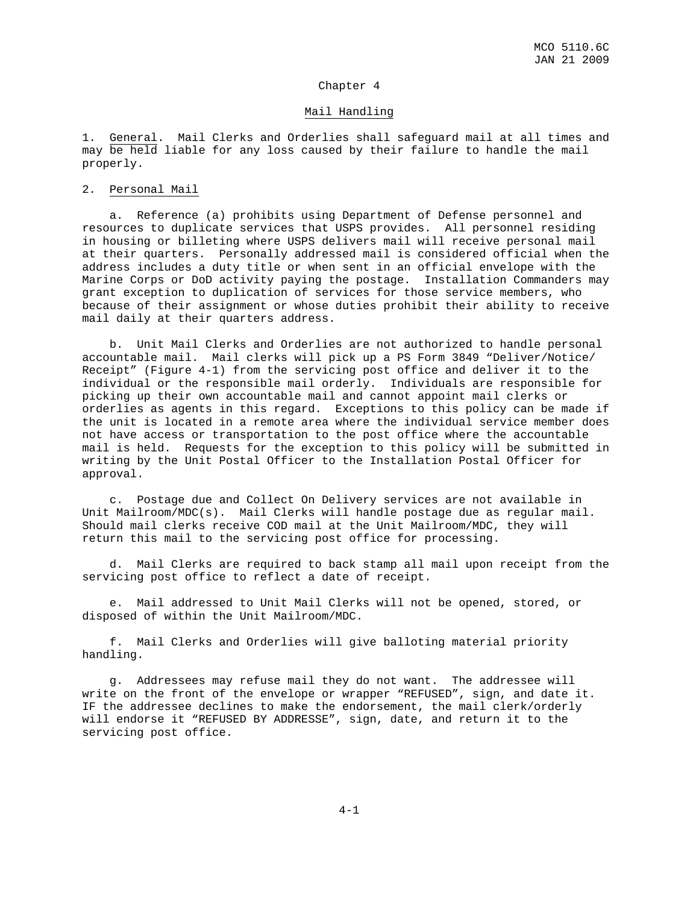#### Chapter 4

#### Mail Handling

1. General. Mail Clerks and Orderlies shall safeguard mail at all times and may be held liable for any loss caused by their failure to handle the mail properly.

#### 2. Personal Mail

 a. Reference (a) prohibits using Department of Defense personnel and resources to duplicate services that USPS provides. All personnel residing in housing or billeting where USPS delivers mail will receive personal mail at their quarters. Personally addressed mail is considered official when the address includes a duty title or when sent in an official envelope with the Marine Corps or DoD activity paying the postage. Installation Commanders may grant exception to duplication of services for those service members, who because of their assignment or whose duties prohibit their ability to receive mail daily at their quarters address.

 b. Unit Mail Clerks and Orderlies are not authorized to handle personal accountable mail. Mail clerks will pick up a PS Form 3849 "Deliver/Notice/ Receipt" (Figure 4-1) from the servicing post office and deliver it to the individual or the responsible mail orderly. Individuals are responsible for picking up their own accountable mail and cannot appoint mail clerks or orderlies as agents in this regard. Exceptions to this policy can be made if the unit is located in a remote area where the individual service member does not have access or transportation to the post office where the accountable mail is held. Requests for the exception to this policy will be submitted in writing by the Unit Postal Officer to the Installation Postal Officer for approval.

 c. Postage due and Collect On Delivery services are not available in Unit Mailroom/MDC(s). Mail Clerks will handle postage due as regular mail. Should mail clerks receive COD mail at the Unit Mailroom/MDC, they will return this mail to the servicing post office for processing.

 d. Mail Clerks are required to back stamp all mail upon receipt from the servicing post office to reflect a date of receipt.

 e. Mail addressed to Unit Mail Clerks will not be opened, stored, or disposed of within the Unit Mailroom/MDC.

 f. Mail Clerks and Orderlies will give balloting material priority handling.

 g. Addressees may refuse mail they do not want. The addressee will write on the front of the envelope or wrapper "REFUSED", sign, and date it. IF the addressee declines to make the endorsement, the mail clerk/orderly will endorse it "REFUSED BY ADDRESSE", sign, date, and return it to the servicing post office.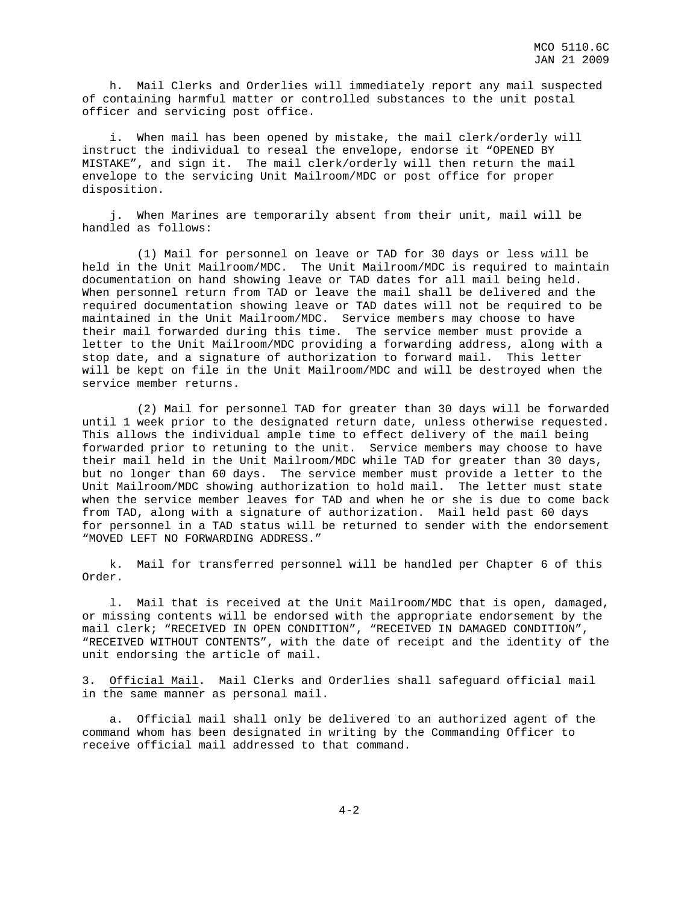h. Mail Clerks and Orderlies will immediately report any mail suspected of containing harmful matter or controlled substances to the unit postal officer and servicing post office.

 i. When mail has been opened by mistake, the mail clerk/orderly will instruct the individual to reseal the envelope, endorse it "OPENED BY MISTAKE", and sign it. The mail clerk/orderly will then return the mail envelope to the servicing Unit Mailroom/MDC or post office for proper disposition.

 j. When Marines are temporarily absent from their unit, mail will be handled as follows:

 (1) Mail for personnel on leave or TAD for 30 days or less will be held in the Unit Mailroom/MDC. The Unit Mailroom/MDC is required to maintain documentation on hand showing leave or TAD dates for all mail being held. When personnel return from TAD or leave the mail shall be delivered and the required documentation showing leave or TAD dates will not be required to be maintained in the Unit Mailroom/MDC. Service members may choose to have their mail forwarded during this time. The service member must provide a letter to the Unit Mailroom/MDC providing a forwarding address, along with a stop date, and a signature of authorization to forward mail. This letter will be kept on file in the Unit Mailroom/MDC and will be destroyed when the service member returns.

 (2) Mail for personnel TAD for greater than 30 days will be forwarded until 1 week prior to the designated return date, unless otherwise requested. This allows the individual ample time to effect delivery of the mail being forwarded prior to retuning to the unit. Service members may choose to have their mail held in the Unit Mailroom/MDC while TAD for greater than 30 days, but no longer than 60 days. The service member must provide a letter to the Unit Mailroom/MDC showing authorization to hold mail. The letter must state when the service member leaves for TAD and when he or she is due to come back from TAD, along with a signature of authorization. Mail held past 60 days for personnel in a TAD status will be returned to sender with the endorsement "MOVED LEFT NO FORWARDING ADDRESS."

 k. Mail for transferred personnel will be handled per Chapter 6 of this Order.

 l. Mail that is received at the Unit Mailroom/MDC that is open, damaged, or missing contents will be endorsed with the appropriate endorsement by the mail clerk; "RECEIVED IN OPEN CONDITION", "RECEIVED IN DAMAGED CONDITION", "RECEIVED WITHOUT CONTENTS", with the date of receipt and the identity of the unit endorsing the article of mail.

3. Official Mail. Mail Clerks and Orderlies shall safeguard official mail in the same manner as personal mail.

 a. Official mail shall only be delivered to an authorized agent of the command whom has been designated in writing by the Commanding Officer to receive official mail addressed to that command.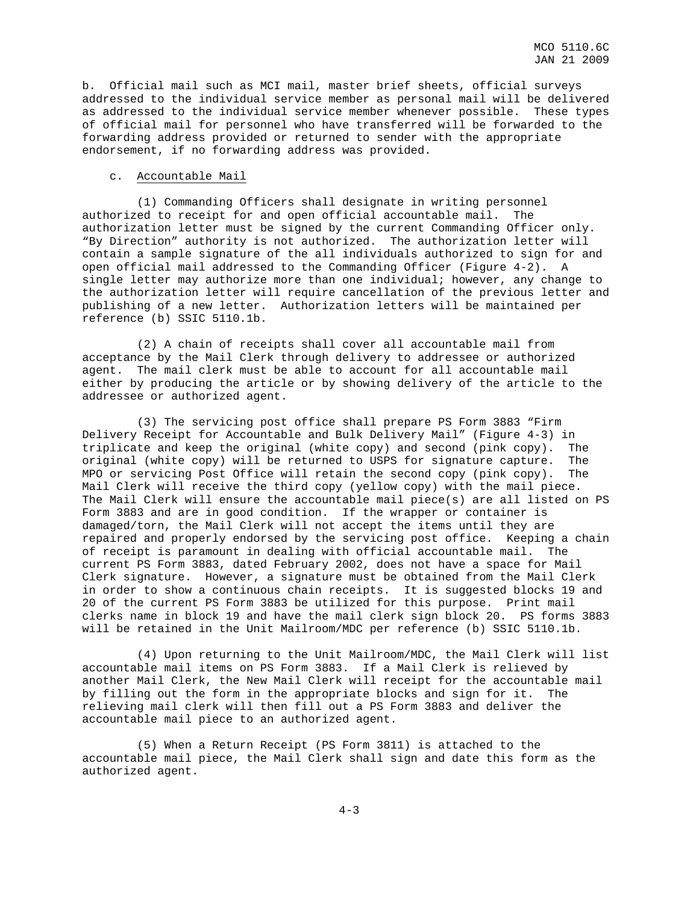b. Official mail such as MCI mail, master brief sheets, official surveys addressed to the individual service member as personal mail will be delivered as addressed to the individual service member whenever possible. These types of official mail for personnel who have transferred will be forwarded to the forwarding address provided or returned to sender with the appropriate endorsement, if no forwarding address was provided.

#### c. Accountable Mail

 (1) Commanding Officers shall designate in writing personnel authorized to receipt for and open official accountable mail. The authorization letter must be signed by the current Commanding Officer only. "By Direction" authority is not authorized. The authorization letter will contain a sample signature of the all individuals authorized to sign for and open official mail addressed to the Commanding Officer (Figure 4-2). A single letter may authorize more than one individual; however, any change to the authorization letter will require cancellation of the previous letter and publishing of a new letter. Authorization letters will be maintained per reference (b) SSIC 5110.1b.

 (2) A chain of receipts shall cover all accountable mail from acceptance by the Mail Clerk through delivery to addressee or authorized agent. The mail clerk must be able to account for all accountable mail either by producing the article or by showing delivery of the article to the addressee or authorized agent.

 (3) The servicing post office shall prepare PS Form 3883 "Firm Delivery Receipt for Accountable and Bulk Delivery Mail" (Figure 4-3) in triplicate and keep the original (white copy) and second (pink copy). The original (white copy) will be returned to USPS for signature capture. The MPO or servicing Post Office will retain the second copy (pink copy). The Mail Clerk will receive the third copy (yellow copy) with the mail piece. The Mail Clerk will ensure the accountable mail piece(s) are all listed on PS Form 3883 and are in good condition. If the wrapper or container is damaged/torn, the Mail Clerk will not accept the items until they are repaired and properly endorsed by the servicing post office. Keeping a chain of receipt is paramount in dealing with official accountable mail. The current PS Form 3883, dated February 2002, does not have a space for Mail Clerk signature. However, a signature must be obtained from the Mail Clerk in order to show a continuous chain receipts. It is suggested blocks 19 and 20 of the current PS Form 3883 be utilized for this purpose. Print mail clerks name in block 19 and have the mail clerk sign block 20. PS forms 3883 will be retained in the Unit Mailroom/MDC per reference (b) SSIC 5110.1b.

 (4) Upon returning to the Unit Mailroom/MDC, the Mail Clerk will list accountable mail items on PS Form 3883. If a Mail Clerk is relieved by another Mail Clerk, the New Mail Clerk will receipt for the accountable mail by filling out the form in the appropriate blocks and sign for it. The relieving mail clerk will then fill out a PS Form 3883 and deliver the accountable mail piece to an authorized agent.

 (5) When a Return Receipt (PS Form 3811) is attached to the accountable mail piece, the Mail Clerk shall sign and date this form as the authorized agent.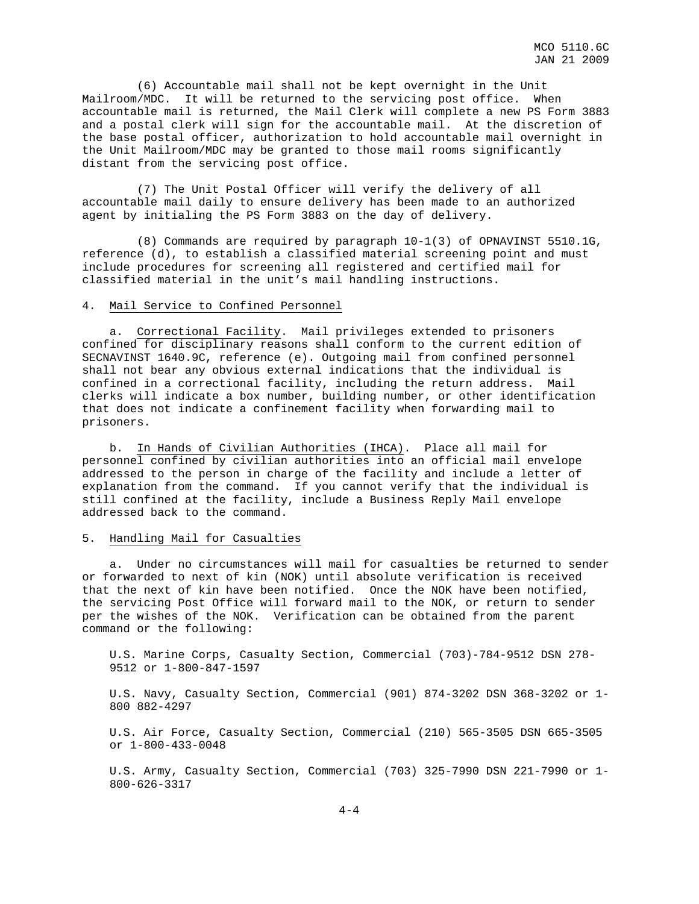(6) Accountable mail shall not be kept overnight in the Unit Mailroom/MDC. It will be returned to the servicing post office. When accountable mail is returned, the Mail Clerk will complete a new PS Form 3883 and a postal clerk will sign for the accountable mail. At the discretion of the base postal officer, authorization to hold accountable mail overnight in the Unit Mailroom/MDC may be granted to those mail rooms significantly distant from the servicing post office.

 (7) The Unit Postal Officer will verify the delivery of all accountable mail daily to ensure delivery has been made to an authorized agent by initialing the PS Form 3883 on the day of delivery.

 (8) Commands are required by paragraph 10-1(3) of OPNAVINST 5510.1G, reference (d), to establish a classified material screening point and must include procedures for screening all registered and certified mail for classified material in the unit's mail handling instructions.

#### 4. Mail Service to Confined Personnel

 a. Correctional Facility. Mail privileges extended to prisoners confined for disciplinary reasons shall conform to the current edition of SECNAVINST 1640.9C, reference (e). Outgoing mail from confined personnel shall not bear any obvious external indications that the individual is confined in a correctional facility, including the return address. Mail clerks will indicate a box number, building number, or other identification that does not indicate a confinement facility when forwarding mail to prisoners.

 b. In Hands of Civilian Authorities (IHCA). Place all mail for personnel confined by civilian authorities into an official mail envelope addressed to the person in charge of the facility and include a letter of explanation from the command. If you cannot verify that the individual is still confined at the facility, include a Business Reply Mail envelope addressed back to the command.

#### 5. Handling Mail for Casualties

 a. Under no circumstances will mail for casualties be returned to sender or forwarded to next of kin (NOK) until absolute verification is received that the next of kin have been notified. Once the NOK have been notified, the servicing Post Office will forward mail to the NOK, or return to sender per the wishes of the NOK. Verification can be obtained from the parent command or the following:

 U.S. Marine Corps, Casualty Section, Commercial (703)-784-9512 DSN 278- 9512 or 1-800-847-1597

 U.S. Navy, Casualty Section, Commercial (901) 874-3202 DSN 368-3202 or 1- 800 882-4297

 U.S. Air Force, Casualty Section, Commercial (210) 565-3505 DSN 665-3505 or 1-800-433-0048

 U.S. Army, Casualty Section, Commercial (703) 325-7990 DSN 221-7990 or 1- 800-626-3317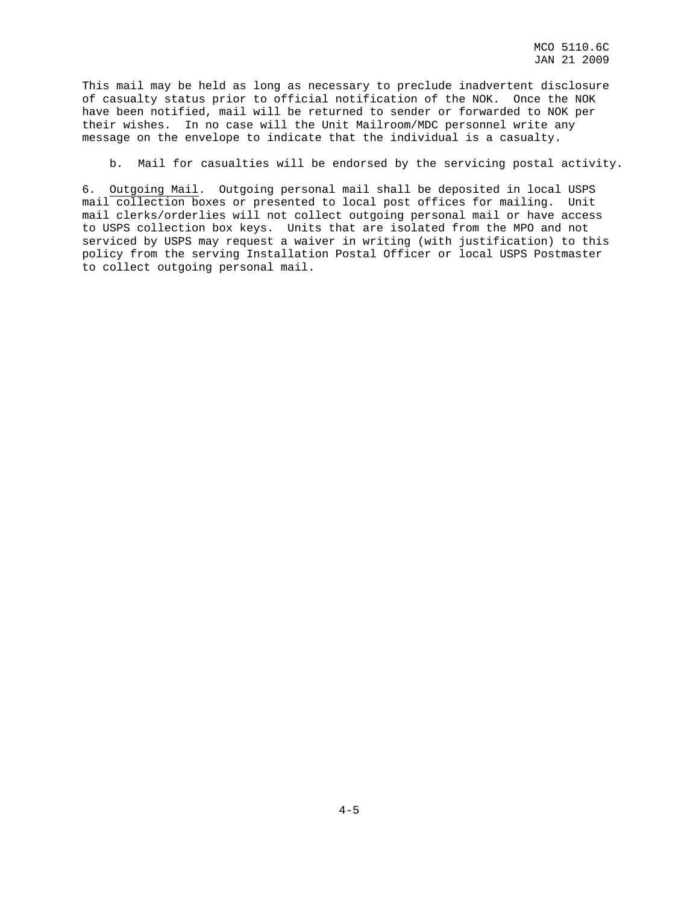This mail may be held as long as necessary to preclude inadvertent disclosure of casualty status prior to official notification of the NOK. Once the NOK have been notified, mail will be returned to sender or forwarded to NOK per their wishes. In no case will the Unit Mailroom/MDC personnel write any message on the envelope to indicate that the individual is a casualty.

b. Mail for casualties will be endorsed by the servicing postal activity.

6. Outgoing Mail. Outgoing personal mail shall be deposited in local USPS mail collection boxes or presented to local post offices for mailing. Unit mail clerks/orderlies will not collect outgoing personal mail or have access to USPS collection box keys. Units that are isolated from the MPO and not serviced by USPS may request a waiver in writing (with justification) to this policy from the serving Installation Postal Officer or local USPS Postmaster to collect outgoing personal mail.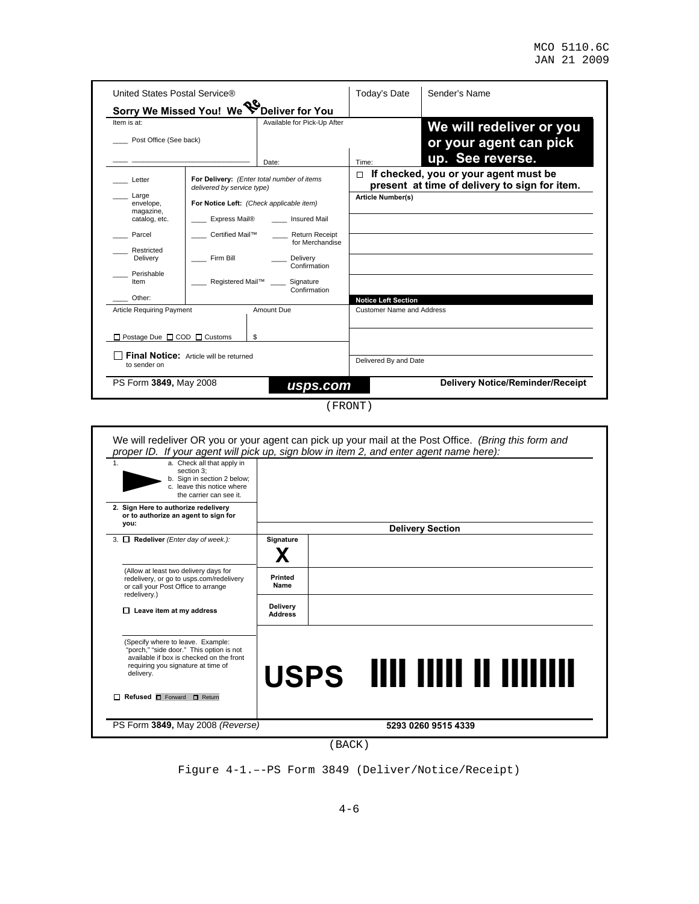| United States Postal Service®<br>Sorry We Missed You! We V                                                           | שי<br>Deliver for You                                                                                                                                                                                                                                                                                                               | Today's Date                                                   | Sender's Name                                                                          |
|----------------------------------------------------------------------------------------------------------------------|-------------------------------------------------------------------------------------------------------------------------------------------------------------------------------------------------------------------------------------------------------------------------------------------------------------------------------------|----------------------------------------------------------------|----------------------------------------------------------------------------------------|
| Item is at:<br>Post Office (See back)                                                                                | Available for Pick-Up After                                                                                                                                                                                                                                                                                                         |                                                                | We will redeliver or you<br>or your agent can pick<br>up. See reverse.                 |
| Letter<br>Large<br>envelope,<br>magazine,<br>catalog, etc.<br>Parcel<br>Restricted<br>Delivery<br>Perishable<br>Item | Date:<br>For Delivery: (Enter total number of items<br>delivered by service type)<br>For Notice Left: (Check applicable item)<br>Express Mail®<br><b>Insured Mail</b><br>Certified Mail™<br><b>Return Receipt</b><br>for Merchandise<br>Firm Bill<br>Delivery<br>Confirmation<br>Registered Mail™ ____<br>Signature<br>Confirmation | Time:<br>п<br><b>Article Number(s)</b>                         | If checked, you or your agent must be<br>present at time of delivery to sign for item. |
| Other:<br><b>Article Requiring Payment</b>                                                                           | Amount Due                                                                                                                                                                                                                                                                                                                          | <b>Notice Left Section</b><br><b>Customer Name and Address</b> |                                                                                        |
| $\Box$ Postage Due $\Box$ COD $\Box$ Customs<br>Final Notice: Article will be returned<br>to sender on               | \$                                                                                                                                                                                                                                                                                                                                  | Delivered By and Date                                          |                                                                                        |
| PS Form 3849, May 2008                                                                                               | usps.com                                                                                                                                                                                                                                                                                                                            |                                                                | <b>Delivery Notice/Reminder/Receipt</b>                                                |

(FRONT)

| available if box is checked on the front<br>requiring you signature at time of<br>delivery.                              | USPS IIII IIIII II IIIIIIII |                         |  |
|--------------------------------------------------------------------------------------------------------------------------|-----------------------------|-------------------------|--|
| (Specify where to leave. Example:<br>"porch," "side door." This option is not                                            |                             |                         |  |
| $\Box$ Leave item at my address                                                                                          | Delivery<br><b>Address</b>  |                         |  |
| redelivery.)                                                                                                             |                             |                         |  |
| (Allow at least two delivery days for<br>redelivery, or go to usps.com/redelivery<br>or call your Post Office to arrange | Printed<br>Name             |                         |  |
|                                                                                                                          |                             |                         |  |
| 3. $\Box$ Redeliver (Enter day of week.):                                                                                | Signature                   |                         |  |
| you:                                                                                                                     |                             | <b>Delivery Section</b> |  |
| 2. Sign Here to authorize redelivery<br>or to authorize an agent to sign for                                             |                             |                         |  |
| section 3:<br>b. Sign in section 2 below;<br>c. leave this notice where<br>the carrier can see it.                       |                             |                         |  |

(BACK)

Figure 4-1.–-PS Form 3849 (Deliver/Notice/Receipt)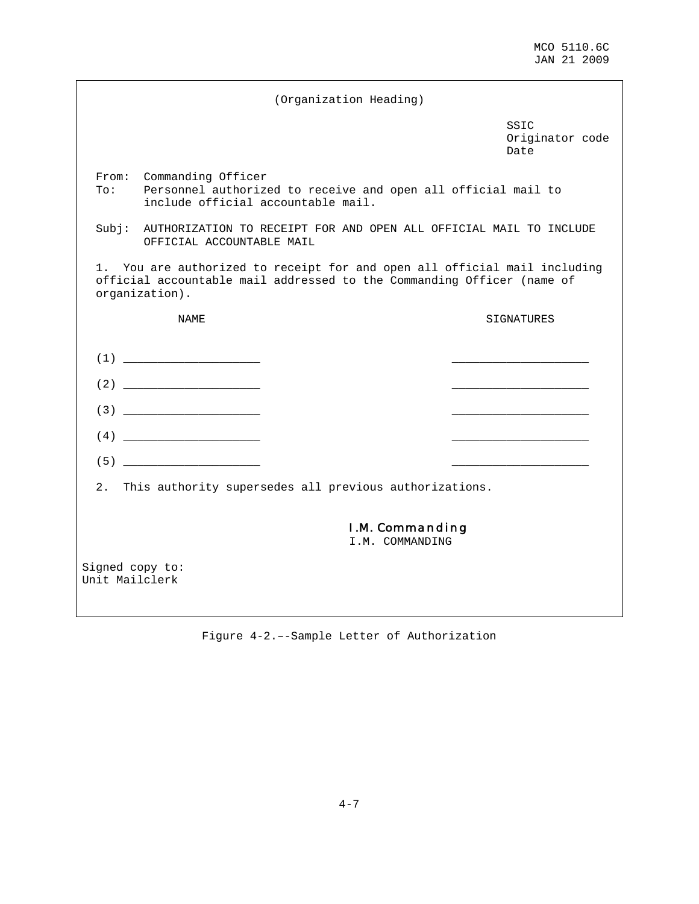|                                   |                           | (Organization Heading)                                                                              |                                                                                                                                                  |
|-----------------------------------|---------------------------|-----------------------------------------------------------------------------------------------------|--------------------------------------------------------------------------------------------------------------------------------------------------|
|                                   |                           |                                                                                                     | SSIC<br>Originator code<br>Date                                                                                                                  |
| To:                               | From: Commanding Officer  | Personnel authorized to receive and open all official mail to<br>include official accountable mail. |                                                                                                                                                  |
| Subj:                             | OFFICIAL ACCOUNTABLE MAIL |                                                                                                     | AUTHORIZATION TO RECEIPT FOR AND OPEN ALL OFFICIAL MAIL TO INCLUDE                                                                               |
|                                   | organization).            |                                                                                                     | You are authorized to receipt for and open all official mail including<br>official accountable mail addressed to the Commanding Officer (name of |
|                                   | NAME                      |                                                                                                     | SIGNATURES                                                                                                                                       |
|                                   | (1)                       |                                                                                                     |                                                                                                                                                  |
|                                   | (2)                       |                                                                                                     |                                                                                                                                                  |
|                                   |                           |                                                                                                     |                                                                                                                                                  |
|                                   | (4)                       |                                                                                                     |                                                                                                                                                  |
|                                   |                           |                                                                                                     |                                                                                                                                                  |
| 2.                                |                           | This authority supersedes all previous authorizations.                                              |                                                                                                                                                  |
|                                   |                           | <b>I.M. Commanding</b><br>I.M. COMMANDING                                                           |                                                                                                                                                  |
| Signed copy to:<br>Unit Mailclerk |                           |                                                                                                     |                                                                                                                                                  |

Figure 4-2.–-Sample Letter of Authorization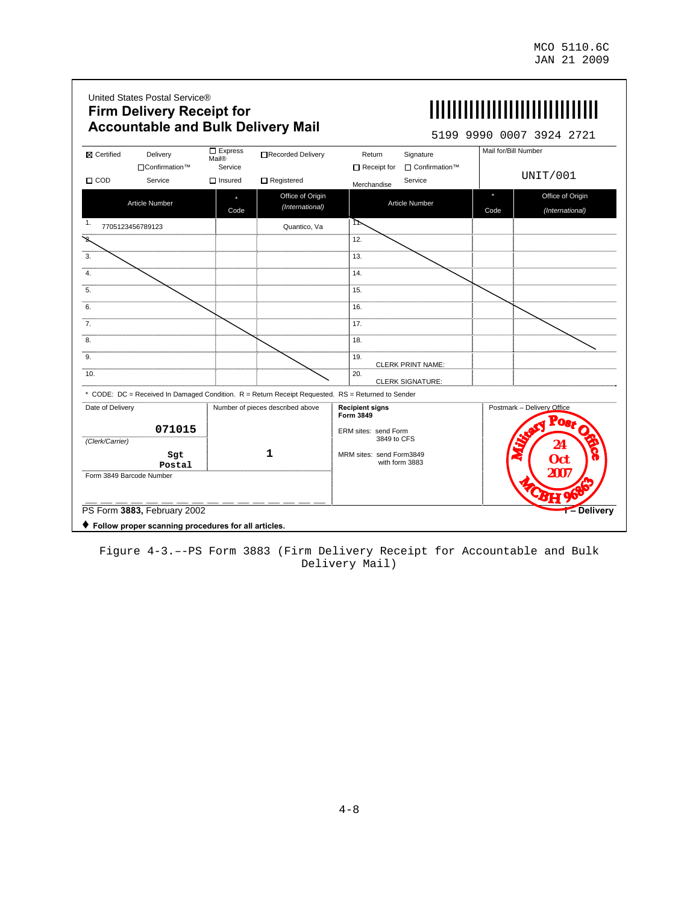$\overline{\phantom{a}}$ 

|                          |                            |                                    | <b>Accountable and Bulk Delivery Mail</b> |                                                                                                   |      | 5199 9990 0007 3924 2721<br>Mail for/Bill Number |
|--------------------------|----------------------------|------------------------------------|-------------------------------------------|---------------------------------------------------------------------------------------------------|------|--------------------------------------------------|
| <b>X</b> Certified       | Delivery<br>□Confirmation™ | $\Box$ Express<br>Mail®<br>Service | Recorded Delivery                         | Return<br>Signature<br>□ Confirmation™<br>$\Box$ Receipt for                                      |      |                                                  |
| $\Box$ COD               | Service                    | $\Box$ Insured                     | $\Box$ Registered                         | Service<br>Merchandise                                                                            |      | UNIT/001                                         |
|                          | Article Number             | Code                               | Office of Origin<br>(International)       | Article Number                                                                                    | Code | Office of Origin<br>(International)              |
| 1.<br>7705123456789123   |                            |                                    | Quantico, Va                              | ᡅ                                                                                                 |      |                                                  |
| ን                        |                            |                                    |                                           | 12.                                                                                               |      |                                                  |
| 3.                       |                            |                                    |                                           | 13.                                                                                               |      |                                                  |
| 4.                       |                            |                                    |                                           | 14.                                                                                               |      |                                                  |
| 5.                       |                            |                                    |                                           | 15.                                                                                               |      |                                                  |
| 6.                       |                            |                                    |                                           | 16.                                                                                               |      |                                                  |
| $\overline{7}$ .         |                            |                                    |                                           | 17.                                                                                               |      |                                                  |
| 8.                       |                            |                                    |                                           | 18.                                                                                               |      |                                                  |
| 9.                       |                            |                                    |                                           | 19.<br><b>CLERK PRINT NAME:</b>                                                                   |      |                                                  |
| 10.                      |                            |                                    |                                           | 20.<br><b>CLERK SIGNATURE:</b>                                                                    |      |                                                  |
|                          |                            |                                    |                                           | * CODE: DC = Received In Damaged Condition. R = Return Receipt Requested. RS = Returned to Sender |      |                                                  |
| Date of Delivery         |                            |                                    | Number of pieces described above          | <b>Recipient signs</b><br>Form 3849                                                               |      | Postmark - Delivery Office                       |
|                          | 071015                     |                                    |                                           | ERM sites: send Form                                                                              |      | Post O                                           |
| (Clerk/Carrier)          |                            |                                    |                                           | 3849 to CFS                                                                                       |      | 24<br>a                                          |
|                          | Sgt<br>Postal              |                                    | 1                                         | MRM sites: send Form3849<br>with form 3883                                                        |      | Oct                                              |
| Form 3849 Barcode Number |                            |                                    |                                           |                                                                                                   |      | 2007                                             |
|                          |                            |                                    |                                           |                                                                                                   |      | CBH                                              |

Figure 4-3.–-PS Form 3883 (Firm Delivery Receipt for Accountable and Bulk Delivery Mail)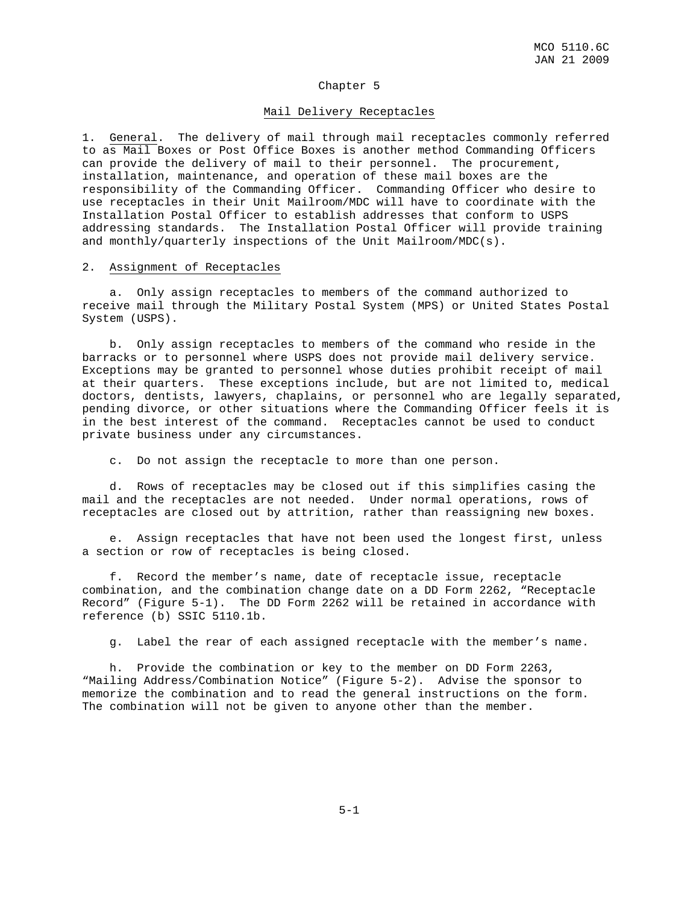#### Chapter 5

#### Mail Delivery Receptacles

1. General. The delivery of mail through mail receptacles commonly referred to as Mail Boxes or Post Office Boxes is another method Commanding Officers can provide the delivery of mail to their personnel. The procurement, installation, maintenance, and operation of these mail boxes are the responsibility of the Commanding Officer. Commanding Officer who desire to use receptacles in their Unit Mailroom/MDC will have to coordinate with the Installation Postal Officer to establish addresses that conform to USPS addressing standards. The Installation Postal Officer will provide training and monthly/quarterly inspections of the Unit Mailroom/MDC(s).

#### 2. Assignment of Receptacles

 a. Only assign receptacles to members of the command authorized to receive mail through the Military Postal System (MPS) or United States Postal System (USPS).

 b. Only assign receptacles to members of the command who reside in the barracks or to personnel where USPS does not provide mail delivery service. Exceptions may be granted to personnel whose duties prohibit receipt of mail at their quarters. These exceptions include, but are not limited to, medical doctors, dentists, lawyers, chaplains, or personnel who are legally separated, pending divorce, or other situations where the Commanding Officer feels it is in the best interest of the command. Receptacles cannot be used to conduct private business under any circumstances.

c. Do not assign the receptacle to more than one person.

 d. Rows of receptacles may be closed out if this simplifies casing the mail and the receptacles are not needed. Under normal operations, rows of receptacles are closed out by attrition, rather than reassigning new boxes.

 e. Assign receptacles that have not been used the longest first, unless a section or row of receptacles is being closed.

 f. Record the member's name, date of receptacle issue, receptacle combination, and the combination change date on a DD Form 2262, "Receptacle Record" (Figure 5-1). The DD Form 2262 will be retained in accordance with reference (b) SSIC 5110.1b.

g. Label the rear of each assigned receptacle with the member's name.

 h. Provide the combination or key to the member on DD Form 2263, "Mailing Address/Combination Notice" (Figure 5-2). Advise the sponsor to memorize the combination and to read the general instructions on the form. The combination will not be given to anyone other than the member.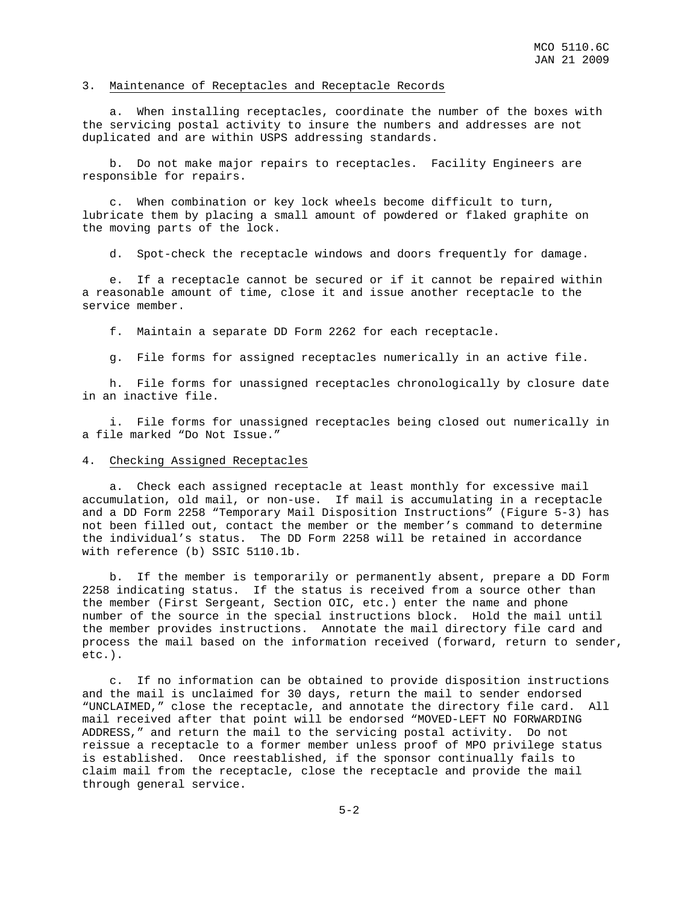#### 3. Maintenance of Receptacles and Receptacle Records

 a. When installing receptacles, coordinate the number of the boxes with the servicing postal activity to insure the numbers and addresses are not duplicated and are within USPS addressing standards.

 b. Do not make major repairs to receptacles. Facility Engineers are responsible for repairs.

 c. When combination or key lock wheels become difficult to turn, lubricate them by placing a small amount of powdered or flaked graphite on the moving parts of the lock.

d. Spot-check the receptacle windows and doors frequently for damage.

 e. If a receptacle cannot be secured or if it cannot be repaired within a reasonable amount of time, close it and issue another receptacle to the service member.

f. Maintain a separate DD Form 2262 for each receptacle.

g. File forms for assigned receptacles numerically in an active file.

 h. File forms for unassigned receptacles chronologically by closure date in an inactive file.

 i. File forms for unassigned receptacles being closed out numerically in a file marked "Do Not Issue."

#### 4. Checking Assigned Receptacles

 a. Check each assigned receptacle at least monthly for excessive mail accumulation, old mail, or non-use. If mail is accumulating in a receptacle and a DD Form 2258 "Temporary Mail Disposition Instructions" (Figure 5-3) has not been filled out, contact the member or the member's command to determine the individual's status. The DD Form 2258 will be retained in accordance with reference (b) SSIC 5110.1b.

 b. If the member is temporarily or permanently absent, prepare a DD Form 2258 indicating status. If the status is received from a source other than the member (First Sergeant, Section OIC, etc.) enter the name and phone number of the source in the special instructions block. Hold the mail until the member provides instructions. Annotate the mail directory file card and process the mail based on the information received (forward, return to sender, etc.).

 c. If no information can be obtained to provide disposition instructions and the mail is unclaimed for 30 days, return the mail to sender endorsed "UNCLAIMED," close the receptacle, and annotate the directory file card. All mail received after that point will be endorsed "MOVED-LEFT NO FORWARDING ADDRESS," and return the mail to the servicing postal activity. Do not reissue a receptacle to a former member unless proof of MPO privilege status is established. Once reestablished, if the sponsor continually fails to claim mail from the receptacle, close the receptacle and provide the mail through general service.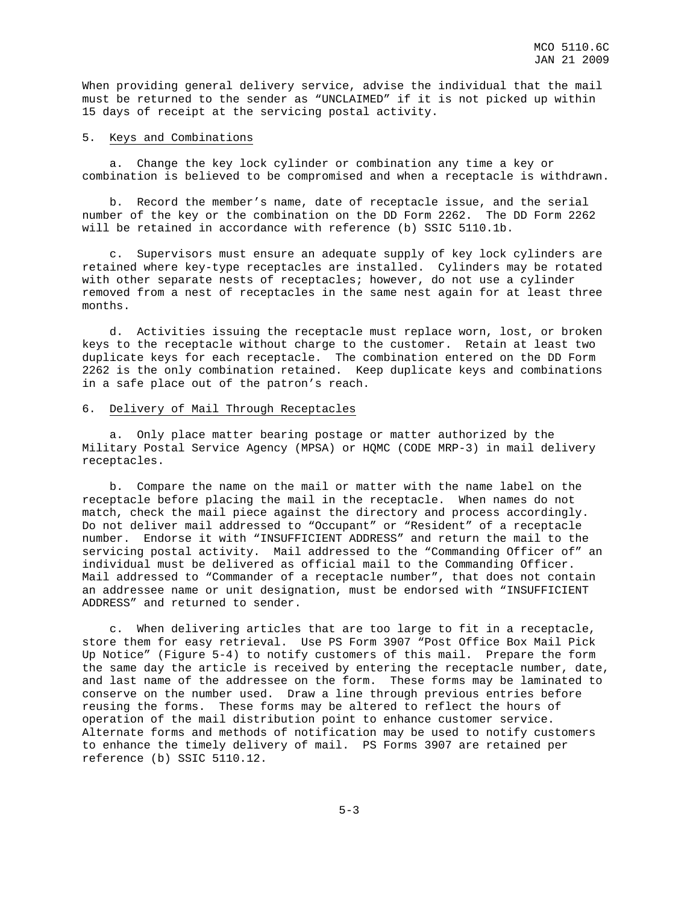When providing general delivery service, advise the individual that the mail must be returned to the sender as "UNCLAIMED" if it is not picked up within 15 days of receipt at the servicing postal activity.

#### 5. Keys and Combinations

 a. Change the key lock cylinder or combination any time a key or combination is believed to be compromised and when a receptacle is withdrawn.

 b. Record the member's name, date of receptacle issue, and the serial number of the key or the combination on the DD Form 2262. The DD Form 2262 will be retained in accordance with reference (b) SSIC 5110.1b.

 c. Supervisors must ensure an adequate supply of key lock cylinders are retained where key-type receptacles are installed. Cylinders may be rotated with other separate nests of receptacles; however, do not use a cylinder removed from a nest of receptacles in the same nest again for at least three months.

 d. Activities issuing the receptacle must replace worn, lost, or broken keys to the receptacle without charge to the customer. Retain at least two duplicate keys for each receptacle. The combination entered on the DD Form 2262 is the only combination retained. Keep duplicate keys and combinations in a safe place out of the patron's reach.

#### 6. Delivery of Mail Through Receptacles

 a. Only place matter bearing postage or matter authorized by the Military Postal Service Agency (MPSA) or HQMC (CODE MRP-3) in mail delivery receptacles.

 b. Compare the name on the mail or matter with the name label on the receptacle before placing the mail in the receptacle. When names do not match, check the mail piece against the directory and process accordingly. Do not deliver mail addressed to "Occupant" or "Resident" of a receptacle number. Endorse it with "INSUFFICIENT ADDRESS" and return the mail to the servicing postal activity. Mail addressed to the "Commanding Officer of" an individual must be delivered as official mail to the Commanding Officer. Mail addressed to "Commander of a receptacle number", that does not contain an addressee name or unit designation, must be endorsed with "INSUFFICIENT ADDRESS" and returned to sender.

 c. When delivering articles that are too large to fit in a receptacle, store them for easy retrieval. Use PS Form 3907 "Post Office Box Mail Pick Up Notice" (Figure 5-4) to notify customers of this mail. Prepare the form the same day the article is received by entering the receptacle number, date, and last name of the addressee on the form. These forms may be laminated to conserve on the number used. Draw a line through previous entries before reusing the forms. These forms may be altered to reflect the hours of operation of the mail distribution point to enhance customer service. Alternate forms and methods of notification may be used to notify customers to enhance the timely delivery of mail. PS Forms 3907 are retained per reference (b) SSIC 5110.12.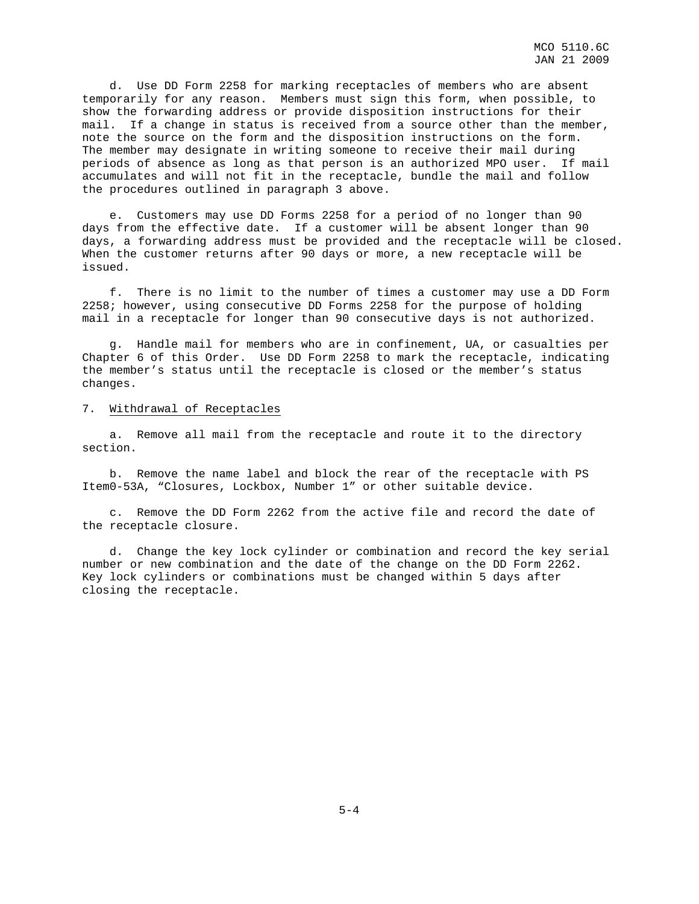d. Use DD Form 2258 for marking receptacles of members who are absent temporarily for any reason. Members must sign this form, when possible, to show the forwarding address or provide disposition instructions for their mail. If a change in status is received from a source other than the member, note the source on the form and the disposition instructions on the form. The member may designate in writing someone to receive their mail during periods of absence as long as that person is an authorized MPO user. If mail accumulates and will not fit in the receptacle, bundle the mail and follow the procedures outlined in paragraph 3 above.

 e. Customers may use DD Forms 2258 for a period of no longer than 90 days from the effective date. If a customer will be absent longer than 90 days, a forwarding address must be provided and the receptacle will be closed. When the customer returns after 90 days or more, a new receptacle will be issued.

 f. There is no limit to the number of times a customer may use a DD Form 2258; however, using consecutive DD Forms 2258 for the purpose of holding mail in a receptacle for longer than 90 consecutive days is not authorized.

 g. Handle mail for members who are in confinement, UA, or casualties per Chapter 6 of this Order. Use DD Form 2258 to mark the receptacle, indicating the member's status until the receptacle is closed or the member's status changes.

#### 7. Withdrawal of Receptacles

 a. Remove all mail from the receptacle and route it to the directory section.

 b. Remove the name label and block the rear of the receptacle with PS Item0-53A, "Closures, Lockbox, Number 1" or other suitable device.

 c. Remove the DD Form 2262 from the active file and record the date of the receptacle closure.

 d. Change the key lock cylinder or combination and record the key serial number or new combination and the date of the change on the DD Form 2262. Key lock cylinders or combinations must be changed within 5 days after closing the receptacle.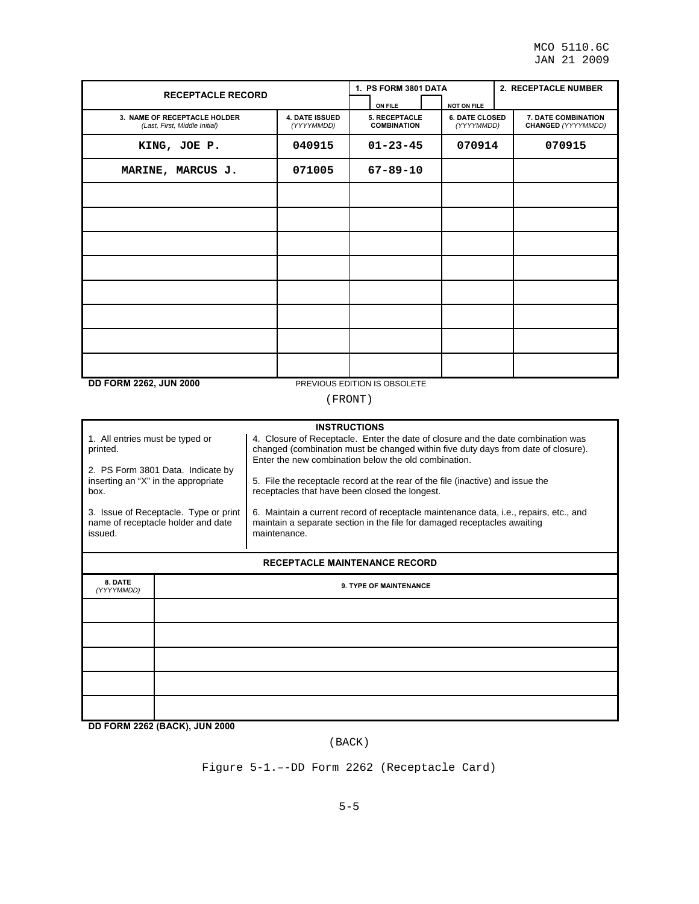| <b>RECEPTACLE RECORD</b>                                                         |                                                                                                                                                                                                                               | 1. PS FORM 3801 DATA                |                                     | 2. RECEPTACLE NUMBER                             |  |  |  |
|----------------------------------------------------------------------------------|-------------------------------------------------------------------------------------------------------------------------------------------------------------------------------------------------------------------------------|-------------------------------------|-------------------------------------|--------------------------------------------------|--|--|--|
|                                                                                  |                                                                                                                                                                                                                               | ON FILE                             | <b>NOT ON FILE</b>                  |                                                  |  |  |  |
| 3. NAME OF RECEPTACLE HOLDER<br>(Last, First, Middle Initial)                    | <b>4. DATE ISSUED</b><br>(YYYYMMDD)                                                                                                                                                                                           | 5. RECEPTACLE<br><b>COMBINATION</b> | <b>6. DATE CLOSED</b><br>(YYYYMMDD) | 7. DATE COMBINATION<br><b>CHANGED (YYYYMMDD)</b> |  |  |  |
| KING, JOE P.                                                                     | 040915                                                                                                                                                                                                                        | $01 - 23 - 45$                      | 070914                              | 070915                                           |  |  |  |
| MARINE, MARCUS J.                                                                | 071005                                                                                                                                                                                                                        | $67 - 89 - 10$                      |                                     |                                                  |  |  |  |
|                                                                                  |                                                                                                                                                                                                                               |                                     |                                     |                                                  |  |  |  |
|                                                                                  |                                                                                                                                                                                                                               |                                     |                                     |                                                  |  |  |  |
|                                                                                  |                                                                                                                                                                                                                               |                                     |                                     |                                                  |  |  |  |
|                                                                                  |                                                                                                                                                                                                                               |                                     |                                     |                                                  |  |  |  |
|                                                                                  |                                                                                                                                                                                                                               |                                     |                                     |                                                  |  |  |  |
|                                                                                  |                                                                                                                                                                                                                               |                                     |                                     |                                                  |  |  |  |
|                                                                                  |                                                                                                                                                                                                                               |                                     |                                     |                                                  |  |  |  |
|                                                                                  |                                                                                                                                                                                                                               |                                     |                                     |                                                  |  |  |  |
| <b>DD FORM 2262, JUN 2000</b>                                                    |                                                                                                                                                                                                                               | PREVIOUS EDITION IS OBSOLETE        |                                     |                                                  |  |  |  |
| (FRONT)                                                                          |                                                                                                                                                                                                                               |                                     |                                     |                                                  |  |  |  |
|                                                                                  |                                                                                                                                                                                                                               | <b>INSTRUCTIONS</b>                 |                                     |                                                  |  |  |  |
| 1. All entries must be typed or<br>printed.<br>2. PS Form 3801 Data. Indicate by | 4. Closure of Receptacle. Enter the date of closure and the date combination was<br>changed (combination must be changed within five duty days from date of closure).<br>Enter the new combination below the old combination. |                                     |                                     |                                                  |  |  |  |

5. File the receptacle record at the rear of the file (inactive) and issue the receptacles that have been closed the longest.

6. Maintain a current record of receptacle maintenance data, i.e., repairs, etc., and maintain a separate section in the file for damaged receptacles awaiting maintenance.

#### **RECEPTACLE MAINTENANCE RECORD**

| 8. DATE<br>(YYYYMMDD) | 9. TYPE OF MAINTENANCE |
|-----------------------|------------------------|
|                       |                        |
|                       |                        |
|                       |                        |
|                       |                        |
|                       |                        |

**DD FORM 2262 (BACK), JUN 2000**

inserting an "X" in the appropriate

3. Issue of Receptacle. Type or print name of receptacle holder and date

box.

issued.

(BACK)

Figure 5-1.–-DD Form 2262 (Receptacle Card)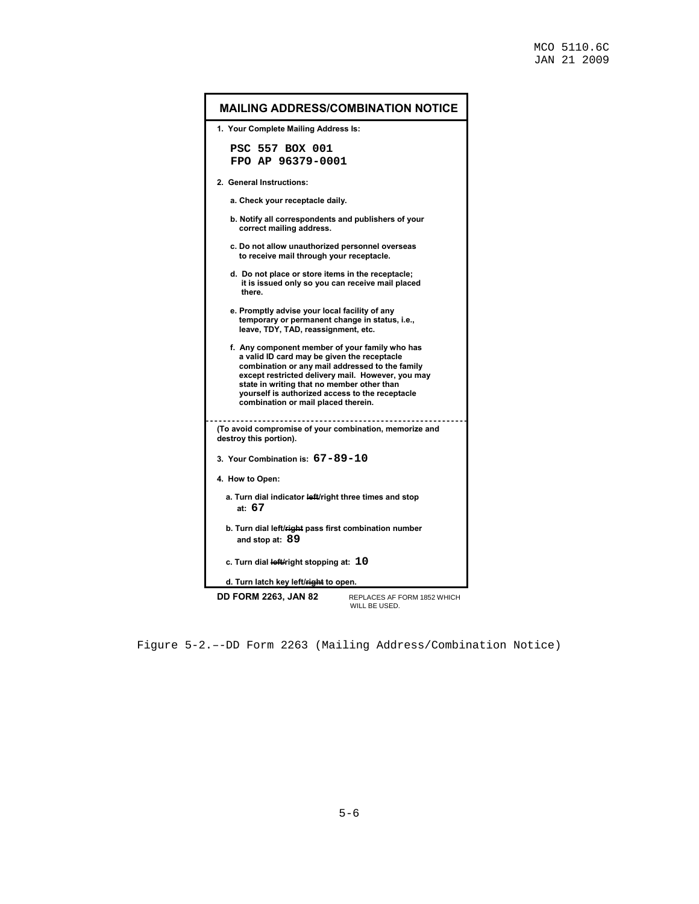$\blacksquare$ 

| <b>MAILING ADDRESS/COMBINATION NOTICE</b>                                                                                                                                                                                                                                                                                                     |  |  |  |  |  |  |  |  |  |
|-----------------------------------------------------------------------------------------------------------------------------------------------------------------------------------------------------------------------------------------------------------------------------------------------------------------------------------------------|--|--|--|--|--|--|--|--|--|
| 1. Your Complete Mailing Address Is:                                                                                                                                                                                                                                                                                                          |  |  |  |  |  |  |  |  |  |
| PSC 557 BOX 001<br>FPO AP 96379-0001                                                                                                                                                                                                                                                                                                          |  |  |  |  |  |  |  |  |  |
| 2. General Instructions:                                                                                                                                                                                                                                                                                                                      |  |  |  |  |  |  |  |  |  |
| a. Check your receptacle daily.                                                                                                                                                                                                                                                                                                               |  |  |  |  |  |  |  |  |  |
| b. Notify all correspondents and publishers of your<br>correct mailing address.                                                                                                                                                                                                                                                               |  |  |  |  |  |  |  |  |  |
| c. Do not allow unauthorized personnel overseas<br>to receive mail through your receptacle.                                                                                                                                                                                                                                                   |  |  |  |  |  |  |  |  |  |
| d. Do not place or store items in the receptacle;<br>it is issued only so you can receive mail placed<br>there.                                                                                                                                                                                                                               |  |  |  |  |  |  |  |  |  |
| e. Promptly advise your local facility of any<br>temporary or permanent change in status, i.e.,<br>leave, TDY, TAD, reassignment, etc.                                                                                                                                                                                                        |  |  |  |  |  |  |  |  |  |
| f. Any component member of your family who has<br>a valid ID card may be given the receptacle<br>combination or any mail addressed to the family<br>except restricted delivery mail. However, you may<br>state in writing that no member other than<br>yourself is authorized access to the receptacle<br>combination or mail placed therein. |  |  |  |  |  |  |  |  |  |
| (To avoid compromise of your combination, memorize and<br>destroy this portion).                                                                                                                                                                                                                                                              |  |  |  |  |  |  |  |  |  |
| 3. Your Combination is: 67-89-10                                                                                                                                                                                                                                                                                                              |  |  |  |  |  |  |  |  |  |
| 4. How to Open:                                                                                                                                                                                                                                                                                                                               |  |  |  |  |  |  |  |  |  |
| a. Turn dial indicator left/right three times and stop<br>at: $67$                                                                                                                                                                                                                                                                            |  |  |  |  |  |  |  |  |  |
| b. Turn dial left/right pass first combination number<br>and stop at: 89                                                                                                                                                                                                                                                                      |  |  |  |  |  |  |  |  |  |
| c. Turn dial left/right stopping at: 10                                                                                                                                                                                                                                                                                                       |  |  |  |  |  |  |  |  |  |
| d. Turn latch key left/right to open.                                                                                                                                                                                                                                                                                                         |  |  |  |  |  |  |  |  |  |
| <b>DD FORM 2263, JAN 82</b><br>REPLACES AF FORM 1852 WHICH<br>WILL BE USED.                                                                                                                                                                                                                                                                   |  |  |  |  |  |  |  |  |  |

Figure 5-2.–-DD Form 2263 (Mailing Address/Combination Notice)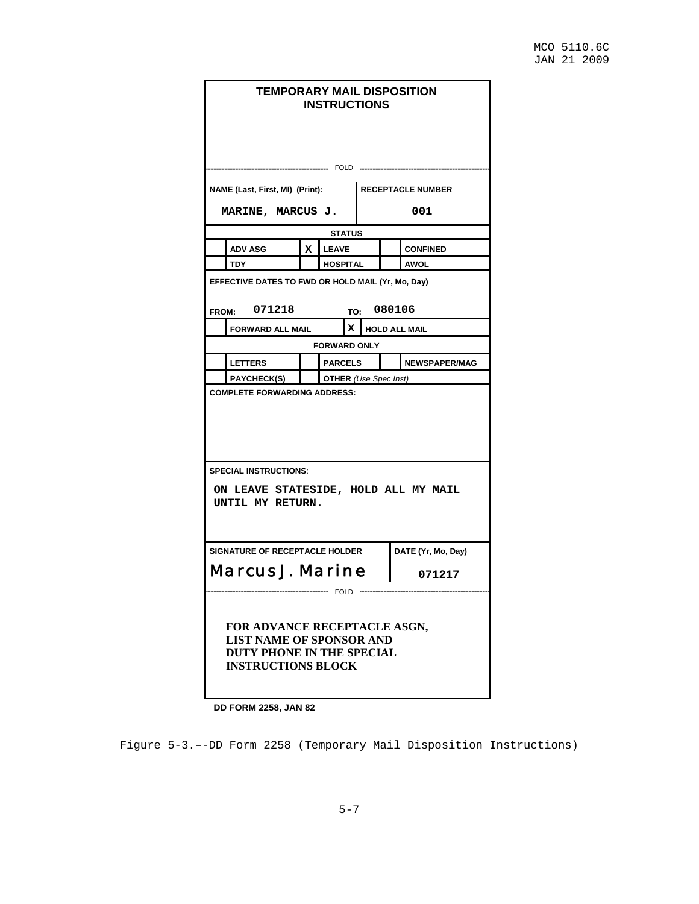| <b>TEMPORARY MAIL DISPOSITION</b><br><b>INSTRUCTIONS</b>                                                                  |    |                              |               |              |        |                          |  |
|---------------------------------------------------------------------------------------------------------------------------|----|------------------------------|---------------|--------------|--------|--------------------------|--|
|                                                                                                                           |    |                              |               | FOLD ------- |        |                          |  |
| NAME (Last, First, MI) (Print):                                                                                           |    |                              |               |              |        | <b>RECEPTACLE NUMBER</b> |  |
| MARINE, MARCUS J.                                                                                                         |    |                              |               |              |        | 001                      |  |
|                                                                                                                           |    |                              | <b>STATUS</b> |              |        |                          |  |
| <b>ADV ASG</b>                                                                                                            | X. | <b>LEAVE</b>                 |               |              |        | <b>CONFINED</b>          |  |
| TDY                                                                                                                       |    | HOSPITAL                     |               |              |        | AWOL                     |  |
| EFFECTIVE DATES TO FWD OR HOLD MAIL (Yr, Mo, Day)<br>FROM: 071218                                                         |    |                              | TO:           |              | 080106 |                          |  |
| <b>FORWARD ALL MAIL</b>                                                                                                   |    |                              | x.            |              |        | <b>HOLD ALL MAIL</b>     |  |
|                                                                                                                           |    | <b>FORWARD ONLY</b>          |               |              |        |                          |  |
| <b>LETTERS</b>                                                                                                            |    | <b>PARCELS</b>               |               |              |        | <b>NEWSPAPER/MAG</b>     |  |
| <b>PAYCHECK(S)</b>                                                                                                        |    | <b>OTHER</b> (Use Spec Inst) |               |              |        |                          |  |
| <b>COMPLETE FORWARDING ADDRESS:</b>                                                                                       |    |                              |               |              |        |                          |  |
| <b>SPECIAL INSTRUCTIONS:</b><br>ON LEAVE STATESIDE, HOLD ALL MY MAIL<br>UNTIL MY RETURN.                                  |    |                              |               |              |        |                          |  |
| SIGNATURE OF RECEPTACLE HOLDER                                                                                            |    |                              |               |              |        | DATE (Yr, Mo, Day)       |  |
| Marcus J. Marine<br>071217                                                                                                |    |                              |               |              |        |                          |  |
| FOR ADVANCE RECEPTACLE ASGN,<br><b>LIST NAME OF SPONSOR AND</b><br>DUTY PHONE IN THE SPECIAL<br><b>INSTRUCTIONS BLOCK</b> |    |                              |               |              |        |                          |  |

**DD FORM 2258, JAN 82** 

Figure 5-3.–-DD Form 2258 (Temporary Mail Disposition Instructions)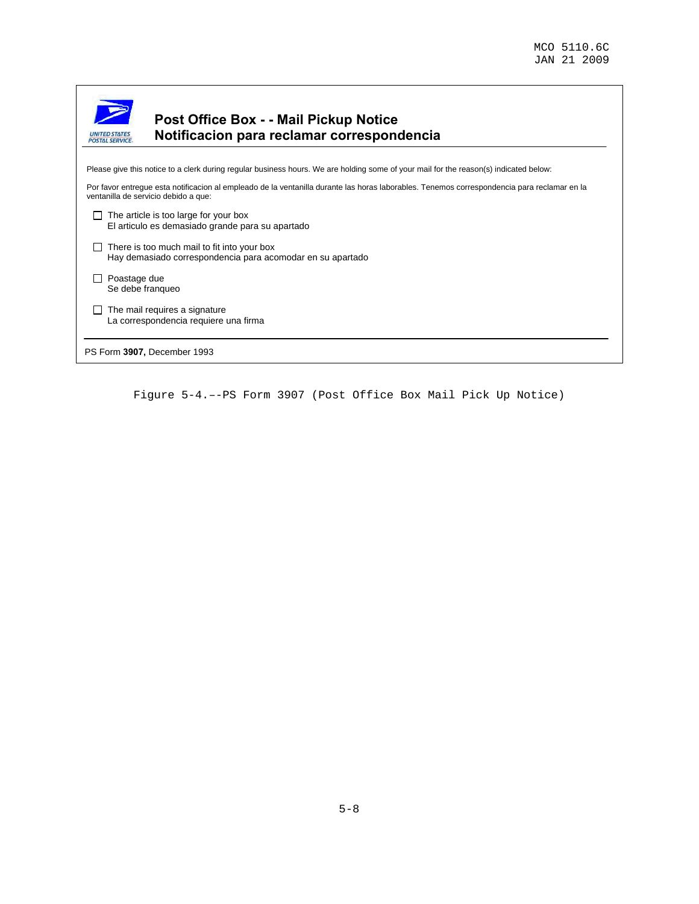| <b>UNITED STATES</b><br><b>POSTAL SERVICE</b> | <b>Post Office Box - - Mail Pickup Notice</b><br>Notificacion para reclamar correspondencia                                                                                         |  |  |  |  |  |  |
|-----------------------------------------------|-------------------------------------------------------------------------------------------------------------------------------------------------------------------------------------|--|--|--|--|--|--|
|                                               |                                                                                                                                                                                     |  |  |  |  |  |  |
|                                               | Please give this notice to a clerk during regular business hours. We are holding some of your mail for the reason(s) indicated below:                                               |  |  |  |  |  |  |
|                                               | Por favor entregue esta notificacion al empleado de la ventanilla durante las horas laborables. Tenemos correspondencia para reclamar en la<br>ventanilla de servicio debido a que: |  |  |  |  |  |  |
|                                               | The article is too large for your box<br>El articulo es demasiado grande para su apartado                                                                                           |  |  |  |  |  |  |
|                                               | There is too much mail to fit into your box<br>Hay demasiado correspondencia para acomodar en su apartado                                                                           |  |  |  |  |  |  |
| Poastage due                                  | Se debe franqueo                                                                                                                                                                    |  |  |  |  |  |  |
|                                               | The mail requires a signature<br>La correspondencia requiere una firma                                                                                                              |  |  |  |  |  |  |
|                                               | PS Form 3907, December 1993                                                                                                                                                         |  |  |  |  |  |  |
|                                               |                                                                                                                                                                                     |  |  |  |  |  |  |

Figure 5-4.–-PS Form 3907 (Post Office Box Mail Pick Up Notice)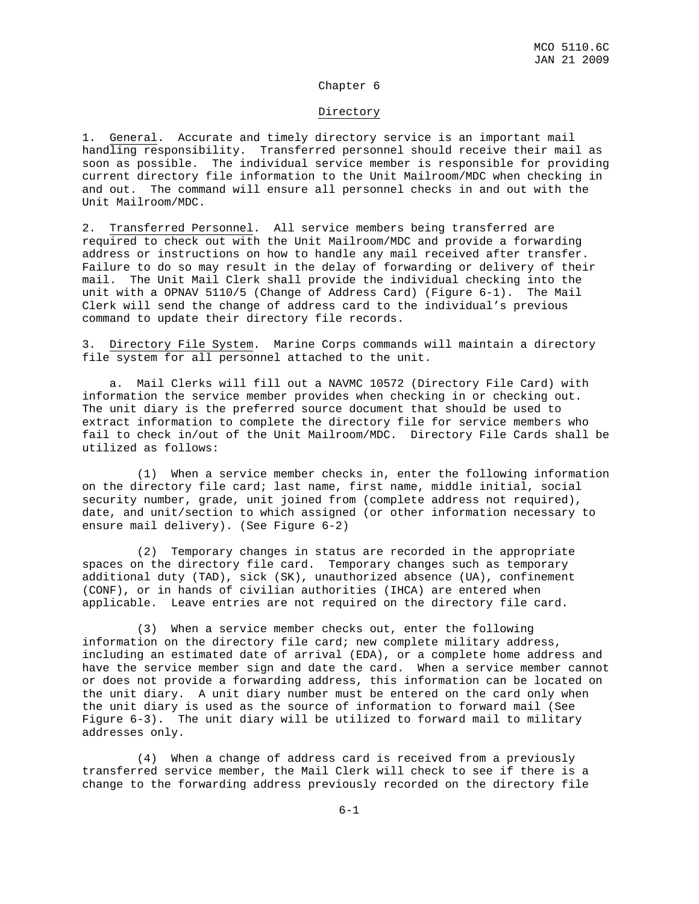#### Chapter 6

#### Directory

1. General. Accurate and timely directory service is an important mail handling responsibility. Transferred personnel should receive their mail as soon as possible. The individual service member is responsible for providing current directory file information to the Unit Mailroom/MDC when checking in and out. The command will ensure all personnel checks in and out with the Unit Mailroom/MDC.

2. Transferred Personnel. All service members being transferred are required to check out with the Unit Mailroom/MDC and provide a forwarding address or instructions on how to handle any mail received after transfer. Failure to do so may result in the delay of forwarding or delivery of their mail. The Unit Mail Clerk shall provide the individual checking into the unit with a OPNAV 5110/5 (Change of Address Card) (Figure 6-1). The Mail Clerk will send the change of address card to the individual's previous command to update their directory file records.

3. Directory File System. Marine Corps commands will maintain a directory file system for all personnel attached to the unit.

 a. Mail Clerks will fill out a NAVMC 10572 (Directory File Card) with information the service member provides when checking in or checking out. The unit diary is the preferred source document that should be used to extract information to complete the directory file for service members who fail to check in/out of the Unit Mailroom/MDC. Directory File Cards shall be utilized as follows:

 (1) When a service member checks in, enter the following information on the directory file card; last name, first name, middle initial, social security number, grade, unit joined from (complete address not required), date, and unit/section to which assigned (or other information necessary to ensure mail delivery). (See Figure 6-2)

 (2) Temporary changes in status are recorded in the appropriate spaces on the directory file card. Temporary changes such as temporary additional duty (TAD), sick (SK), unauthorized absence (UA), confinement (CONF), or in hands of civilian authorities (IHCA) are entered when applicable. Leave entries are not required on the directory file card.

 (3) When a service member checks out, enter the following information on the directory file card; new complete military address, including an estimated date of arrival (EDA), or a complete home address and have the service member sign and date the card. When a service member cannot or does not provide a forwarding address, this information can be located on the unit diary. A unit diary number must be entered on the card only when the unit diary is used as the source of information to forward mail (See Figure 6-3). The unit diary will be utilized to forward mail to military addresses only.

 (4) When a change of address card is received from a previously transferred service member, the Mail Clerk will check to see if there is a change to the forwarding address previously recorded on the directory file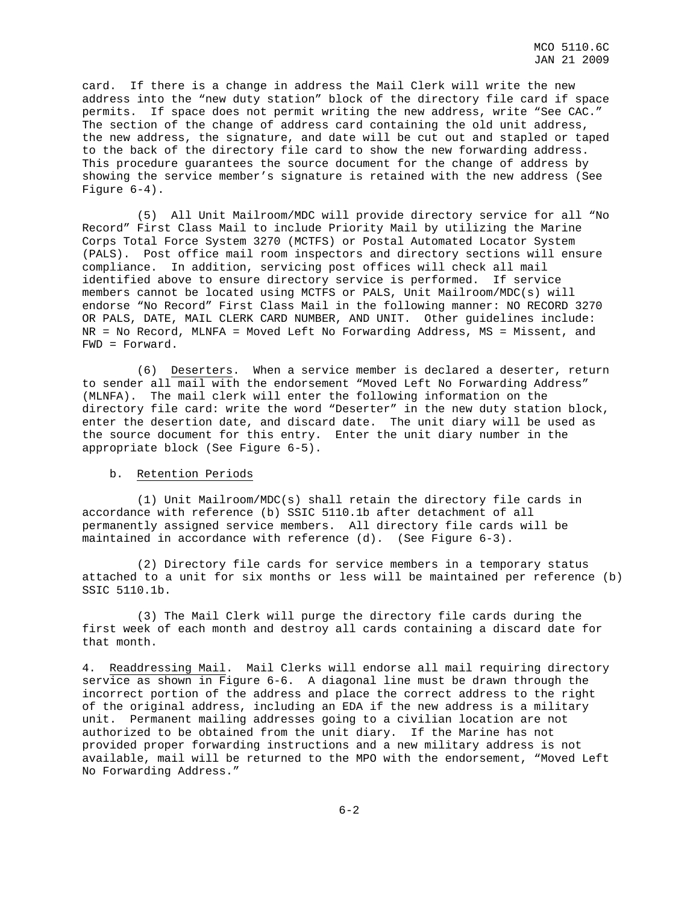card. If there is a change in address the Mail Clerk will write the new address into the "new duty station" block of the directory file card if space permits. If space does not permit writing the new address, write "See CAC." The section of the change of address card containing the old unit address, the new address, the signature, and date will be cut out and stapled or taped to the back of the directory file card to show the new forwarding address. This procedure guarantees the source document for the change of address by showing the service member's signature is retained with the new address (See Figure 6-4).

 (5) All Unit Mailroom/MDC will provide directory service for all "No Record" First Class Mail to include Priority Mail by utilizing the Marine Corps Total Force System 3270 (MCTFS) or Postal Automated Locator System (PALS). Post office mail room inspectors and directory sections will ensure compliance. In addition, servicing post offices will check all mail identified above to ensure directory service is performed. If service members cannot be located using MCTFS or PALS, Unit Mailroom/MDC(s) will endorse "No Record" First Class Mail in the following manner: NO RECORD 3270 OR PALS, DATE, MAIL CLERK CARD NUMBER, AND UNIT. Other guidelines include: NR = No Record, MLNFA = Moved Left No Forwarding Address, MS = Missent, and FWD = Forward.

 (6) Deserters. When a service member is declared a deserter, return to sender all mail with the endorsement "Moved Left No Forwarding Address" (MLNFA). The mail clerk will enter the following information on the directory file card: write the word "Deserter" in the new duty station block, enter the desertion date, and discard date. The unit diary will be used as the source document for this entry. Enter the unit diary number in the appropriate block (See Figure 6-5).

#### b. Retention Periods

 (1) Unit Mailroom/MDC(s) shall retain the directory file cards in accordance with reference (b) SSIC 5110.1b after detachment of all permanently assigned service members. All directory file cards will be maintained in accordance with reference (d). (See Figure 6-3).

 (2) Directory file cards for service members in a temporary status attached to a unit for six months or less will be maintained per reference (b) SSIC 5110.1b.

 (3) The Mail Clerk will purge the directory file cards during the first week of each month and destroy all cards containing a discard date for that month.

4. Readdressing Mail. Mail Clerks will endorse all mail requiring directory service as shown in Figure 6-6. A diagonal line must be drawn through the incorrect portion of the address and place the correct address to the right of the original address, including an EDA if the new address is a military unit. Permanent mailing addresses going to a civilian location are not authorized to be obtained from the unit diary. If the Marine has not provided proper forwarding instructions and a new military address is not available, mail will be returned to the MPO with the endorsement, "Moved Left No Forwarding Address."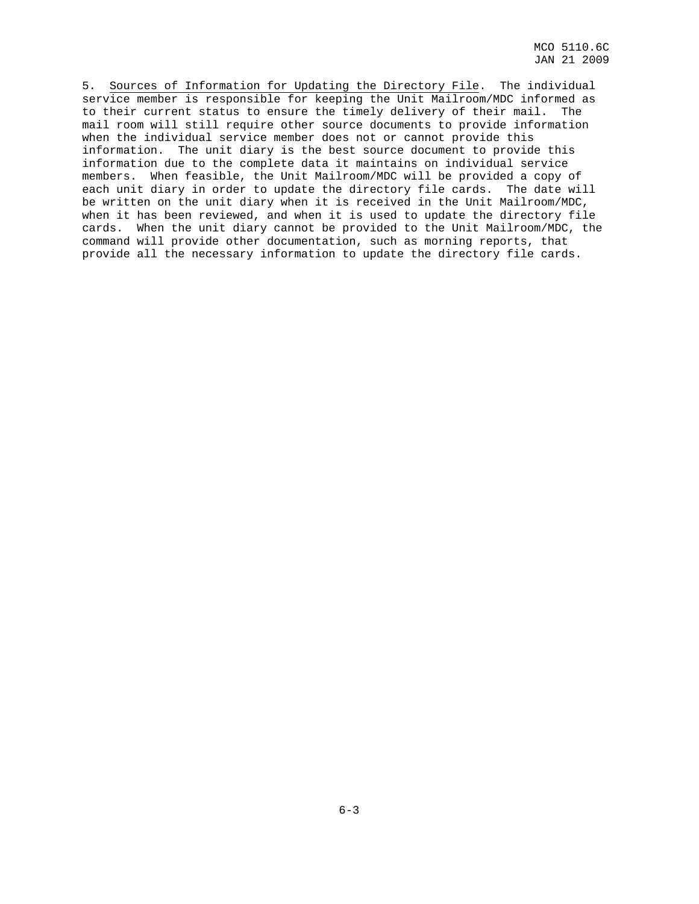5. Sources of Information for Updating the Directory File. The individual service member is responsible for keeping the Unit Mailroom/MDC informed as to their current status to ensure the timely delivery of their mail. The mail room will still require other source documents to provide information when the individual service member does not or cannot provide this information. The unit diary is the best source document to provide this information due to the complete data it maintains on individual service members. When feasible, the Unit Mailroom/MDC will be provided a copy of each unit diary in order to update the directory file cards. The date will be written on the unit diary when it is received in the Unit Mailroom/MDC, when it has been reviewed, and when it is used to update the directory file cards. When the unit diary cannot be provided to the Unit Mailroom/MDC, the command will provide other documentation, such as morning reports, that provide all the necessary information to update the directory file cards.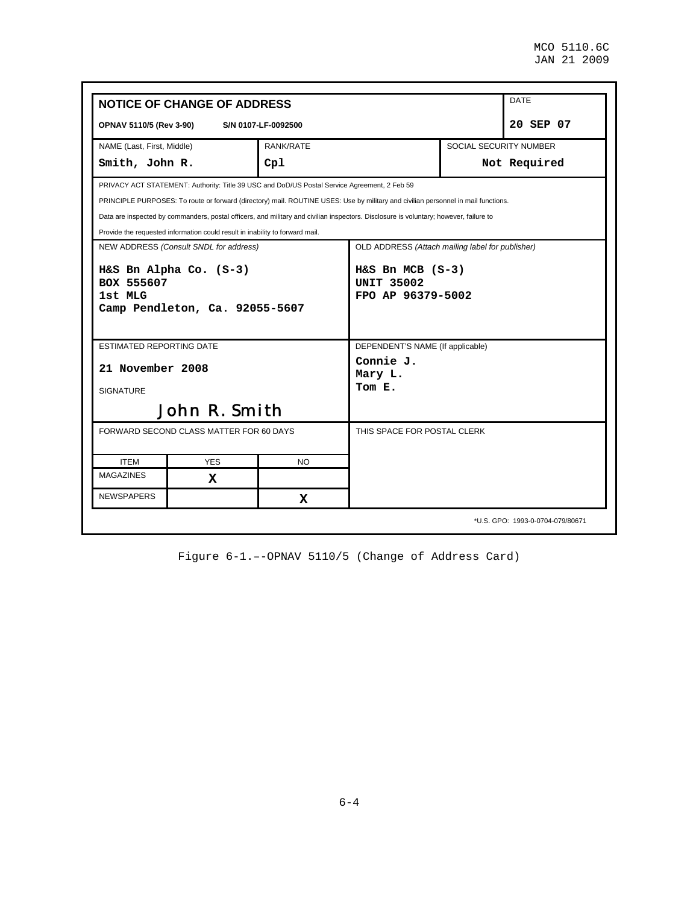|                                               | <b>NOTICE OF CHANGE OF ADDRESS</b>                                                           |                     |                                                                                                                                       |                        | <b>DATE</b> |  |  |  |
|-----------------------------------------------|----------------------------------------------------------------------------------------------|---------------------|---------------------------------------------------------------------------------------------------------------------------------------|------------------------|-------------|--|--|--|
| OPNAV 5110/5 (Rev 3-90)                       |                                                                                              | S/N 0107-LF-0092500 |                                                                                                                                       |                        | 20 SEP 07   |  |  |  |
| NAME (Last, First, Middle)                    |                                                                                              | RANK/RATE           |                                                                                                                                       | SOCIAL SECURITY NUMBER |             |  |  |  |
| Smith, John R.                                |                                                                                              | Cp1                 | Not Required                                                                                                                          |                        |             |  |  |  |
|                                               | PRIVACY ACT STATEMENT: Authority: Title 39 USC and DoD/US Postal Service Agreement, 2 Feb 59 |                     |                                                                                                                                       |                        |             |  |  |  |
|                                               |                                                                                              |                     | PRINCIPLE PURPOSES: To route or forward (directory) mail. ROUTINE USES: Use by military and civilian personnel in mail functions.     |                        |             |  |  |  |
|                                               |                                                                                              |                     | Data are inspected by commanders, postal officers, and military and civilian inspectors. Disclosure is voluntary; however, failure to |                        |             |  |  |  |
|                                               | Provide the requested information could result in inability to forward mail.                 |                     |                                                                                                                                       |                        |             |  |  |  |
|                                               | NEW ADDRESS (Consult SNDL for address)                                                       |                     | OLD ADDRESS (Attach mailing label for publisher)                                                                                      |                        |             |  |  |  |
|                                               | H&S Bn Alpha Co. (S-3)                                                                       |                     | $H&S$ Bn MCB $(S-3)$<br><b>UNIT 35002</b><br>FPO AP 96379-5002                                                                        |                        |             |  |  |  |
| 1st MLG                                       | Camp Pendleton, Ca. 92055-5607                                                               |                     |                                                                                                                                       |                        |             |  |  |  |
| BOX 555607<br><b>ESTIMATED REPORTING DATE</b> |                                                                                              |                     | DEPENDENT'S NAME (If applicable)                                                                                                      |                        |             |  |  |  |
| 21 November 2008                              |                                                                                              |                     | Connie J.<br>Mary L.                                                                                                                  |                        |             |  |  |  |
| <b>SIGNATURE</b>                              |                                                                                              |                     | Tom E.                                                                                                                                |                        |             |  |  |  |
|                                               | <b>John R. Smith</b>                                                                         |                     |                                                                                                                                       |                        |             |  |  |  |
|                                               | FORWARD SECOND CLASS MATTER FOR 60 DAYS                                                      |                     | THIS SPACE FOR POSTAL CLERK                                                                                                           |                        |             |  |  |  |
| <b>ITEM</b>                                   | <b>YES</b>                                                                                   | NO.                 |                                                                                                                                       |                        |             |  |  |  |
| <b>MAGAZINES</b>                              | X                                                                                            |                     |                                                                                                                                       |                        |             |  |  |  |

Figure 6-1.–-OPNAV 5110/5 (Change of Address Card)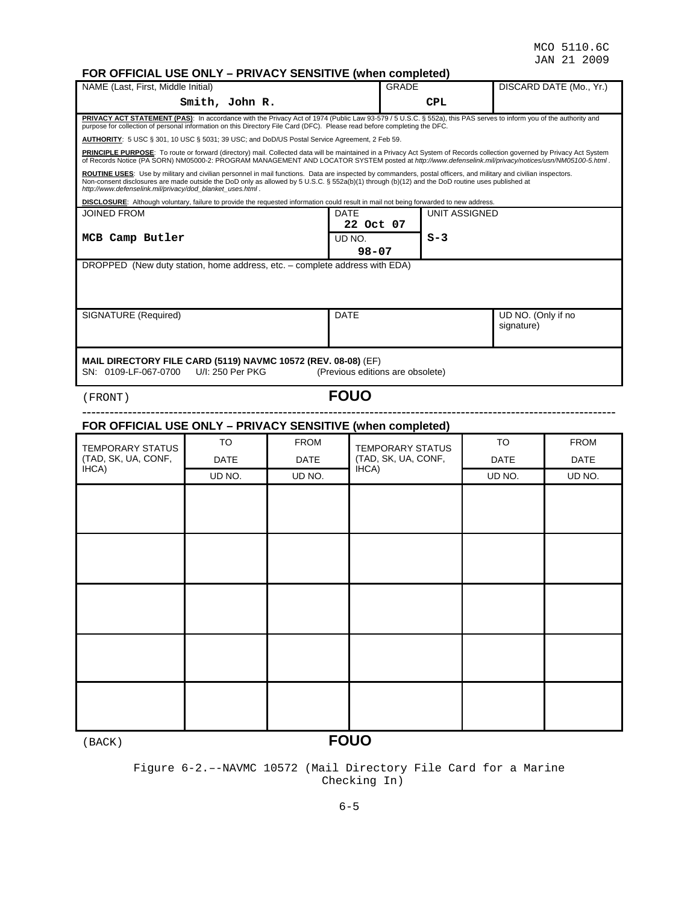# **FOR ORE ONLY – PRIVACY SENSITIVE (when completed)**

| FOR OFFICIAL USE ONLY – PRIVACY SENSITIVE (when completed)                                                                                                                                                                                                                                                                                                                       |                                                                                                                                                                                                                                                                                                                                  |             |                                                |                      |                                  |                         |  |  |  |  |
|----------------------------------------------------------------------------------------------------------------------------------------------------------------------------------------------------------------------------------------------------------------------------------------------------------------------------------------------------------------------------------|----------------------------------------------------------------------------------------------------------------------------------------------------------------------------------------------------------------------------------------------------------------------------------------------------------------------------------|-------------|------------------------------------------------|----------------------|----------------------------------|-------------------------|--|--|--|--|
| NAME (Last, First, Middle Initial)                                                                                                                                                                                                                                                                                                                                               |                                                                                                                                                                                                                                                                                                                                  |             | <b>GRADE</b>                                   |                      |                                  | DISCARD DATE (Mo., Yr.) |  |  |  |  |
|                                                                                                                                                                                                                                                                                                                                                                                  | Smith, John R.                                                                                                                                                                                                                                                                                                                   |             | CPL                                            |                      |                                  |                         |  |  |  |  |
| PRIVACY ACT STATEMENT (PAS): In accordance with the Privacy Act of 1974 (Public Law 93-579 / 5 U.S.C. § 552a), this PAS serves to inform you of the authority and<br>purpose for collection of personal information on this Directory File Card (DFC). Please read before completing the DFC.                                                                                    |                                                                                                                                                                                                                                                                                                                                  |             |                                                |                      |                                  |                         |  |  |  |  |
| AUTHORITY: 5 USC § 301, 10 USC § 5031; 39 USC; and DoD/US Postal Service Agreement, 2 Feb 59.                                                                                                                                                                                                                                                                                    |                                                                                                                                                                                                                                                                                                                                  |             |                                                |                      |                                  |                         |  |  |  |  |
|                                                                                                                                                                                                                                                                                                                                                                                  | PRINCIPLE PURPOSE: To route or forward (directory) mail. Collected data will be maintained in a Privacy Act System of Records collection governed by Privacy Act System<br>of Records Notice (PA SORN) NM05000-2: PROGRAM MANAGEMENT AND LOCATOR SYSTEM posted at http://www.defenselink.mil/privacy/notices/usn/NM05100-5.html. |             |                                                |                      |                                  |                         |  |  |  |  |
| ROUTINE USES: Use by military and civilian personnel in mail functions. Data are inspected by commanders, postal officers, and military and civilian inspectors.<br>Non-consent disclosures are made outside the DoD only as allowed by 5 U.S.C. § 552a(b)(1) through (b)(12) and the DoD routine uses published at<br>http://www.defenselink.mil/privacy/dod_blanket_uses.html. |                                                                                                                                                                                                                                                                                                                                  |             |                                                |                      |                                  |                         |  |  |  |  |
| DISCLOSURE: Although voluntary, failure to provide the requested information could result in mail not being forwarded to new address.                                                                                                                                                                                                                                            |                                                                                                                                                                                                                                                                                                                                  |             |                                                |                      |                                  |                         |  |  |  |  |
| <b>JOINED FROM</b>                                                                                                                                                                                                                                                                                                                                                               |                                                                                                                                                                                                                                                                                                                                  |             | DATE<br>22 Oct 07                              | <b>UNIT ASSIGNED</b> |                                  |                         |  |  |  |  |
| MCB Camp Butler                                                                                                                                                                                                                                                                                                                                                                  |                                                                                                                                                                                                                                                                                                                                  |             | UD NO.<br>$98 - 07$                            | $S-3$                |                                  |                         |  |  |  |  |
| DROPPED (New duty station, home address, etc. - complete address with EDA)                                                                                                                                                                                                                                                                                                       |                                                                                                                                                                                                                                                                                                                                  |             |                                                |                      |                                  |                         |  |  |  |  |
|                                                                                                                                                                                                                                                                                                                                                                                  |                                                                                                                                                                                                                                                                                                                                  |             |                                                |                      |                                  |                         |  |  |  |  |
| SIGNATURE (Required)                                                                                                                                                                                                                                                                                                                                                             |                                                                                                                                                                                                                                                                                                                                  |             | <b>DATE</b>                                    |                      | UD NO. (Only if no<br>signature) |                         |  |  |  |  |
|                                                                                                                                                                                                                                                                                                                                                                                  |                                                                                                                                                                                                                                                                                                                                  |             |                                                |                      |                                  |                         |  |  |  |  |
| MAIL DIRECTORY FILE CARD (5119) NAVMC 10572 (REV. 08-08) (EF)<br>SN: 0109-LF-067-0700                                                                                                                                                                                                                                                                                            | U/I: 250 Per PKG                                                                                                                                                                                                                                                                                                                 |             | (Previous editions are obsolete)               |                      |                                  |                         |  |  |  |  |
| (FRONT)                                                                                                                                                                                                                                                                                                                                                                          |                                                                                                                                                                                                                                                                                                                                  |             | <b>FOUO</b>                                    |                      |                                  |                         |  |  |  |  |
| FOR OFFICIAL USE ONLY - PRIVACY SENSITIVE (when completed)                                                                                                                                                                                                                                                                                                                       |                                                                                                                                                                                                                                                                                                                                  |             |                                                |                      |                                  |                         |  |  |  |  |
|                                                                                                                                                                                                                                                                                                                                                                                  | TO                                                                                                                                                                                                                                                                                                                               | <b>FROM</b> |                                                |                      | TO                               | <b>FROM</b>             |  |  |  |  |
| <b>TEMPORARY STATUS</b><br>(TAD, SK, UA, CONF,                                                                                                                                                                                                                                                                                                                                   | DATE                                                                                                                                                                                                                                                                                                                             | <b>DATE</b> | <b>TEMPORARY STATUS</b><br>(TAD, SK, UA, CONF, |                      | DATE                             | <b>DATE</b>             |  |  |  |  |
| IHCA)                                                                                                                                                                                                                                                                                                                                                                            | UD NO.                                                                                                                                                                                                                                                                                                                           | UD NO.      | IHCA)                                          |                      | UD NO.                           | UD NO.                  |  |  |  |  |
|                                                                                                                                                                                                                                                                                                                                                                                  |                                                                                                                                                                                                                                                                                                                                  |             |                                                |                      |                                  |                         |  |  |  |  |
|                                                                                                                                                                                                                                                                                                                                                                                  |                                                                                                                                                                                                                                                                                                                                  |             |                                                |                      |                                  |                         |  |  |  |  |
|                                                                                                                                                                                                                                                                                                                                                                                  |                                                                                                                                                                                                                                                                                                                                  |             |                                                |                      |                                  |                         |  |  |  |  |
|                                                                                                                                                                                                                                                                                                                                                                                  |                                                                                                                                                                                                                                                                                                                                  |             |                                                |                      |                                  |                         |  |  |  |  |
|                                                                                                                                                                                                                                                                                                                                                                                  |                                                                                                                                                                                                                                                                                                                                  |             |                                                |                      |                                  |                         |  |  |  |  |
|                                                                                                                                                                                                                                                                                                                                                                                  |                                                                                                                                                                                                                                                                                                                                  |             |                                                |                      |                                  |                         |  |  |  |  |
|                                                                                                                                                                                                                                                                                                                                                                                  |                                                                                                                                                                                                                                                                                                                                  |             |                                                |                      |                                  |                         |  |  |  |  |
|                                                                                                                                                                                                                                                                                                                                                                                  |                                                                                                                                                                                                                                                                                                                                  |             |                                                |                      |                                  |                         |  |  |  |  |
|                                                                                                                                                                                                                                                                                                                                                                                  |                                                                                                                                                                                                                                                                                                                                  |             |                                                |                      |                                  |                         |  |  |  |  |
|                                                                                                                                                                                                                                                                                                                                                                                  |                                                                                                                                                                                                                                                                                                                                  |             |                                                |                      |                                  |                         |  |  |  |  |
|                                                                                                                                                                                                                                                                                                                                                                                  |                                                                                                                                                                                                                                                                                                                                  |             |                                                |                      |                                  |                         |  |  |  |  |
|                                                                                                                                                                                                                                                                                                                                                                                  |                                                                                                                                                                                                                                                                                                                                  |             |                                                |                      |                                  |                         |  |  |  |  |

(BACK) **FOUO**

#### Figure 6-2.–-NAVMC 10572 (Mail Directory File Card for a Marine Checking In)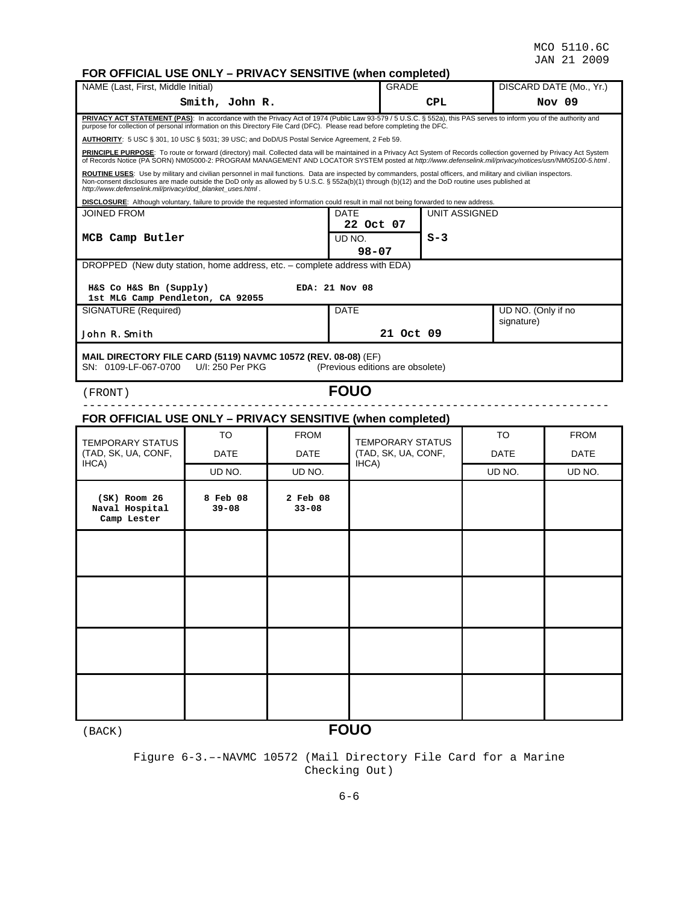# **FOR OFFICIAL USE ONLY – PRIVACY SENSITIVE (when completed)**

| <u>UITIUIAL UUL UNLI</u><br>NAME (Last, First, Middle Initial)                                                                                                                                                                                                                                                                                                                                 |                                                                                                                                                                              | ן ווערושטום ושמזווי   |                                  | when completed<br>GRADE          |       |                                  | DISCARD DATE (Mo., Yr.) |  |  |  |
|------------------------------------------------------------------------------------------------------------------------------------------------------------------------------------------------------------------------------------------------------------------------------------------------------------------------------------------------------------------------------------------------|------------------------------------------------------------------------------------------------------------------------------------------------------------------------------|-----------------------|----------------------------------|----------------------------------|-------|----------------------------------|-------------------------|--|--|--|
|                                                                                                                                                                                                                                                                                                                                                                                                | Smith, John R.                                                                                                                                                               |                       |                                  |                                  | CPL   |                                  | Nov 09                  |  |  |  |
| PRIVACY ACT STATEMENT (PAS): In accordance with the Privacy Act of 1974 (Public Law 93-579 / 5 U.S.C. § 552a), this PAS serves to inform you of the authority and<br>purpose for collection of personal information on this Directory File Card (DFC). Please read before completing the DFC.<br>AUTHORITY: 5 USC § 301, 10 USC § 5031; 39 USC; and DoD/US Postal Service Agreement, 2 Feb 59. |                                                                                                                                                                              |                       |                                  |                                  |       |                                  |                         |  |  |  |
| PRINCIPLE PURPOSE: To route or forward (directory) mail. Collected data will be maintained in a Privacy Act System of Records collection governed by Privacy Act System<br>of Records Notice (PA SORN) NM05000-2: PROGRAM MANAGEMENT AND LOCATOR SYSTEM posted at http://www.defenselink.mil/privacy/notices/usn/NM05100-5.html.                                                               |                                                                                                                                                                              |                       |                                  |                                  |       |                                  |                         |  |  |  |
| ROUTINE USES: Use by military and civilian personnel in mail functions. Data are inspected by commanders, postal officers, and military and civilian inspectors.<br>Non-consent disclosures are made outside the DoD only as allowed by 5 U.S.C. § 552a(b)(1) through (b)(12) and the DoD routine uses published at<br>http://www.defenselink.mil/privacy/dod blanket uses.html.               |                                                                                                                                                                              |                       |                                  |                                  |       |                                  |                         |  |  |  |
| <b>JOINED FROM</b>                                                                                                                                                                                                                                                                                                                                                                             | DISCLOSURE: Although voluntary, failure to provide the requested information could result in mail not being forwarded to new address.<br><b>UNIT ASSIGNED</b><br><b>DATE</b> |                       |                                  |                                  |       |                                  |                         |  |  |  |
| MCB Camp Butler                                                                                                                                                                                                                                                                                                                                                                                |                                                                                                                                                                              |                       | 22 Oct 07<br>UD NO.<br>$98 - 07$ |                                  | $S-3$ |                                  |                         |  |  |  |
| DROPPED (New duty station, home address, etc. - complete address with EDA)                                                                                                                                                                                                                                                                                                                     |                                                                                                                                                                              |                       |                                  |                                  |       |                                  |                         |  |  |  |
| H&S Co H&S Bn (Supply)<br>1st MLG Camp Pendleton, CA 92055                                                                                                                                                                                                                                                                                                                                     |                                                                                                                                                                              |                       | EDA: 21 Nov 08                   |                                  |       |                                  |                         |  |  |  |
| SIGNATURE (Required)                                                                                                                                                                                                                                                                                                                                                                           |                                                                                                                                                                              |                       | <b>DATE</b>                      |                                  |       | UD NO. (Only if no<br>signature) |                         |  |  |  |
| John R. Smith                                                                                                                                                                                                                                                                                                                                                                                  |                                                                                                                                                                              |                       |                                  | 21 Oct 09                        |       |                                  |                         |  |  |  |
| <b>MAIL DIRECTORY FILE CARD (5119) NAVMC 10572 (REV. 08-08) (EF)</b><br>SN: 0109-LF-067-0700                                                                                                                                                                                                                                                                                                   | U/I: 250 Per PKG                                                                                                                                                             |                       |                                  | (Previous editions are obsolete) |       |                                  |                         |  |  |  |
| (FRONT)                                                                                                                                                                                                                                                                                                                                                                                        |                                                                                                                                                                              |                       | <b>FOUO</b>                      |                                  |       |                                  |                         |  |  |  |
| FOR OFFICIAL USE ONLY - PRIVACY SENSITIVE (when completed)                                                                                                                                                                                                                                                                                                                                     |                                                                                                                                                                              |                       |                                  |                                  |       |                                  |                         |  |  |  |
| <b>TEMPORARY STATUS</b>                                                                                                                                                                                                                                                                                                                                                                        | TO                                                                                                                                                                           | <b>FROM</b>           |                                  | <b>TEMPORARY STATUS</b>          |       | TO                               | <b>FROM</b>             |  |  |  |
| (TAD, SK, UA, CONF,                                                                                                                                                                                                                                                                                                                                                                            | DATE                                                                                                                                                                         | DATE                  |                                  | (TAD, SK, UA, CONF,              |       | DATE                             | DATE                    |  |  |  |
| IHCA)                                                                                                                                                                                                                                                                                                                                                                                          | UD NO.                                                                                                                                                                       | UD NO.                |                                  | IHCA)                            |       | UD NO.                           | UD NO.                  |  |  |  |
| $(SK)$ Room 26<br>Naval Hospital<br>Camp Lester                                                                                                                                                                                                                                                                                                                                                | 8 Feb 08<br>$39 - 08$                                                                                                                                                        | 2 Feb 08<br>$33 - 08$ |                                  |                                  |       |                                  |                         |  |  |  |
|                                                                                                                                                                                                                                                                                                                                                                                                |                                                                                                                                                                              |                       |                                  |                                  |       |                                  |                         |  |  |  |
|                                                                                                                                                                                                                                                                                                                                                                                                |                                                                                                                                                                              |                       |                                  |                                  |       |                                  |                         |  |  |  |
|                                                                                                                                                                                                                                                                                                                                                                                                |                                                                                                                                                                              |                       |                                  |                                  |       |                                  |                         |  |  |  |
|                                                                                                                                                                                                                                                                                                                                                                                                |                                                                                                                                                                              |                       |                                  |                                  |       |                                  |                         |  |  |  |
| (BACK)                                                                                                                                                                                                                                                                                                                                                                                         |                                                                                                                                                                              |                       | <b>FOUO</b>                      |                                  |       |                                  |                         |  |  |  |

Figure 6-3.–-NAVMC 10572 (Mail Directory File Card for a Marine Checking Out)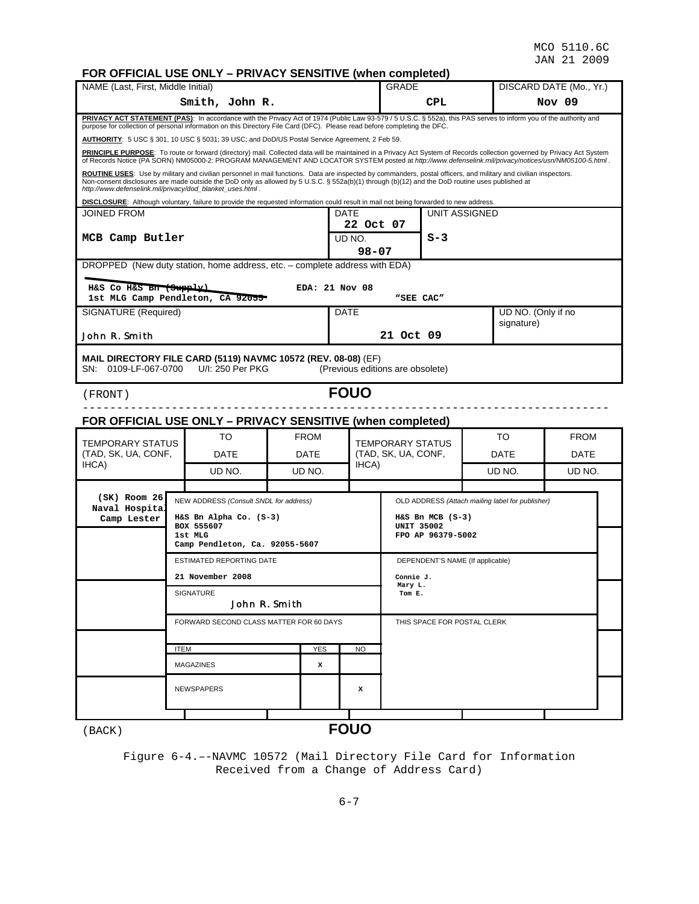# **FOR OFFICIAL USE ONLY – PRIVACY SENSITIVE (when completed)**

| NAME (Last, First, Middle Initial)                                                                                                                                                                                                                                                                                                                                               |                                                                        | ********************<br><b>GRADE</b>   |             |            | DISCARD DATE (Mo., Yr.) |                                    |                                                  |  |                    |             |  |
|----------------------------------------------------------------------------------------------------------------------------------------------------------------------------------------------------------------------------------------------------------------------------------------------------------------------------------------------------------------------------------|------------------------------------------------------------------------|----------------------------------------|-------------|------------|-------------------------|------------------------------------|--------------------------------------------------|--|--------------------|-------------|--|
| Smith, John R.                                                                                                                                                                                                                                                                                                                                                                   |                                                                        |                                        |             |            |                         |                                    | CPL                                              |  |                    | Nov 09      |  |
| PRIVACY ACT STATEMENT (PAS): In accordance with the Privacy Act of 1974 (Public Law 93-579 / 5 U.S.C. § 552a), this PAS serves to inform you of the authority and<br>purpose for collection of personal information on this Directory File Card (DFC). Please read before completing the DFC.                                                                                    |                                                                        |                                        |             |            |                         |                                    |                                                  |  |                    |             |  |
| AUTHORITY: 5 USC § 301, 10 USC § 5031; 39 USC; and DoD/US Postal Service Agreement, 2 Feb 59.                                                                                                                                                                                                                                                                                    |                                                                        |                                        |             |            |                         |                                    |                                                  |  |                    |             |  |
| PRINCIPLE PURPOSE: To route or forward (directory) mail. Collected data will be maintained in a Privacy Act System of Records collection governed by Privacy Act System<br>of Records Notice (PA SORN) NM05000-2: PROGRAM MANAGEMENT AND LOCATOR SYSTEM posted at http://www.defenselink.mil/privacy/notices/usn/NM05100-5.html.                                                 |                                                                        |                                        |             |            |                         |                                    |                                                  |  |                    |             |  |
| ROUTINE USES: Use by military and civilian personnel in mail functions. Data are inspected by commanders, postal officers, and military and civilian inspectors.<br>Non-consent disclosures are made outside the DoD only as allowed by 5 U.S.C. § 552a(b)(1) through (b)(12) and the DoD routine uses published at<br>http://www.defenselink.mil/privacy/dod_blanket_uses.html. |                                                                        |                                        |             |            |                         |                                    |                                                  |  |                    |             |  |
| DISCLOSURE: Although voluntary, failure to provide the requested information could result in mail not being forwarded to new address.<br>DATE<br>UNIT ASSIGNED                                                                                                                                                                                                                   |                                                                        |                                        |             |            |                         |                                    |                                                  |  |                    |             |  |
| <b>JOINED FROM</b>                                                                                                                                                                                                                                                                                                                                                               |                                                                        |                                        |             |            | 22 Oct 07               |                                    |                                                  |  |                    |             |  |
| MCB Camp Butler                                                                                                                                                                                                                                                                                                                                                                  |                                                                        |                                        |             |            | UD NO.                  |                                    | $S-3$                                            |  |                    |             |  |
|                                                                                                                                                                                                                                                                                                                                                                                  |                                                                        |                                        |             |            | $98 - 07$               |                                    |                                                  |  |                    |             |  |
| DROPPED (New duty station, home address, etc. - complete address with EDA)                                                                                                                                                                                                                                                                                                       |                                                                        |                                        |             |            |                         |                                    |                                                  |  |                    |             |  |
| H&S Co H&S Bn (Supply)                                                                                                                                                                                                                                                                                                                                                           |                                                                        |                                        |             |            | EDA: 21 Nov 08          |                                    |                                                  |  |                    |             |  |
| SIGNATURE (Required)                                                                                                                                                                                                                                                                                                                                                             |                                                                        | 1st MLG Camp Pendleton, CA 92055       |             |            | DATE                    | "SEE CAC"                          |                                                  |  | UD NO. (Only if no |             |  |
|                                                                                                                                                                                                                                                                                                                                                                                  |                                                                        |                                        |             |            |                         |                                    |                                                  |  | signature)         |             |  |
| John R. Smith                                                                                                                                                                                                                                                                                                                                                                    |                                                                        |                                        |             |            |                         | 21 Oct 09                          |                                                  |  |                    |             |  |
| <b>MAIL DIRECTORY FILE CARD (5119) NAVMC 10572 (REV. 08-08) (EF)</b><br>SN: 0109-LF-067-0700                                                                                                                                                                                                                                                                                     |                                                                        | U/I: 250 Per PKG                       |             |            |                         | (Previous editions are obsolete)   |                                                  |  |                    |             |  |
| (FRONT)                                                                                                                                                                                                                                                                                                                                                                          |                                                                        |                                        |             |            | <b>FOUO</b>             |                                    |                                                  |  |                    |             |  |
| FOR OFFICIAL USE ONLY - PRIVACY SENSITIVE (when completed)                                                                                                                                                                                                                                                                                                                       |                                                                        |                                        |             |            |                         |                                    |                                                  |  |                    |             |  |
| <b>TEMPORARY STATUS</b>                                                                                                                                                                                                                                                                                                                                                          |                                                                        | то                                     | <b>FROM</b> |            |                         | <b>TEMPORARY STATUS</b>            |                                                  |  | TO                 | <b>FROM</b> |  |
| (TAD, SK, UA, CONF,                                                                                                                                                                                                                                                                                                                                                              |                                                                        | DATE                                   | DATE        |            |                         | (TAD, SK, UA, CONF,                |                                                  |  | DATE               | DATE        |  |
| IHCA)                                                                                                                                                                                                                                                                                                                                                                            |                                                                        | UD NO.                                 | UD NO.      |            | IHCA)                   |                                    |                                                  |  | UD NO.             | UD NO.      |  |
|                                                                                                                                                                                                                                                                                                                                                                                  |                                                                        |                                        |             |            |                         |                                    |                                                  |  |                    |             |  |
| $(SK)$ Room 26<br>Naval Hospita                                                                                                                                                                                                                                                                                                                                                  |                                                                        | NEW ADDRESS (Consult SNDL for address) |             |            |                         |                                    | OLD ADDRESS (Attach mailing label for publisher) |  |                    |             |  |
| Camp Lester                                                                                                                                                                                                                                                                                                                                                                      |                                                                        | H&S Bn Alpha Co. (S-3)<br>BOX 555607   |             |            |                         | $H&S$ Bn MCB $(S-3)$<br>UNIT 35002 |                                                  |  |                    |             |  |
|                                                                                                                                                                                                                                                                                                                                                                                  |                                                                        | 1st MLG                                |             |            |                         |                                    | FPO AP 96379-5002                                |  |                    |             |  |
|                                                                                                                                                                                                                                                                                                                                                                                  |                                                                        | Camp Pendleton, Ca. 92055-5607         |             |            |                         |                                    |                                                  |  |                    |             |  |
|                                                                                                                                                                                                                                                                                                                                                                                  |                                                                        | <b>ESTIMATED REPORTING DATE</b>        |             |            |                         |                                    | DEPENDENT'S NAME (If applicable)                 |  |                    |             |  |
|                                                                                                                                                                                                                                                                                                                                                                                  |                                                                        | 21 November 2008                       |             |            |                         | Connie J.<br>Mary L.               |                                                  |  |                    |             |  |
|                                                                                                                                                                                                                                                                                                                                                                                  | SIGNATURE<br>Tom E.<br>John R. Smith                                   |                                        |             |            |                         |                                    |                                                  |  |                    |             |  |
|                                                                                                                                                                                                                                                                                                                                                                                  | FORWARD SECOND CLASS MATTER FOR 60 DAYS<br>THIS SPACE FOR POSTAL CLERK |                                        |             |            |                         |                                    |                                                  |  |                    |             |  |
|                                                                                                                                                                                                                                                                                                                                                                                  | <b>ITEM</b>                                                            |                                        |             | <b>YES</b> | NO.                     |                                    |                                                  |  |                    |             |  |
|                                                                                                                                                                                                                                                                                                                                                                                  |                                                                        | MAGAZINES                              |             | x          |                         |                                    |                                                  |  |                    |             |  |
|                                                                                                                                                                                                                                                                                                                                                                                  | NEWSPAPERS                                                             |                                        |             |            |                         |                                    |                                                  |  |                    |             |  |
|                                                                                                                                                                                                                                                                                                                                                                                  |                                                                        |                                        |             |            |                         |                                    |                                                  |  |                    |             |  |
| (BACK)                                                                                                                                                                                                                                                                                                                                                                           |                                                                        |                                        |             |            | <b>FOUO</b>             |                                    |                                                  |  |                    |             |  |

Figure 6-4.–-NAVMC 10572 (Mail Directory File Card for Information Received from a Change of Address Card)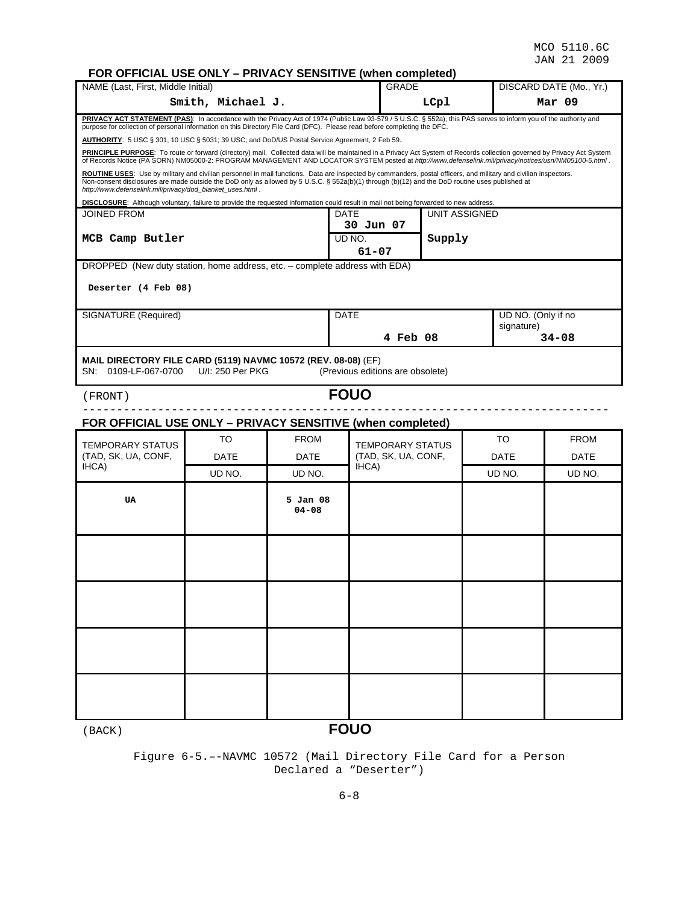# **FOR OFFICIAL USE ONLY – PRIVACY SENSITIVE (when completed)**

| NAME (Last, First, Middle Initial)                                                                                                                                                                                                                                                                                                                                               | <b>ON OFFICIAL OUL ONLY</b>                                                                                                                                                                                                                                                                                                      | <b>TWO CONSTRUCTS</b> WHEN COMPIGES |                                  | <b>GRADE</b>                            |               |                    | DISCARD DATE (Mo., Yr.) |  |  |  |
|----------------------------------------------------------------------------------------------------------------------------------------------------------------------------------------------------------------------------------------------------------------------------------------------------------------------------------------------------------------------------------|----------------------------------------------------------------------------------------------------------------------------------------------------------------------------------------------------------------------------------------------------------------------------------------------------------------------------------|-------------------------------------|----------------------------------|-----------------------------------------|---------------|--------------------|-------------------------|--|--|--|
|                                                                                                                                                                                                                                                                                                                                                                                  | Smith, Michael J.                                                                                                                                                                                                                                                                                                                |                                     |                                  |                                         | LCpl          |                    | Mar 09                  |  |  |  |
| PRIVACY ACT STATEMENT (PAS): In accordance with the Privacy Act of 1974 (Public Law 93-579 / 5 U.S.C. § 552a), this PAS serves to inform you of the authority and<br>purpose for collection of personal information on this Directory File Card (DFC). Please read before completing the DFC.                                                                                    |                                                                                                                                                                                                                                                                                                                                  |                                     |                                  |                                         |               |                    |                         |  |  |  |
| AUTHORITY: 5 USC § 301, 10 USC § 5031; 39 USC; and DoD/US Postal Service Agreement, 2 Feb 59.                                                                                                                                                                                                                                                                                    |                                                                                                                                                                                                                                                                                                                                  |                                     |                                  |                                         |               |                    |                         |  |  |  |
|                                                                                                                                                                                                                                                                                                                                                                                  | PRINCIPLE PURPOSE: To route or forward (directory) mail. Collected data will be maintained in a Privacy Act System of Records collection governed by Privacy Act System<br>of Records Notice (PA SORN) NM05000-2: PROGRAM MANAGEMENT AND LOCATOR SYSTEM posted at http://www.defenselink.mil/privacy/notices/usn/NM05100-5.html. |                                     |                                  |                                         |               |                    |                         |  |  |  |
| ROUTINE USES: Use by military and civilian personnel in mail functions. Data are inspected by commanders, postal officers, and military and civilian inspectors.<br>Non-consent disclosures are made outside the DoD only as allowed by 5 U.S.C. § 552a(b)(1) through (b)(12) and the DoD routine uses published at<br>http://www.defenselink.mil/privacy/dod blanket uses.html. |                                                                                                                                                                                                                                                                                                                                  |                                     |                                  |                                         |               |                    |                         |  |  |  |
| DISCLOSURE: Although voluntary, failure to provide the requested information could result in mail not being forwarded to new address.                                                                                                                                                                                                                                            |                                                                                                                                                                                                                                                                                                                                  |                                     |                                  |                                         |               |                    |                         |  |  |  |
| JOINED FROM                                                                                                                                                                                                                                                                                                                                                                      |                                                                                                                                                                                                                                                                                                                                  |                                     | DATE<br>30 Jun 07                |                                         | UNIT ASSIGNED |                    |                         |  |  |  |
| MCB Camp Butler                                                                                                                                                                                                                                                                                                                                                                  |                                                                                                                                                                                                                                                                                                                                  |                                     | UD NO.                           |                                         | Supply        |                    |                         |  |  |  |
|                                                                                                                                                                                                                                                                                                                                                                                  |                                                                                                                                                                                                                                                                                                                                  |                                     | 61-07                            |                                         |               |                    |                         |  |  |  |
| DROPPED (New duty station, home address, etc. - complete address with EDA)                                                                                                                                                                                                                                                                                                       |                                                                                                                                                                                                                                                                                                                                  |                                     |                                  |                                         |               |                    |                         |  |  |  |
| Deserter (4 Feb 08)                                                                                                                                                                                                                                                                                                                                                              |                                                                                                                                                                                                                                                                                                                                  |                                     |                                  |                                         |               |                    |                         |  |  |  |
|                                                                                                                                                                                                                                                                                                                                                                                  |                                                                                                                                                                                                                                                                                                                                  |                                     |                                  |                                         |               |                    |                         |  |  |  |
| SIGNATURE (Required)                                                                                                                                                                                                                                                                                                                                                             |                                                                                                                                                                                                                                                                                                                                  |                                     | <b>DATE</b>                      |                                         |               | UD NO. (Only if no |                         |  |  |  |
|                                                                                                                                                                                                                                                                                                                                                                                  |                                                                                                                                                                                                                                                                                                                                  |                                     |                                  | 4 Feb 08                                |               | signature)         | $34 - 08$               |  |  |  |
|                                                                                                                                                                                                                                                                                                                                                                                  |                                                                                                                                                                                                                                                                                                                                  |                                     |                                  |                                         |               |                    |                         |  |  |  |
| MAIL DIRECTORY FILE CARD (5119) NAVMC 10572 (REV. 08-08) (EF)<br>SN: 0109-LF-067-0700                                                                                                                                                                                                                                                                                            | U/I: 250 Per PKG                                                                                                                                                                                                                                                                                                                 |                                     | (Previous editions are obsolete) |                                         |               |                    |                         |  |  |  |
| (FRONT)                                                                                                                                                                                                                                                                                                                                                                          |                                                                                                                                                                                                                                                                                                                                  |                                     | <b>FOUO</b>                      |                                         |               |                    |                         |  |  |  |
| FOR OFFICIAL USE ONLY - PRIVACY SENSITIVE (when completed)                                                                                                                                                                                                                                                                                                                       |                                                                                                                                                                                                                                                                                                                                  |                                     |                                  |                                         |               |                    |                         |  |  |  |
|                                                                                                                                                                                                                                                                                                                                                                                  | TO                                                                                                                                                                                                                                                                                                                               | <b>FROM</b>                         |                                  |                                         |               | TO                 | <b>FROM</b>             |  |  |  |
| <b>TEMPORARY STATUS</b><br>(TAD, SK, UA, CONF,                                                                                                                                                                                                                                                                                                                                   | <b>DATE</b>                                                                                                                                                                                                                                                                                                                      | <b>DATE</b>                         |                                  | TEMPORARY STATUS<br>(TAD, SK, UA, CONF, |               | <b>DATE</b>        | <b>DATE</b>             |  |  |  |
| IHCA)                                                                                                                                                                                                                                                                                                                                                                            | UD NO.                                                                                                                                                                                                                                                                                                                           | UD NO.                              | IHCA)                            |                                         |               | UD NO.             | UD NO.                  |  |  |  |
|                                                                                                                                                                                                                                                                                                                                                                                  |                                                                                                                                                                                                                                                                                                                                  |                                     |                                  |                                         |               |                    |                         |  |  |  |
| <b>UA</b>                                                                                                                                                                                                                                                                                                                                                                        |                                                                                                                                                                                                                                                                                                                                  | 5 Jan 08                            |                                  |                                         |               |                    |                         |  |  |  |
|                                                                                                                                                                                                                                                                                                                                                                                  |                                                                                                                                                                                                                                                                                                                                  | $04 - 08$                           |                                  |                                         |               |                    |                         |  |  |  |
|                                                                                                                                                                                                                                                                                                                                                                                  |                                                                                                                                                                                                                                                                                                                                  |                                     |                                  |                                         |               |                    |                         |  |  |  |
|                                                                                                                                                                                                                                                                                                                                                                                  |                                                                                                                                                                                                                                                                                                                                  |                                     |                                  |                                         |               |                    |                         |  |  |  |
|                                                                                                                                                                                                                                                                                                                                                                                  |                                                                                                                                                                                                                                                                                                                                  |                                     |                                  |                                         |               |                    |                         |  |  |  |
|                                                                                                                                                                                                                                                                                                                                                                                  |                                                                                                                                                                                                                                                                                                                                  |                                     |                                  |                                         |               |                    |                         |  |  |  |
|                                                                                                                                                                                                                                                                                                                                                                                  |                                                                                                                                                                                                                                                                                                                                  |                                     |                                  |                                         |               |                    |                         |  |  |  |
|                                                                                                                                                                                                                                                                                                                                                                                  |                                                                                                                                                                                                                                                                                                                                  |                                     |                                  |                                         |               |                    |                         |  |  |  |
|                                                                                                                                                                                                                                                                                                                                                                                  |                                                                                                                                                                                                                                                                                                                                  |                                     |                                  |                                         |               |                    |                         |  |  |  |
|                                                                                                                                                                                                                                                                                                                                                                                  |                                                                                                                                                                                                                                                                                                                                  |                                     |                                  |                                         |               |                    |                         |  |  |  |
|                                                                                                                                                                                                                                                                                                                                                                                  |                                                                                                                                                                                                                                                                                                                                  |                                     |                                  |                                         |               |                    |                         |  |  |  |
|                                                                                                                                                                                                                                                                                                                                                                                  |                                                                                                                                                                                                                                                                                                                                  |                                     |                                  |                                         |               |                    |                         |  |  |  |
|                                                                                                                                                                                                                                                                                                                                                                                  |                                                                                                                                                                                                                                                                                                                                  |                                     |                                  |                                         |               |                    |                         |  |  |  |
|                                                                                                                                                                                                                                                                                                                                                                                  |                                                                                                                                                                                                                                                                                                                                  |                                     |                                  |                                         |               |                    |                         |  |  |  |
| (BACK)                                                                                                                                                                                                                                                                                                                                                                           |                                                                                                                                                                                                                                                                                                                                  |                                     | <b>FOUO</b>                      |                                         |               |                    |                         |  |  |  |

Figure 6-5.–-NAVMC 10572 (Mail Directory File Card for a Person Declared a "Deserter")